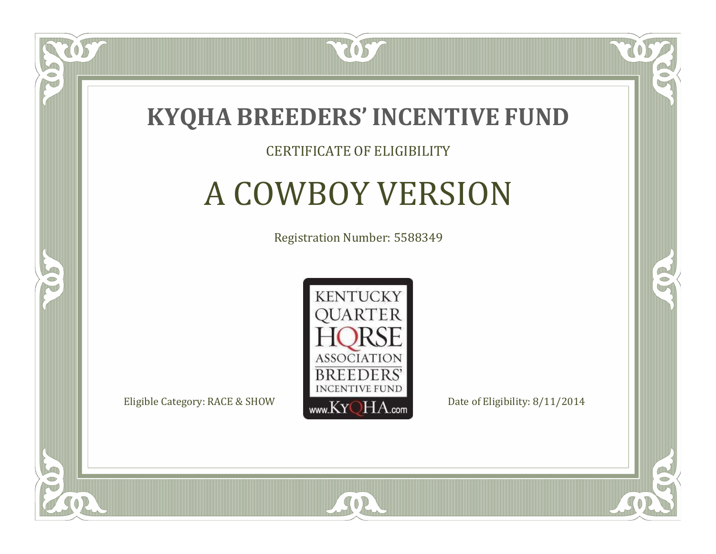

#### CERTIFICATE OF ELIGIBILITY

# A COWBOY VERSION

Registration Number: 5588349



SOR

CO.

 $\rightarrow$ 

 $\Box$ NU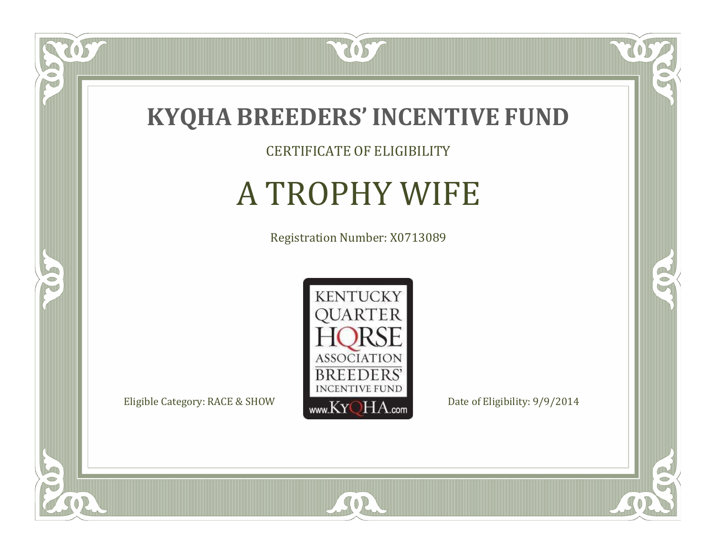

057

 $\bullet$ NU

5

CERTIFICATE OF ELIGIBILITY

# A TROPHY WIFE

Registration Number: X0713089



SOR

 $\mathbb{R}$ 

 $\rightarrow$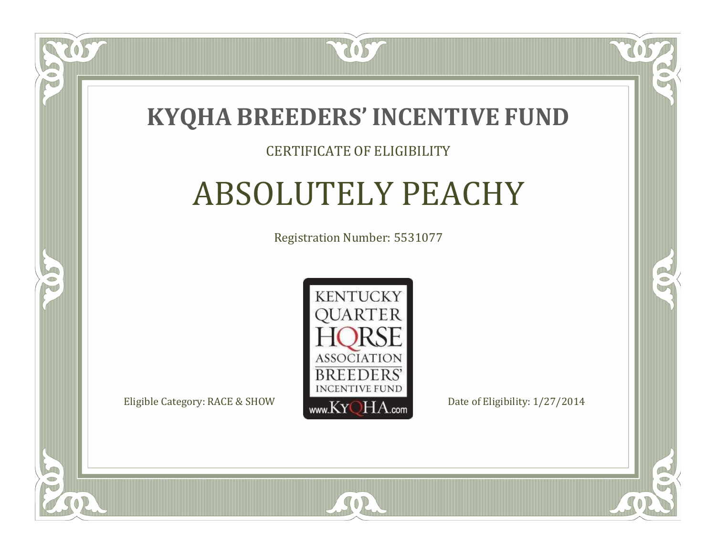

#### CERTIFICATE OF ELIGIBILITY

## ABSOLUTELY PEACHY

Registration Number: 5531077



SOR

CO.

 $\rightarrow$ 

 $\Box$ N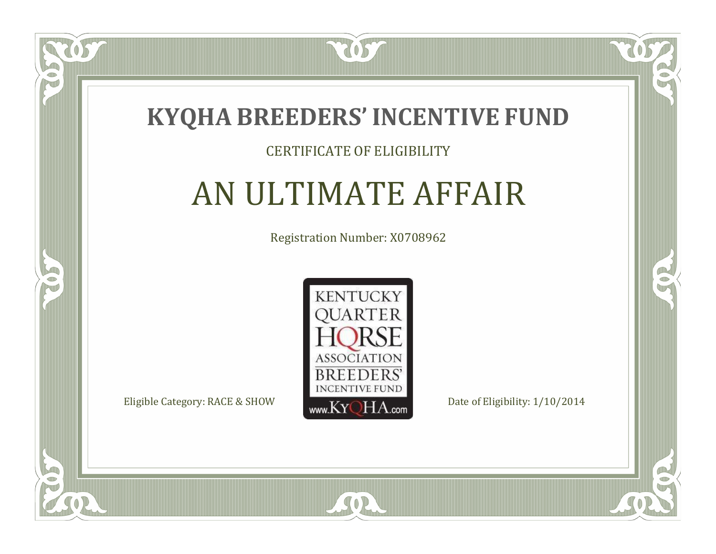

### CERTIFICATE OF ELIGIBILITY

# AN ULTIMATE AFFAIR

Registration Number: X0708962



SOR

CO.

 $\rightarrow$ 

 $\Box$ N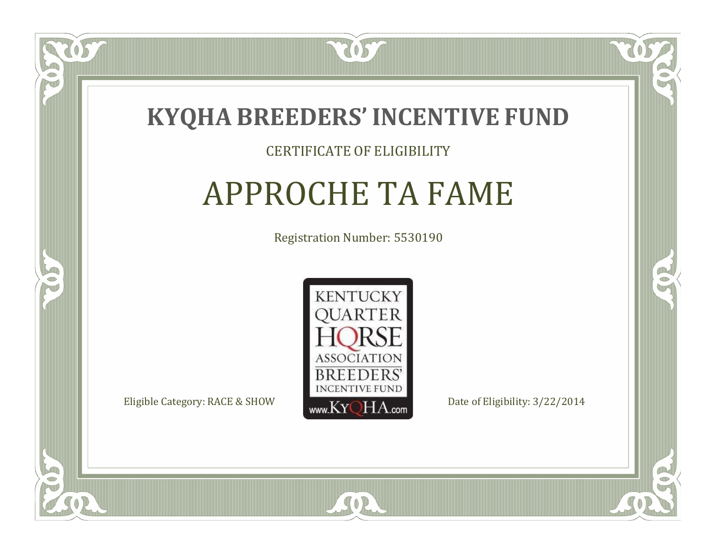

#### CERTIFICATE OF ELIGIBILITY

# APPROCHE TA FAME

Registration Number: 5530190



SOR

CO.

 $\rightarrow$ 

 $\Box$ N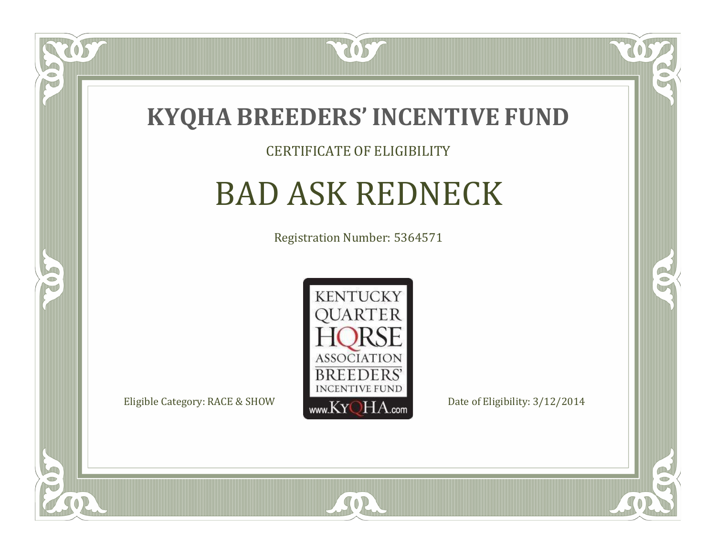

#### CERTIFICATE OF ELIGIBILITY

### BAD ASK REDNECK

Registration Number: 5364571



SOR

CO.

OR.

US.

 $\Box$ NU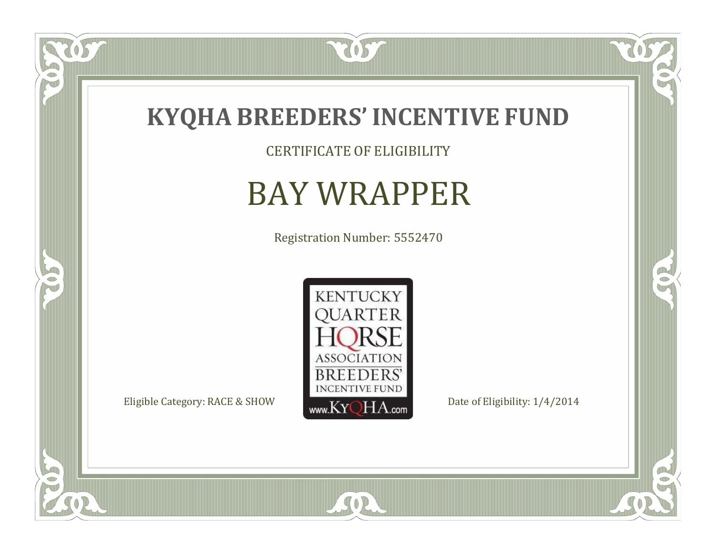

CERTIFICATE OF ELIGIBILITY

# BAY WRAPPER

Registration Number: 5552470



SOR

 $\mathbb{R}$ 

 $\mathbb{R}^2$ 

OS

 $\bullet$ N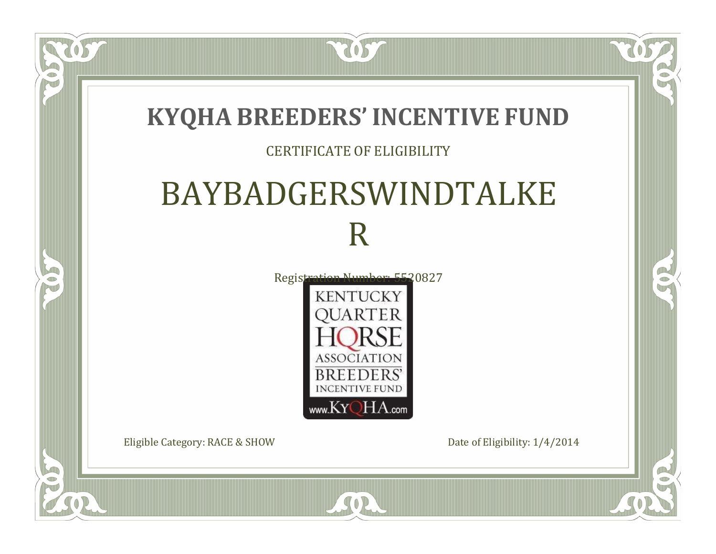

www.KYQHA.com

SOR

Eligible Category: RACE & SHOW Date of Eligibility:  $1/4/2014$ 

 $\bullet$ N

5

 $\Box$ 

 $\mathbb{R}$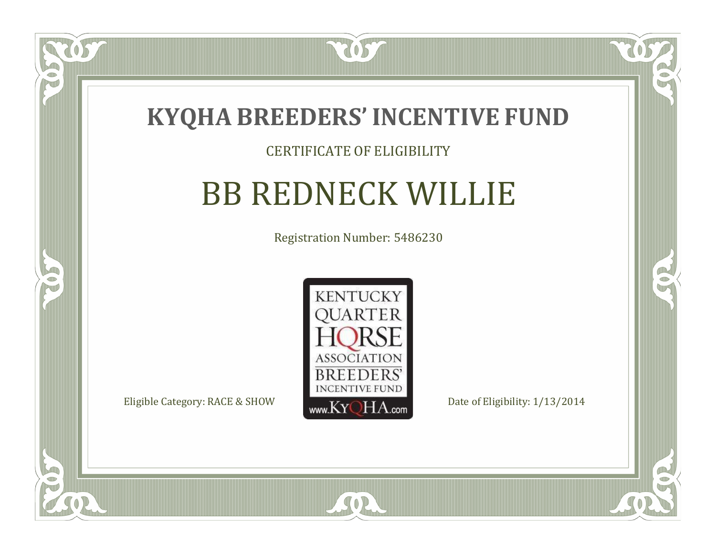

#### CERTIFICATE OF ELIGIBILITY

# BB REDNECK WILLIE

Registration Number: 5486230



SOR

 $\mathbb{R}$ 

 $\rightarrow$ 

US

 $\Box$ NU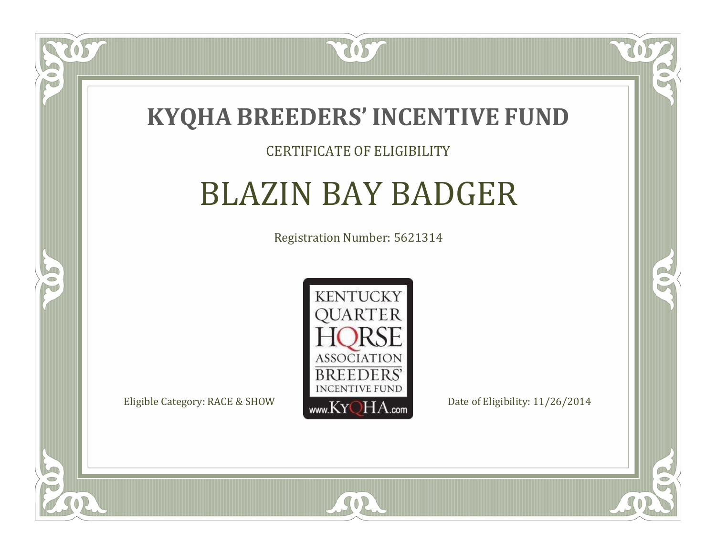

### CERTIFICATE OF ELIGIBILITY

# BLAZIN BAY BADGER

Registration Number: 5621314



CO.

 $\rightarrow$ 

 $\Box$ N

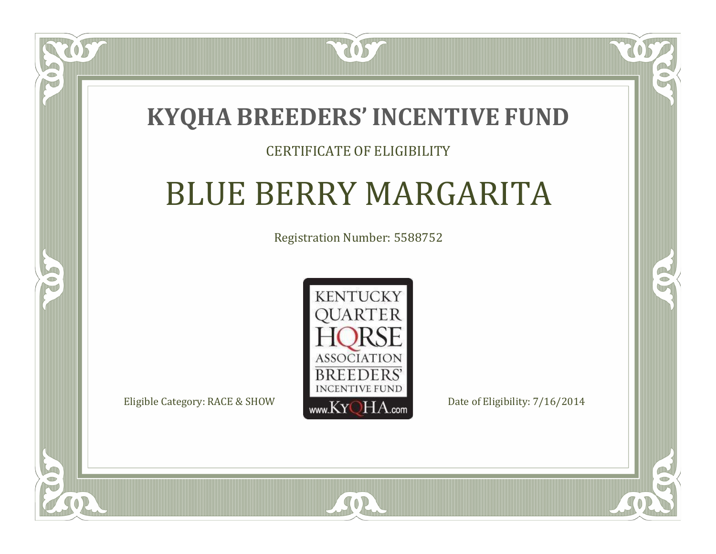### **KYQHA BREEDERS'INCENTIVE FUND**

7057

### CERTIFICATE OF ELIGIBILITY

# BLUE BERRY MARGARITA

Registration Number: 5588752



SOR

RO

 $\rightarrow$ 

 $\Box$ N

S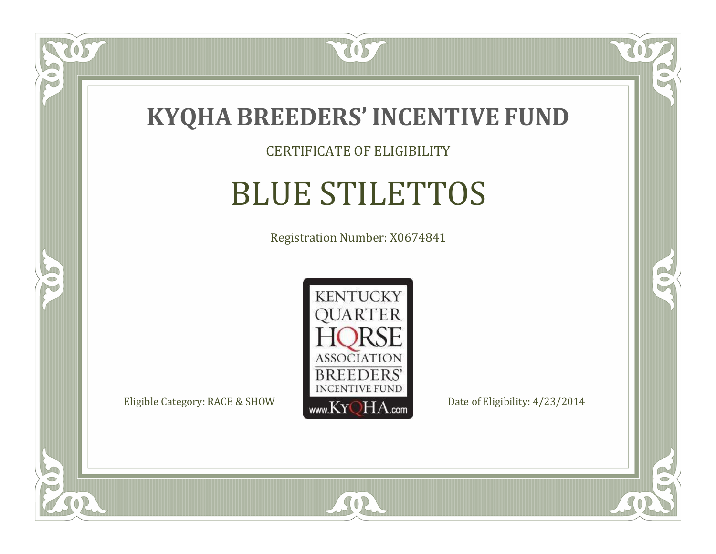

CERTIFICATE OF ELIGIBILITY

# BLUE STILETTOS

Registration Number: X0674841



SOR

CO.

 $\rightarrow$ 

 $\delta S$ 

 $\Box$ NU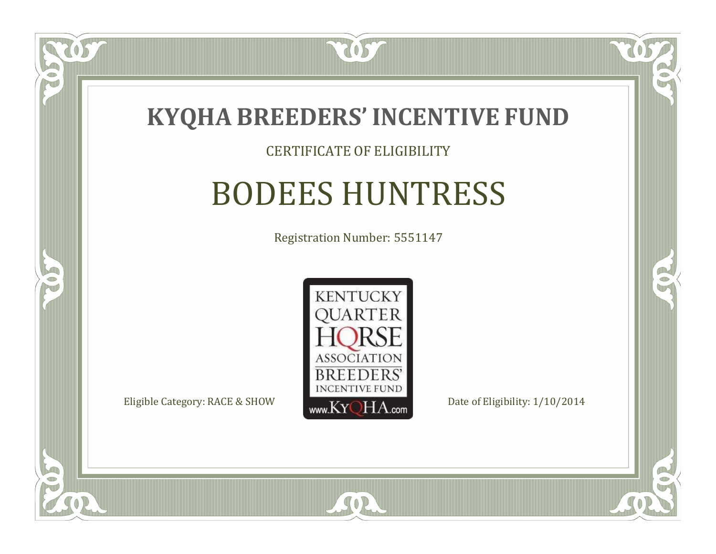

#### CERTIFICATE OF ELIGIBILITY

### BODEES HUNTRESS

Registration Number: 5551147



SOR

CO.

 $\rightarrow$ 

057

 $\Box$ NU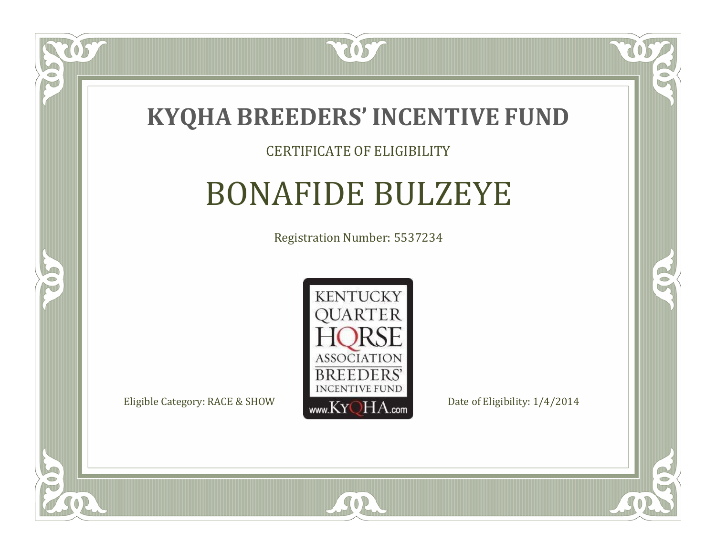

#### CERTIFICATE OF ELIGIBILITY

### BONAFIDE BULZEYE

Registration Number: 5537234



SOR

CO.

 $\rightarrow$ 

OS,

 $\Box$ NU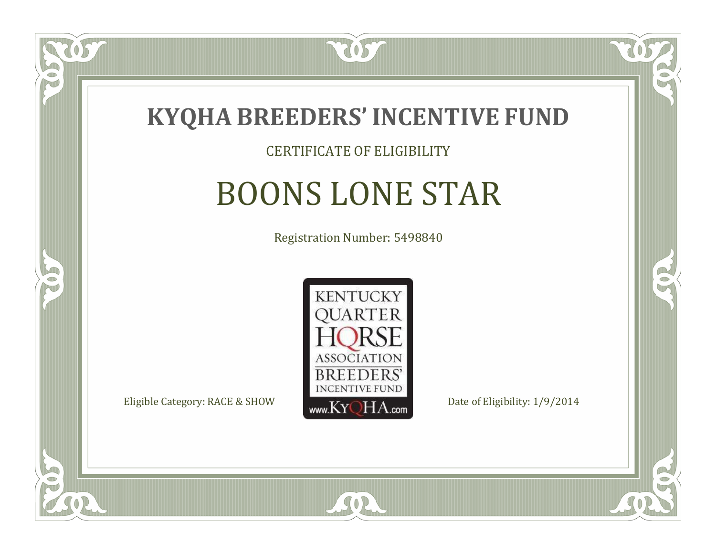

#### CERTIFICATE OF ELIGIBILITY

# BOONS LONE STAR

Registration Number: 5498840



SOR

CO.

B

 $\Box$ NU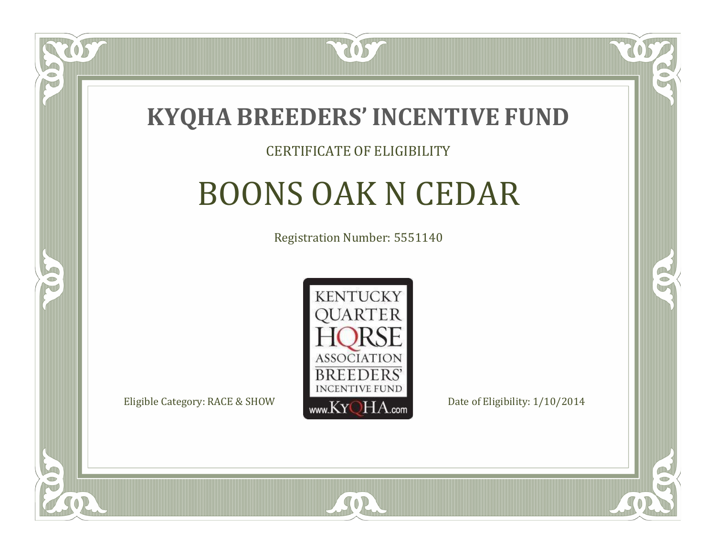

#### CERTIFICATE OF ELIGIBILITY

# BOONS OAK N CEDAR

Registration Number: 5551140



SOR

CO.

B

 $\Box$ N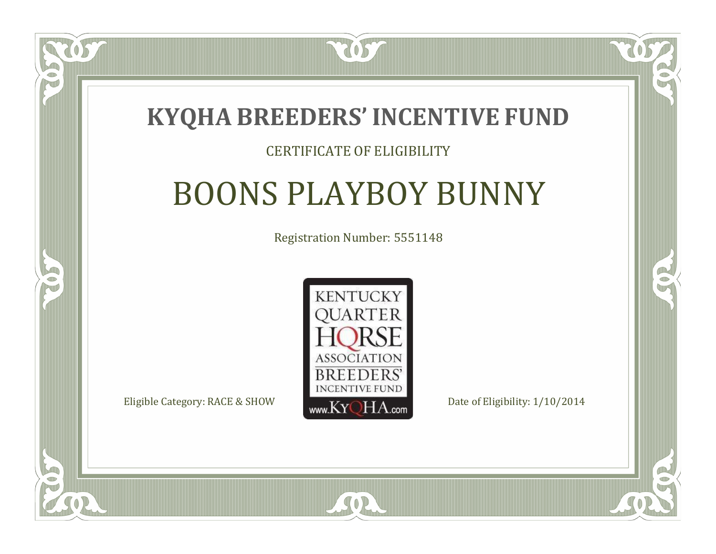### **KYQHA BREEDERS'INCENTIVE FUND**

7057

### CERTIFICATE OF ELIGIBILITY

# BOONS PLAYBOY BUNNY

Registration Number: 5551148



SOR

CO.

B

 $\Box$ N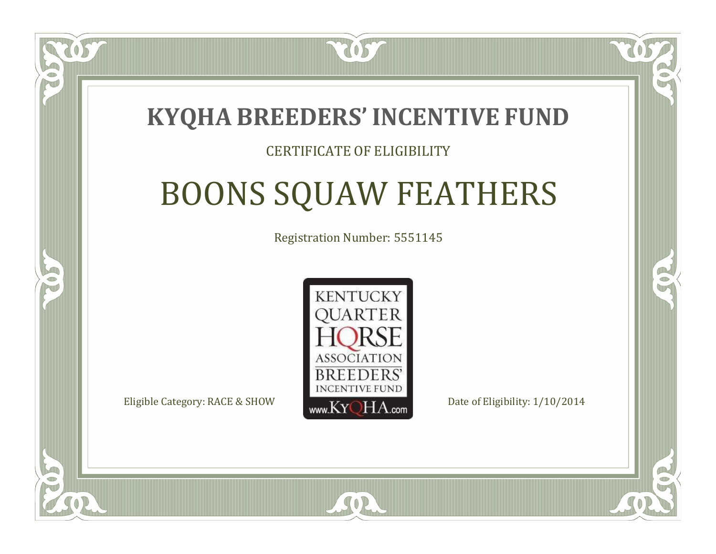

#### CERTIFICATE OF ELIGIBILITY

# BOONS SQUAW FEATHERS

Registration Number: 5551145



SOR

 $\mathbb{R}^2$ 

P.

 $\Box$ N

S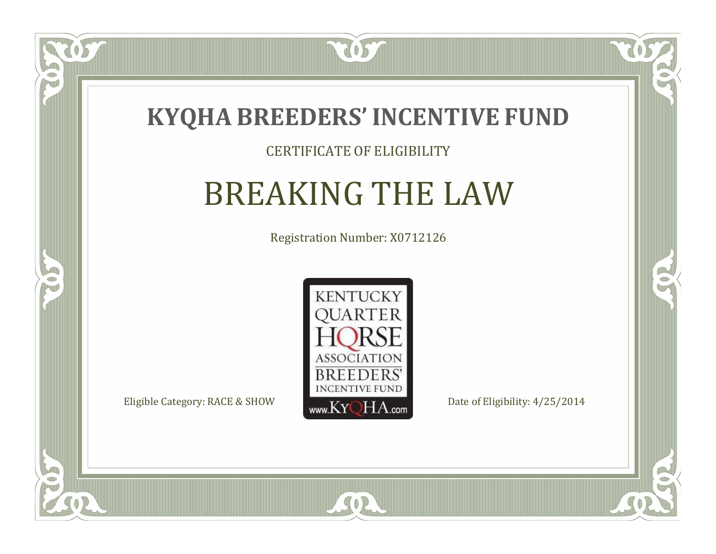

### CERTIFICATE OF ELIGIBILITY

# BREAKING THE LAW

Registration Number: X0712126



SOR

CO.

 $\rightarrow$ 

057

 $\Box$ NU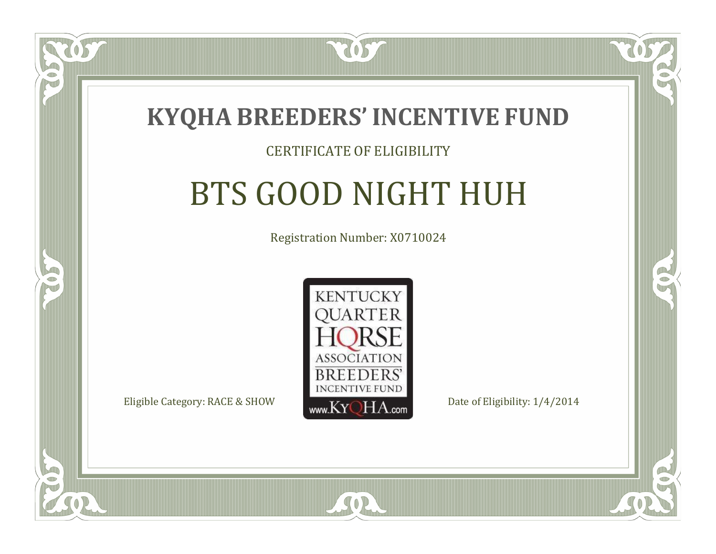

#### CERTIFICATE OF ELIGIBILITY

# BTS GOOD NIGHT HUH

Registration Number: X0710024



SOR

CO.

B

 $\blacksquare$ N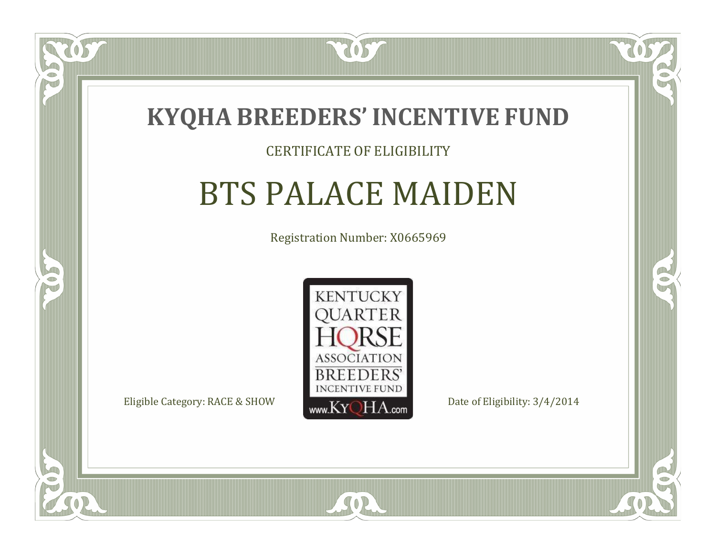

#### CERTIFICATE OF ELIGIBILITY

### BTS PALACE MAIDEN

Registration Number: X0665969



 $SO2$ 

CO.

B

 $\blacksquare$ N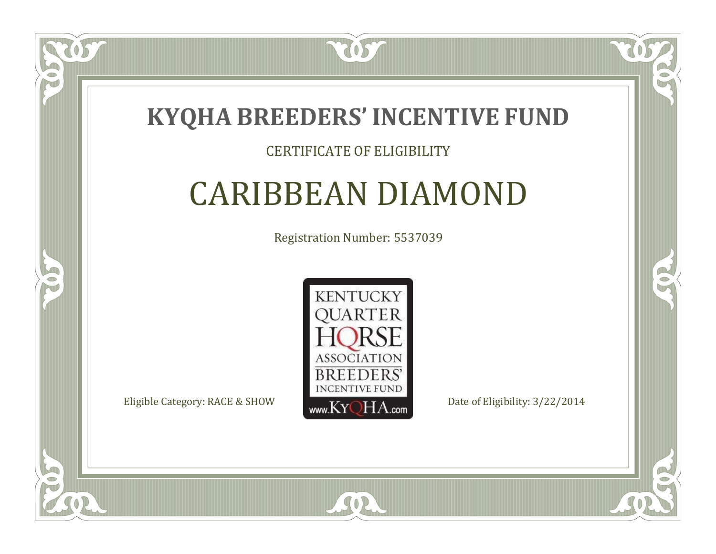

### CERTIFICATE OF ELIGIBILITY

# CARIBBEAN DIAMOND

Registration Number: 5537039



SOR

CO.

 $\rightarrow$ 

US

 $\Box$ NU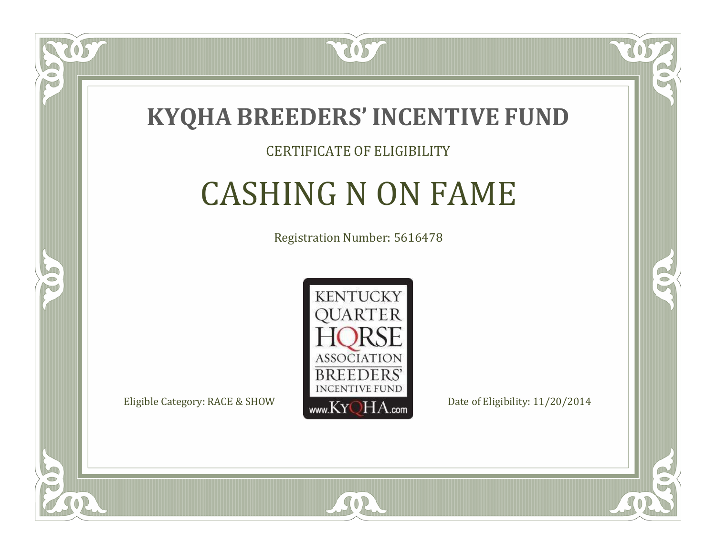

### CERTIFICATE OF ELIGIBILITY

# CASHING N ON FAME

Registration Number: 5616478



SOR

RO

B

 $\Box$ N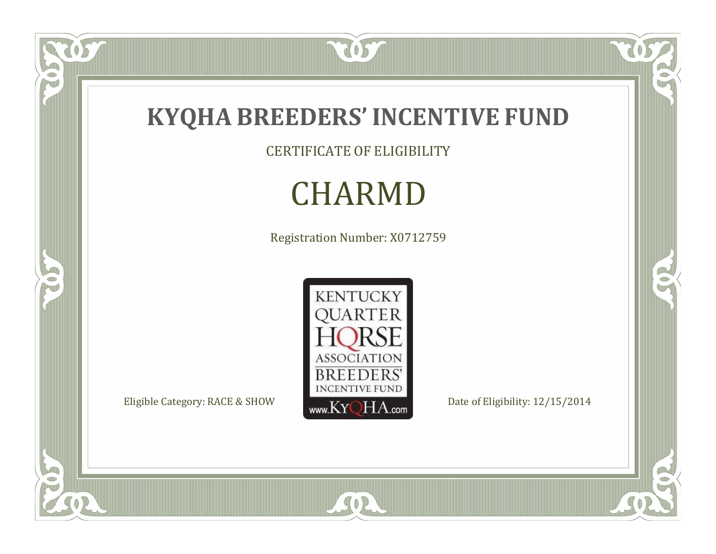

CERTIFICATE OF ELIGIBILITY

# CHARMD

Registration Number: X0712759



SOR

US.

P

5

 $\overline{\mathbb{C}}$ 

 $\mathbb{R}$ 

 $\mathbb{R}^2$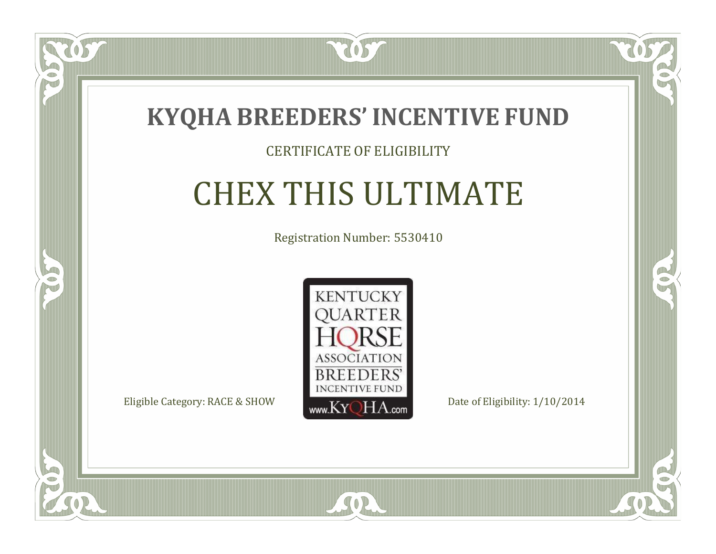

### CERTIFICATE OF ELIGIBILITY

# CHEX THIS ULTIMATE

Registration Number: 5530410



SOR

CO.

 $\rightarrow$ 

057

 $\bullet$ NU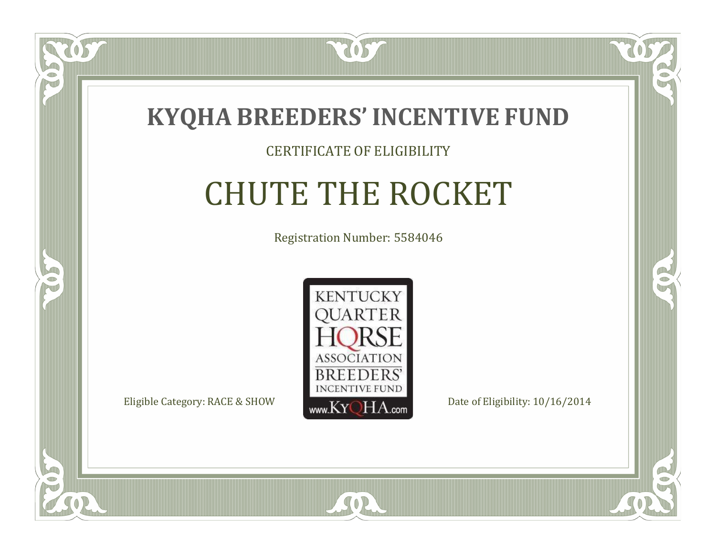

#### CERTIFICATE OF ELIGIBILITY

# CHUTE THE ROCKET

Registration Number: 5584046



SOR

CO.

 $\rightarrow$ 

 $\Box$ NU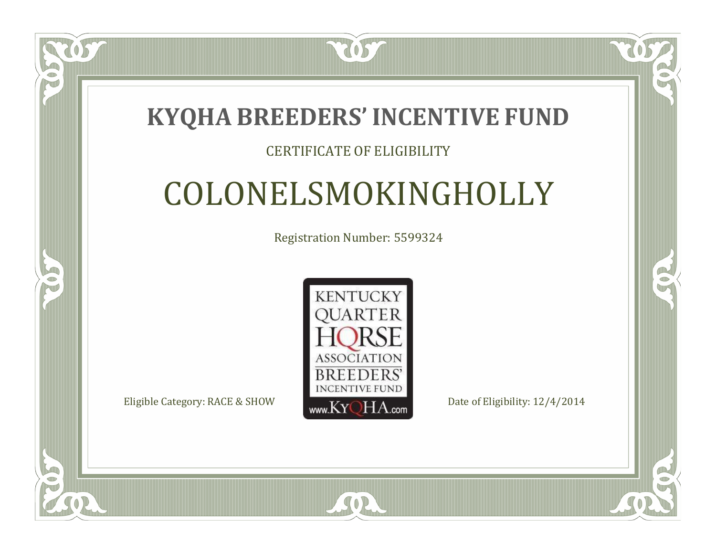### **KYQHA BREEDERS'INCENTIVE FUND**

7057

### CERTIFICATE OF ELIGIBILITY

# COLONELSMOKINGHOLLY

Registration Number: 5599324



 $SO2$ 

RO

A.

 $\Box$ N

S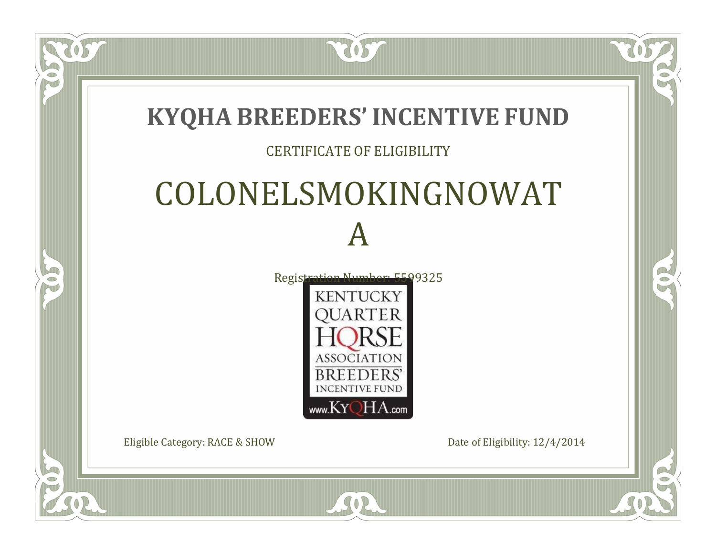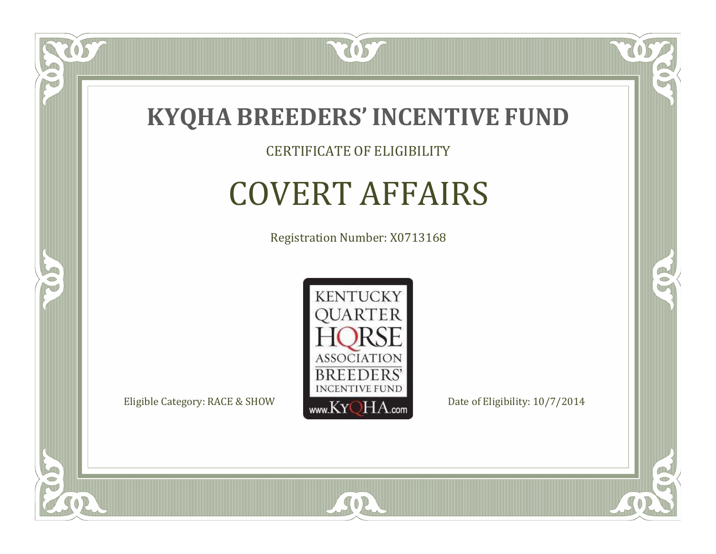

CERTIFICATE OF ELIGIBILITY

# COVERT AFFAIRS

Registration Number: X0713168



SOR

CO.

 $\rightarrow$ 

US.

 $\Box$ NU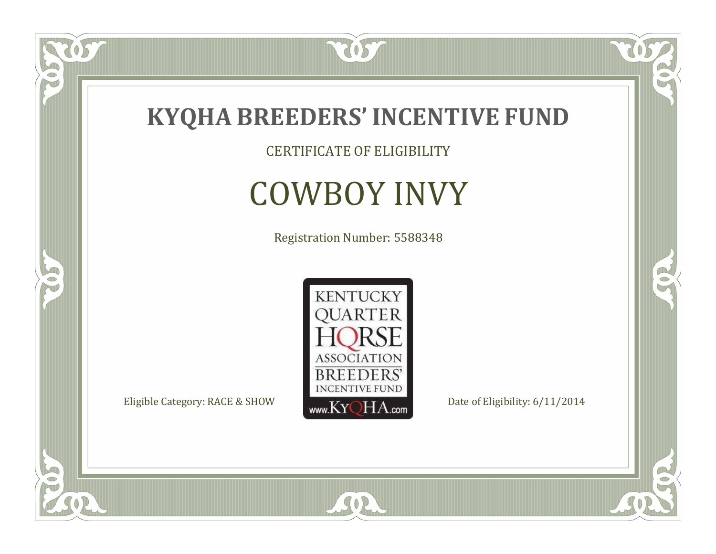

CERTIFICATE OF ELIGIBILITY

# COWBOY INVY

Registration Number: 5588348



SOR

 $\mathbb{R}$ 

CO.

tos

 $\bullet$ N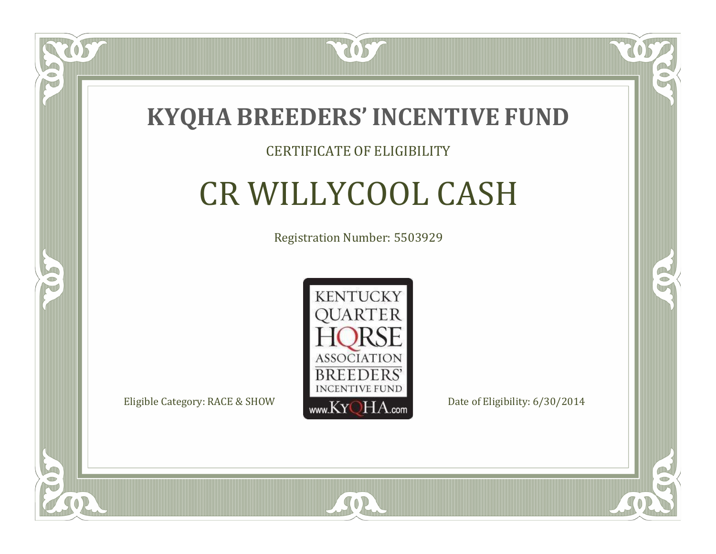

### CERTIFICATE OF ELIGIBILITY

# CR WILLYCOOL CASH

Registration Number: 5503929



 $SO2$ 

CO.

B

 $\blacksquare$ N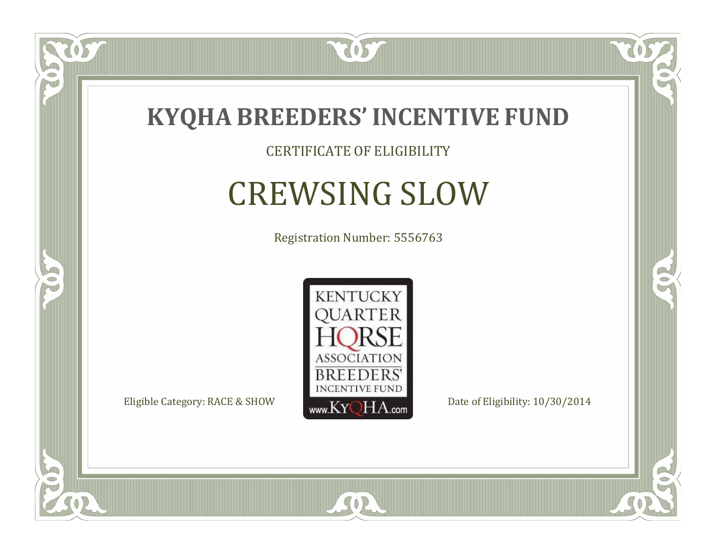

CERTIFICATE OF ELIGIBILITY

# CREWSING SLOW

Registration Number: 5556763



SOR

CO.

 $\rightarrow$ 

US.

 $\Box$ NU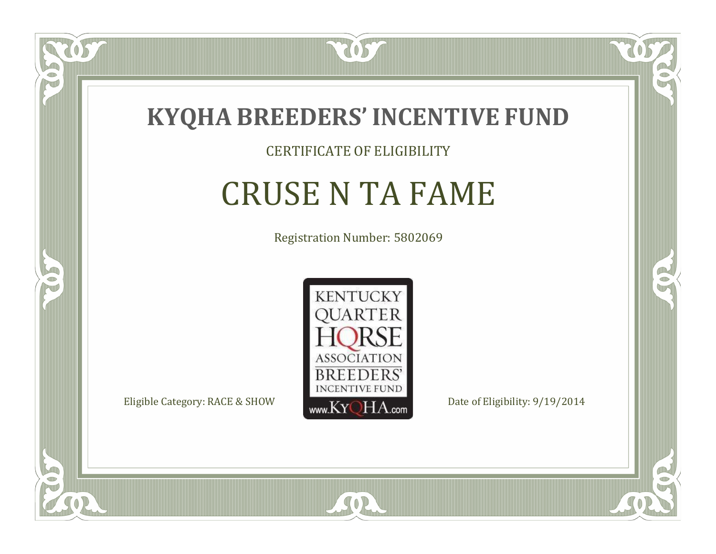

### CERTIFICATE OF ELIGIBILITY

# CRUSE N TA FAME

Registration Number: 5802069



SOR

CO.

 $\rightarrow$ 

US

 $\Box$ NU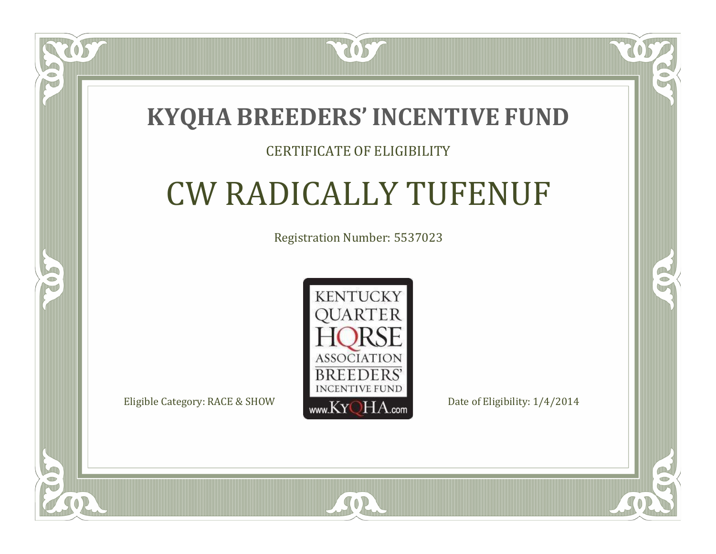### **KYQHA BREEDERS'INCENTIVE FUND**

7057

### CERTIFICATE OF ELIGIBILITY

# CW RADICALLY TUFENUF

Registration Number: 5537023



SOR

CO.

 $\rightarrow$ 

 $\blacksquare$ N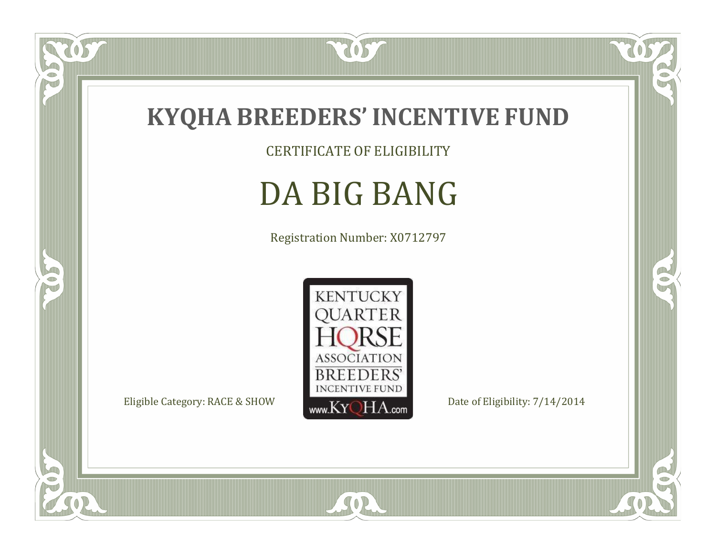

CERTIFICATE OF ELIGIBILITY

# DA BIG BANG

Registration Number: X0712797



SOR

 $\mathbb{R}$ 

CO.

057

 $\bullet$ N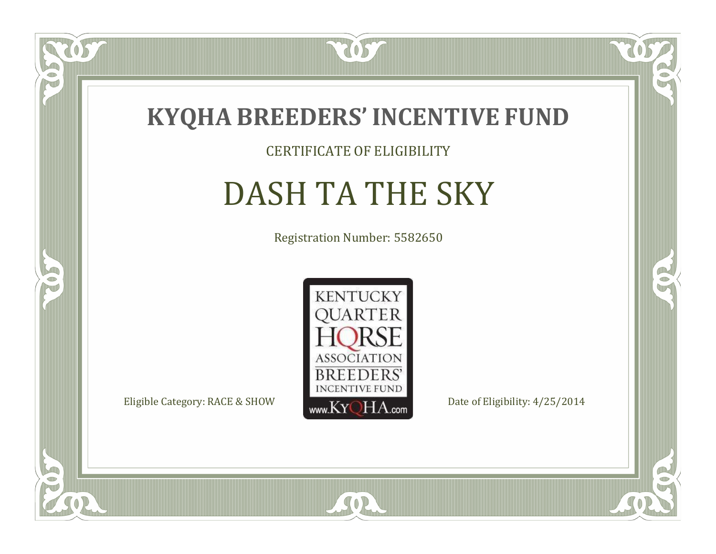

CERTIFICATE OF ELIGIBILITY

# DASH TA THE SKY

Registration Number: 5582650



SOR

CO.

 $\rightarrow$ 

US

 $\bullet$ NU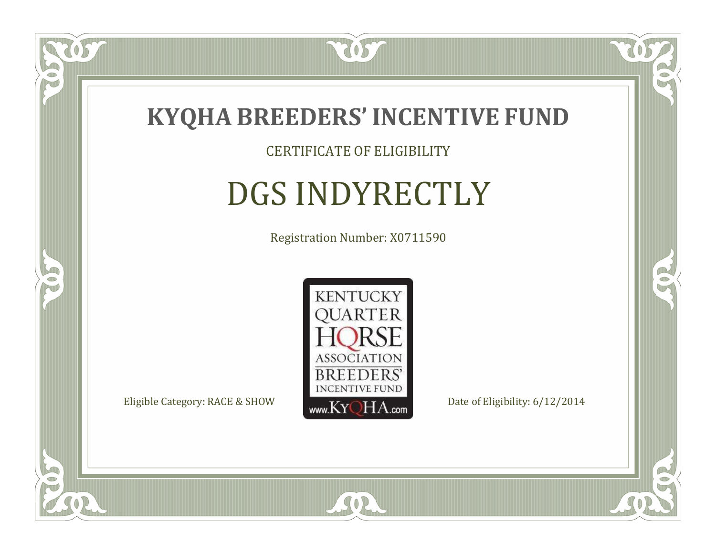

CERTIFICATE OF ELIGIBILITY

# DGS INDYRECTLY

Registration Number: X0711590



SOR

CO.

 $\rightarrow$ 

US

 $\Box$ NU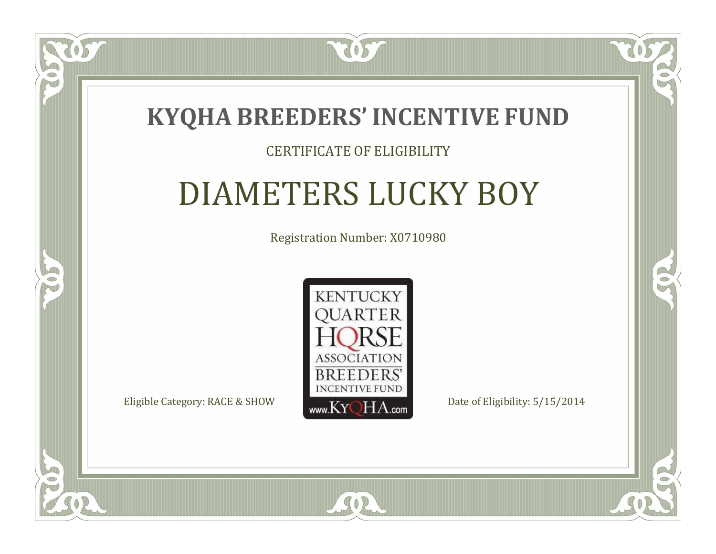## **KYQHA BREEDERS'INCENTIVE FUND**

7057

### CERTIFICATE OF ELIGIBILITY

# DIAMETERS LUCKY BOY

Registration Number: X0710980



SOR

 $\blacksquare$ N

5

CO.

B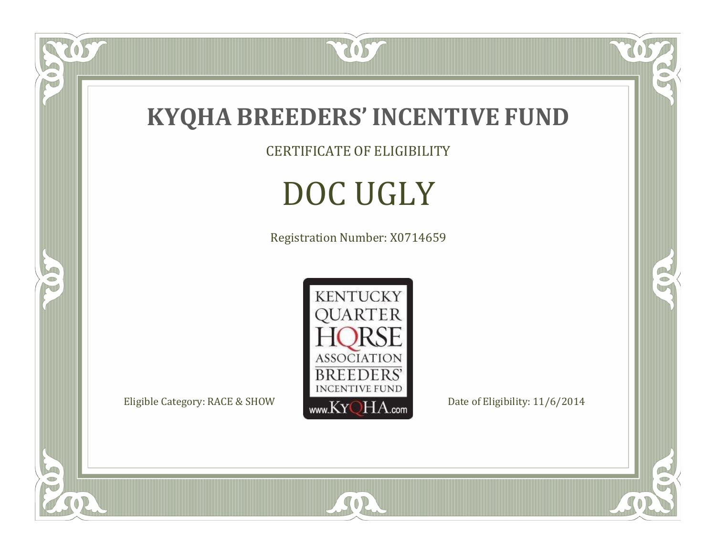

 $\overline{OS}$ 

 $\bullet$ N

5

CERTIFICATE OF ELIGIBILITY

# DOC UGLY

Registration Number: X0714659



SOR

 $\mathbb{R}$ 

CO.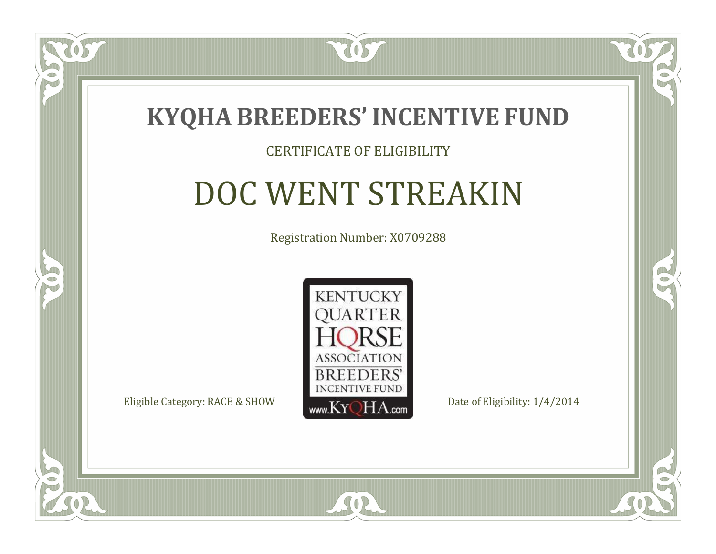

### CERTIFICATE OF ELIGIBILITY

# DOC WENT STREAKIN

Registration Number: X0709288



SOR

CO.

 $\rightarrow$ 

 $\blacksquare$ N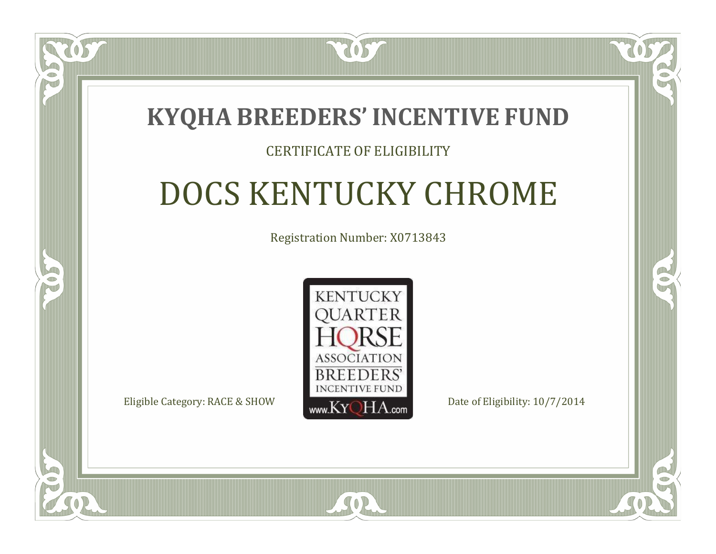## **KYQHA BREEDERS'INCENTIVE FUND**

2057

### CERTIFICATE OF ELIGIBILITY

# DOCS KENTUCKY CHROME

Registration Number: X0713843



SOR

RO

P.

 $\Box$ T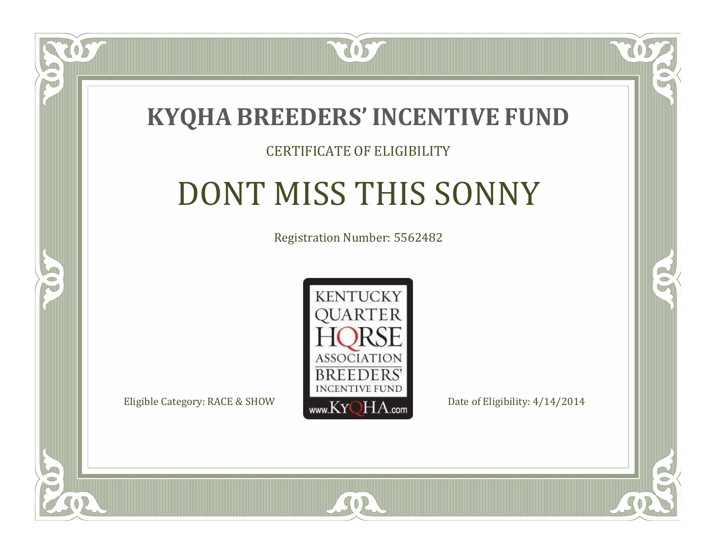

### CERTIFICATE OF ELIGIBILITY

## DONT MISS THIS SONNY

Registration Number: 5562482



 $SO2$ 

CO.

B

 $\blacksquare$ N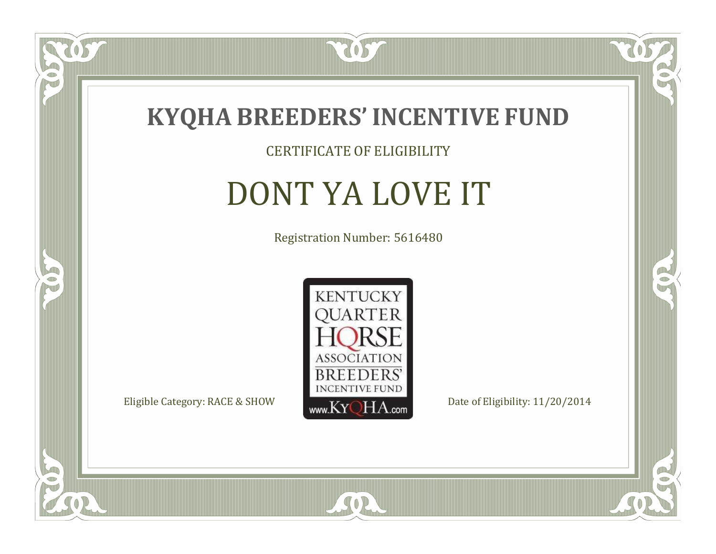

CERTIFICATE OF ELIGIBILITY

## DONT YA LOVE IT

Registration Number: 5616480



SOR

CO.

 $\rightarrow$ 

 $\delta S$ 

 $\bullet$ NU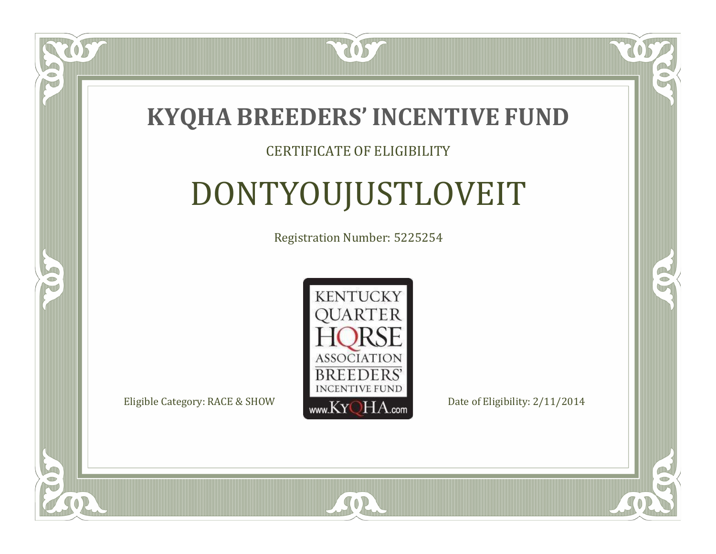

### CERTIFICATE OF ELIGIBILITY

# DONTYOUJUSTLOVEIT

Registration Number: 5225254



 $SO<sub>2</sub>$ 

CO.

CO.

 $\blacksquare$ N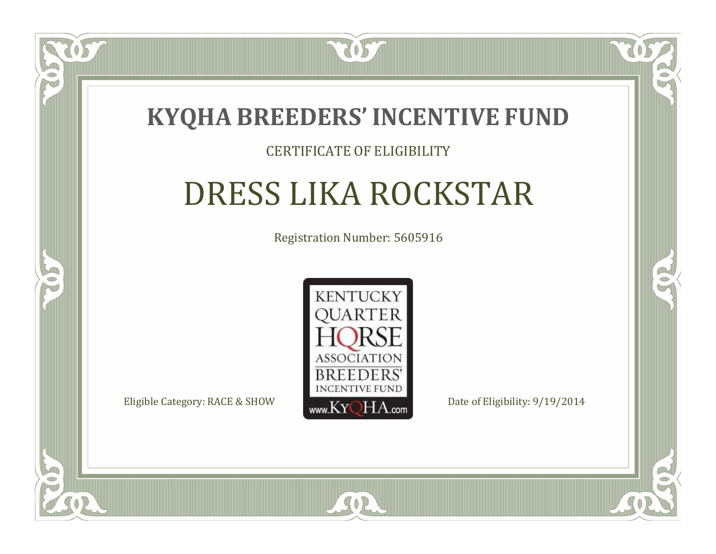

### CERTIFICATE OF ELIGIBILITY

# DRESS LIKA ROCKSTAR

Registration Number: 5605916



SOR

RO

B

 $\Box$ N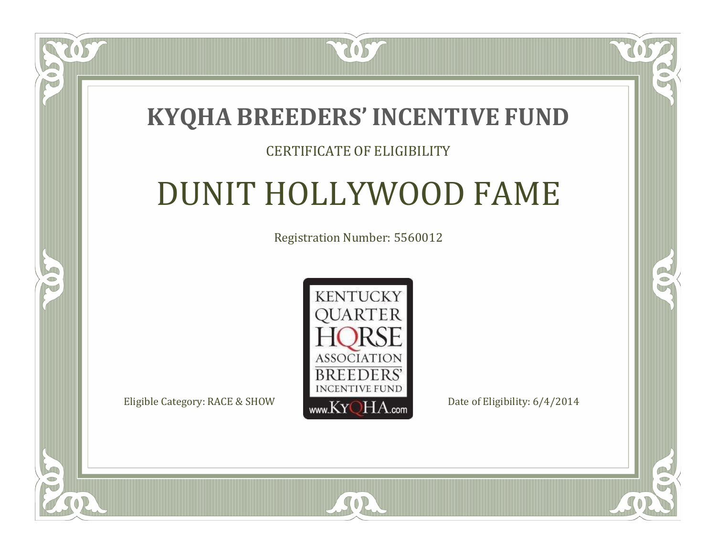## **KYQHA BREEDERS'INCENTIVE FUND**

2057

### CERTIFICATE OF ELIGIBILITY

## DUNIT HOLLYWOOD FAME

Registration Number: 5560012



SOR

CO.

 $\rightarrow$ 

 $\blacksquare$ N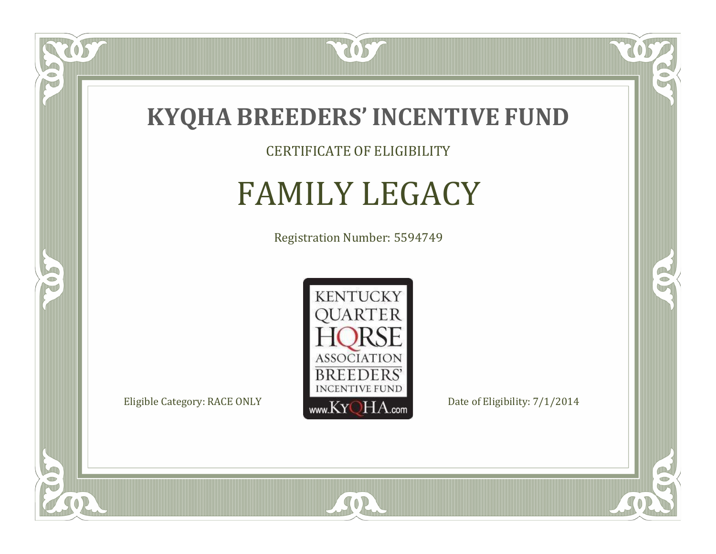

### CERTIFICATE OF ELIGIBILITY

## FAMILY LEGACY

Registration Number: 5594749



SOR

 $\mathbb{R}$ 

 $\rightarrow$ 

 $\overline{OS}$ 

 $\bullet$ NU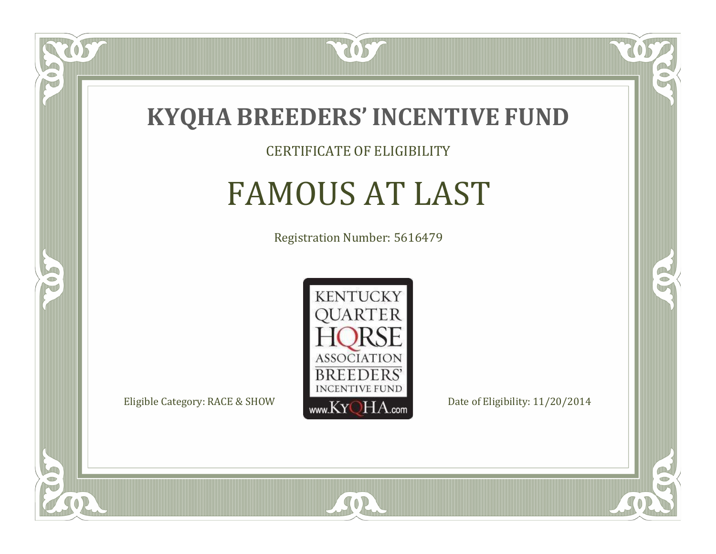

### CERTIFICATE OF ELIGIBILITY

## FAMOUS AT LAST

Registration Number: 5616479



 $SO2$ 

RO

 $\rightarrow$ 

 $\Box$ NU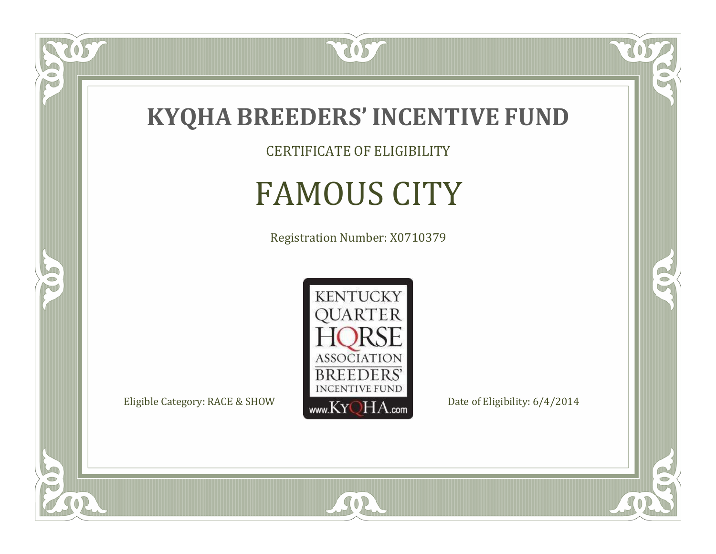

CERTIFICATE OF ELIGIBILITY

# FAMOUS CITY

Registration Number: X0710379



SOR

 $\mathbb{R}$ 

 $\rightarrow$ 

057

 $\bullet$ N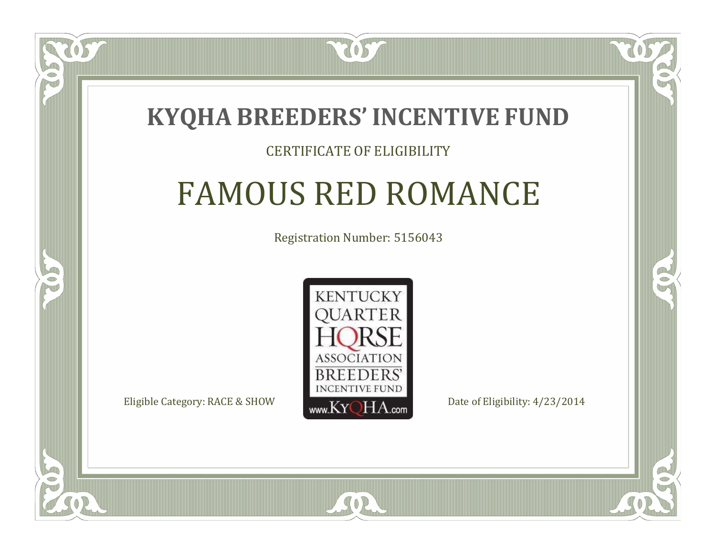## **KYQHA BREEDERS'INCENTIVE FUND**

7057

### CERTIFICATE OF ELIGIBILITY

# FAMOUS RED ROMANCE

Registration Number: 5156043



SOR

RO

P.

 $\Box$ T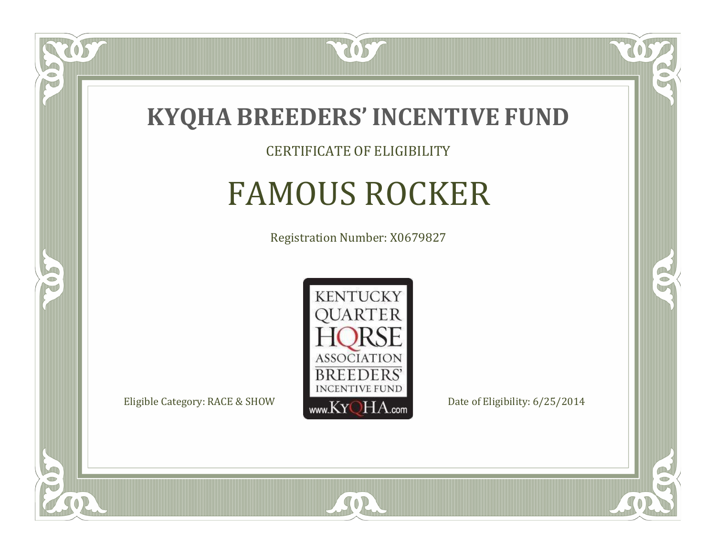

 $\widetilde{\mathfrak{S}}$ 

 $\Box$ NU

5

CERTIFICATE OF ELIGIBILITY

## FAMOUS ROCKER

Registration Number: X0679827



SOR

CO.

B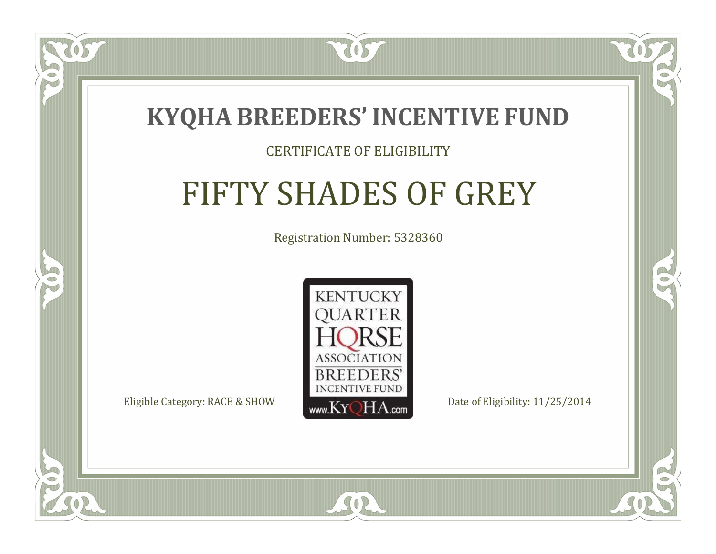

### CERTIFICATE OF ELIGIBILITY

# FIFTY SHADES OF GREY

Registration Number: 5328360



SOR

 $\mathbb{R}^2$ 

B

 $\Box$ N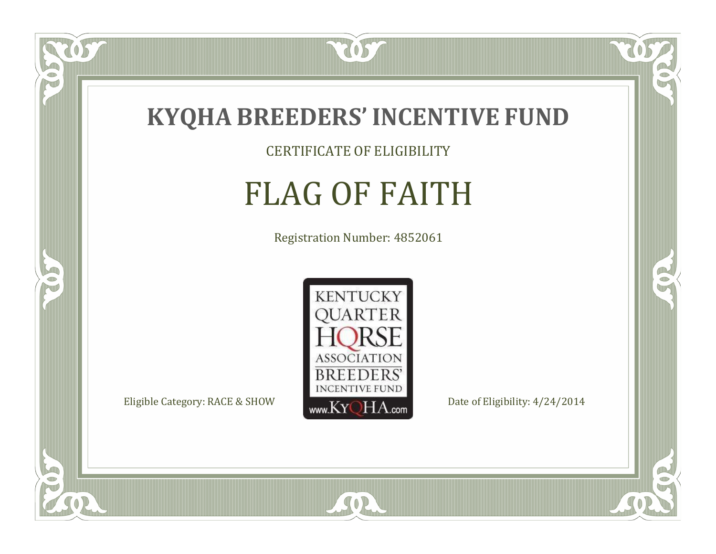

CERTIFICATE OF ELIGIBILITY

# FLAG OF FAITH

Registration Number: 4852061



SOR

CO.

 $\rightarrow$ 

US

 $\bullet$ NU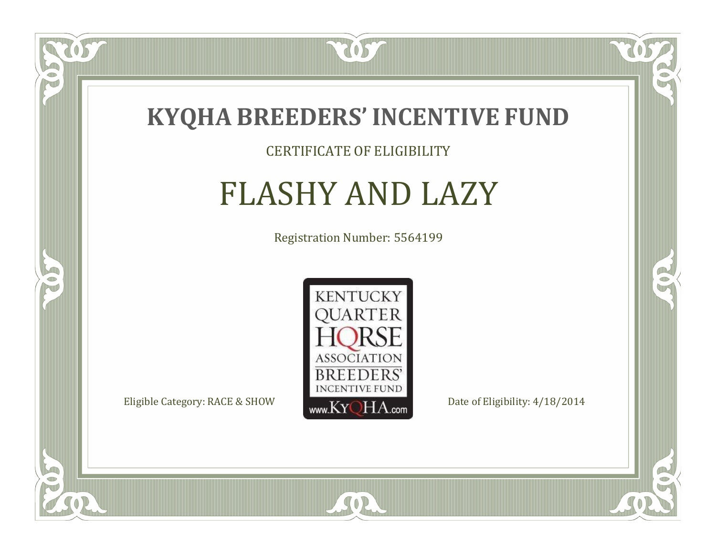

US

 $\Box$ NU

5

### CERTIFICATE OF ELIGIBILITY

## FLASHY AND LAZY

Registration Number: 5564199



SOR

CO.

 $\rightarrow$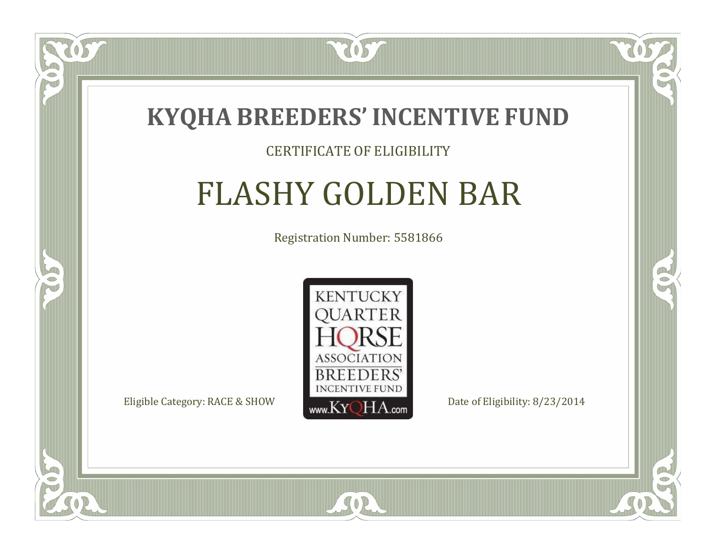

#### CERTIFICATE OF ELIGIBILITY

## FLASHY GOLDEN BAR

Registration Number: 5581866



SOR

OS

 $\blacksquare$ N

5

CO.

 $\rightarrow$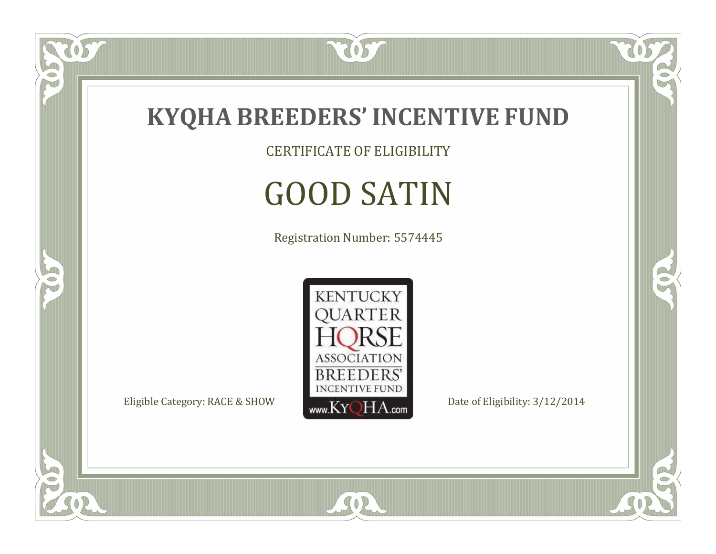

CERTIFICATE OF ELIGIBILITY

# GOOD SATIN

Registration Number: 5574445



SOR

 $\mathbb{R}$ 

CO.

tos

 $\bullet$ N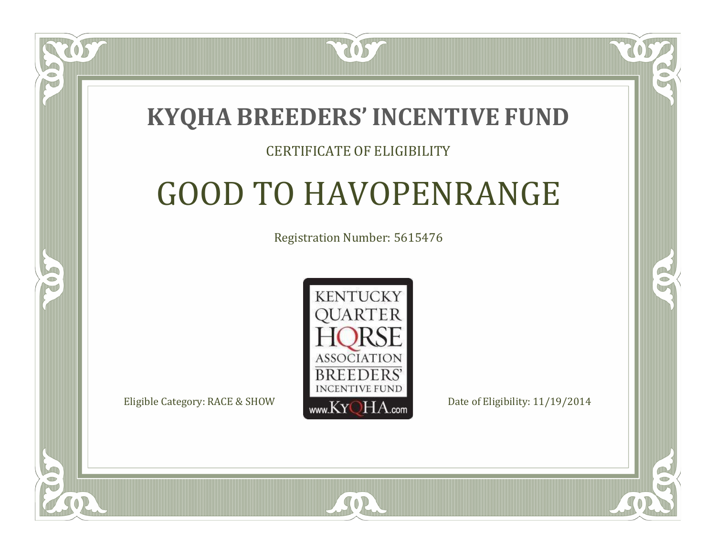## **KYQHA BREEDERS'INCENTIVE FUND**

2057

### CERTIFICATE OF ELIGIBILITY

# GOOD TO HAVOPENRANGE

Registration Number: 5615476



SOR

RO

P.

 $\Box$ T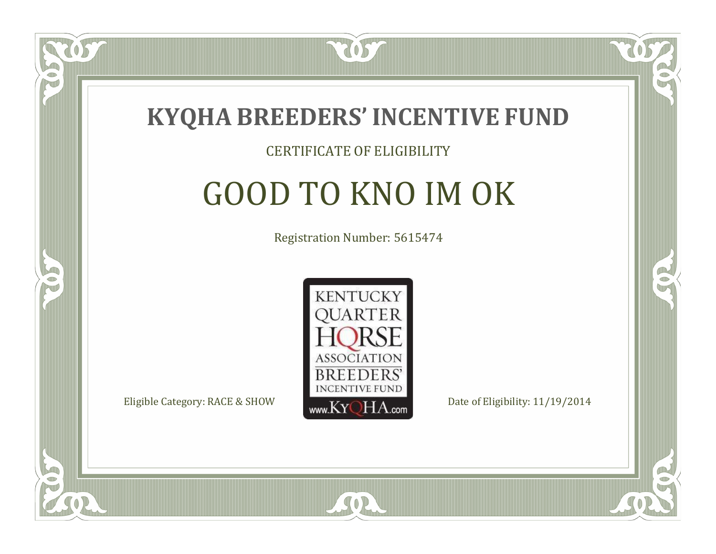

### CERTIFICATE OF ELIGIBILITY

# GOOD TO KNO IM OK

Registration Number: 5615474



SOR

 $\blacksquare$ N

5

RO

P.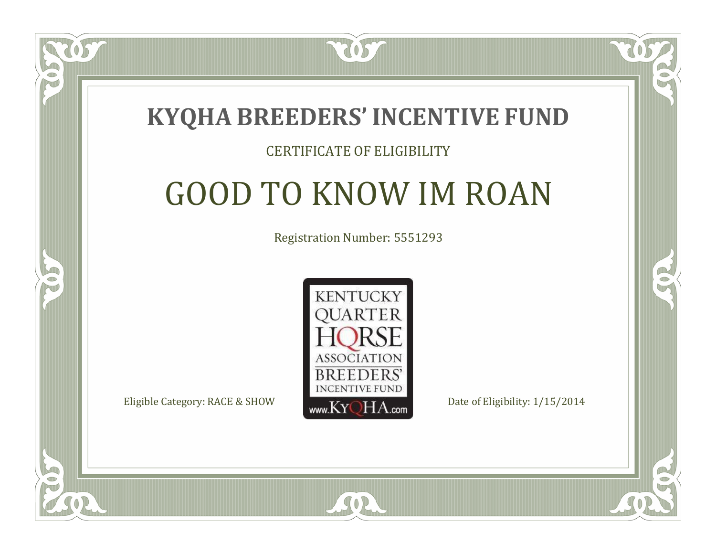

#### CERTIFICATE OF ELIGIBILITY

# GOOD TO KNOW IM ROAN

Registration Number: 5551293



SOR

CO.

B

 $\blacksquare$ N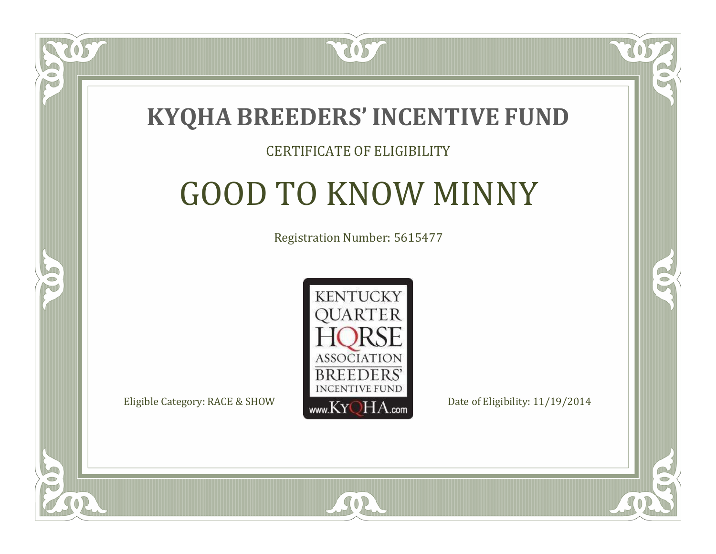

### CERTIFICATE OF ELIGIBILITY

# GOOD TO KNOW MINNY

Registration Number: 5615477



SOR

 $\blacksquare$ N

5

CO.

B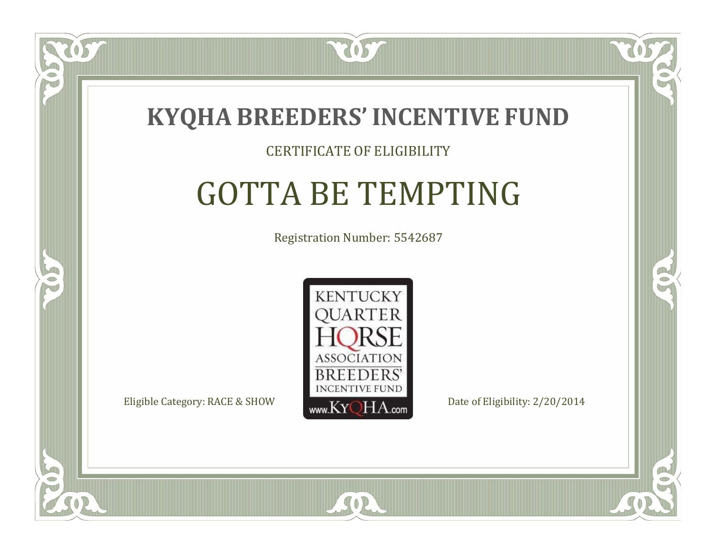

### CERTIFICATE OF ELIGIBILITY

# GOTTA BE TEMPTING

Registration Number: 5542687



SOR

CO.

B

 $\Box$ N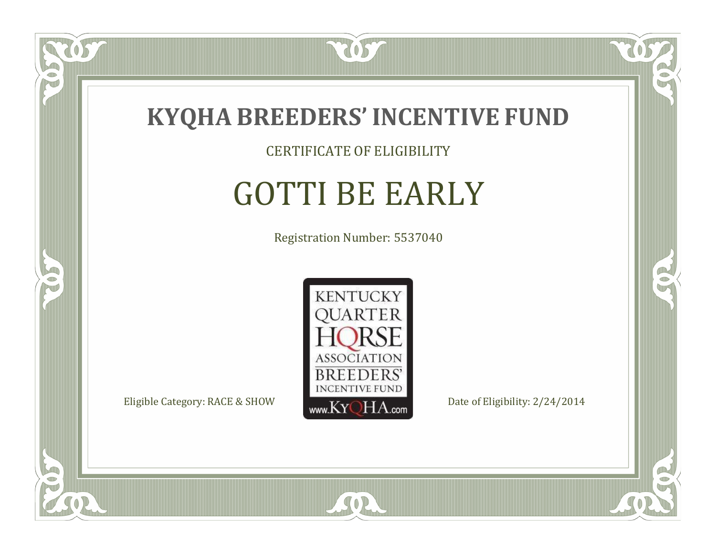

CERTIFICATE OF ELIGIBILITY

# GOTTI BE EARLY

Registration Number: 5537040



SOR

CO.

 $\rightarrow$ 

US

 $\bullet$ NU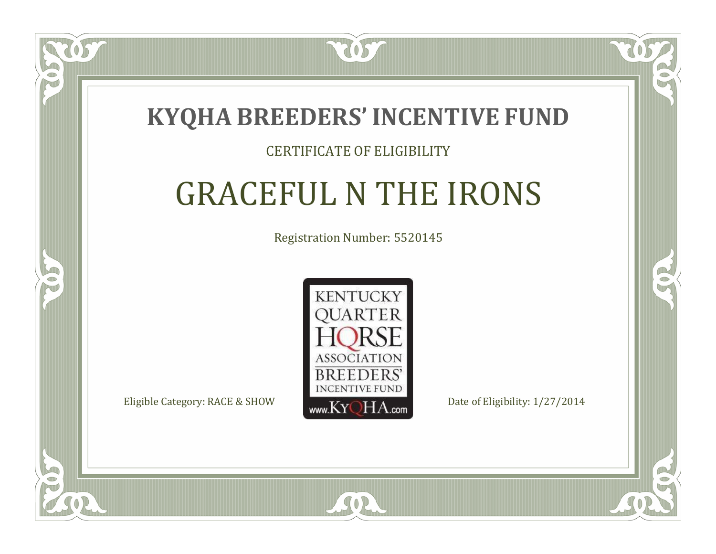

### CERTIFICATE OF ELIGIBILITY

# GRACEFUL N THE IRONS

Registration Number: 5520145



SOR

RO

B

 $\Box$ N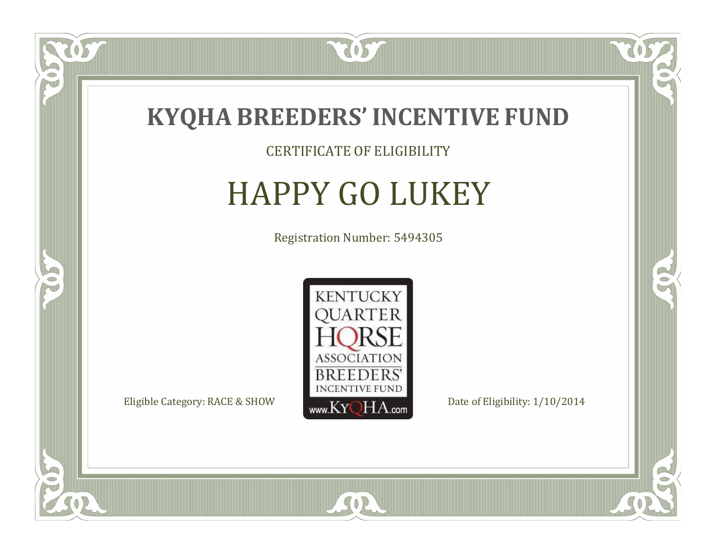

### CERTIFICATE OF ELIGIBILITY

## HAPPY GO LUKEY

Registration Number: 5494305



SOR

CO.

 $\rightarrow$ 

US

 $\bullet$ NU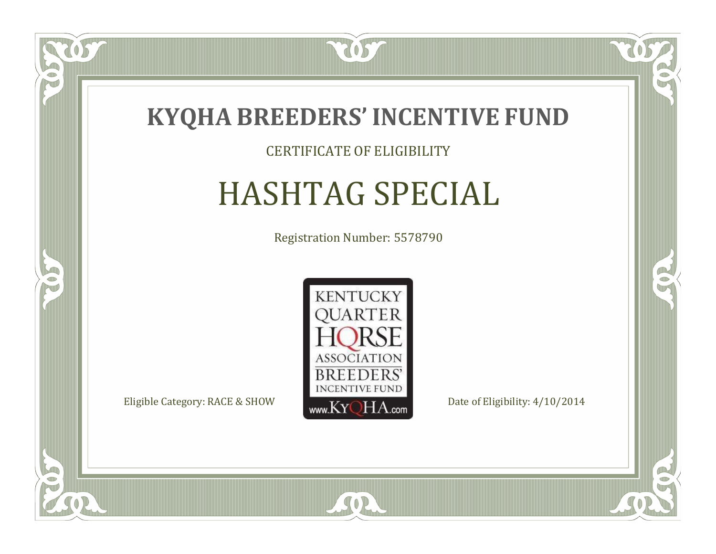

### CERTIFICATE OF ELIGIBILITY

# HASHTAG SPECIAL

Registration Number: 5578790



 $SO2$ 

057

 $\Box$ NU

5

CO.

 $\rightarrow$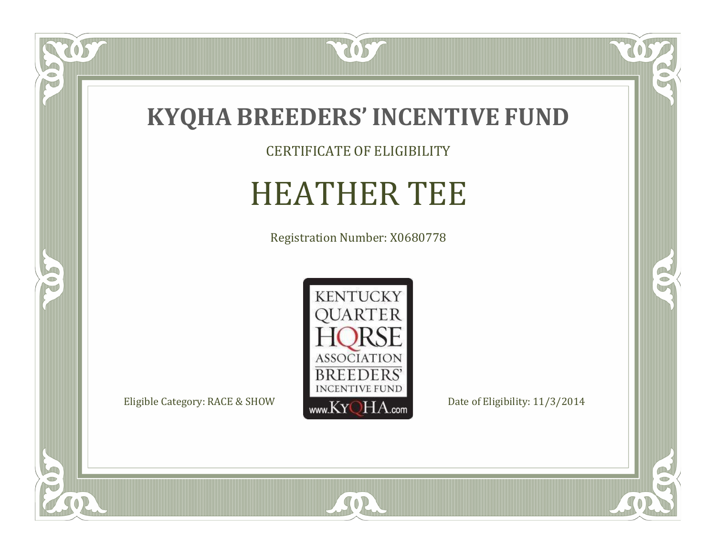

CERTIFICATE OF ELIGIBILITY

# HEATHER TEE

Registration Number: X0680778



SOR

 $\mathbb{R}$ 

 $\mathbb{R}^2$ 

 $\overline{OS}$ 

 $\bullet$ N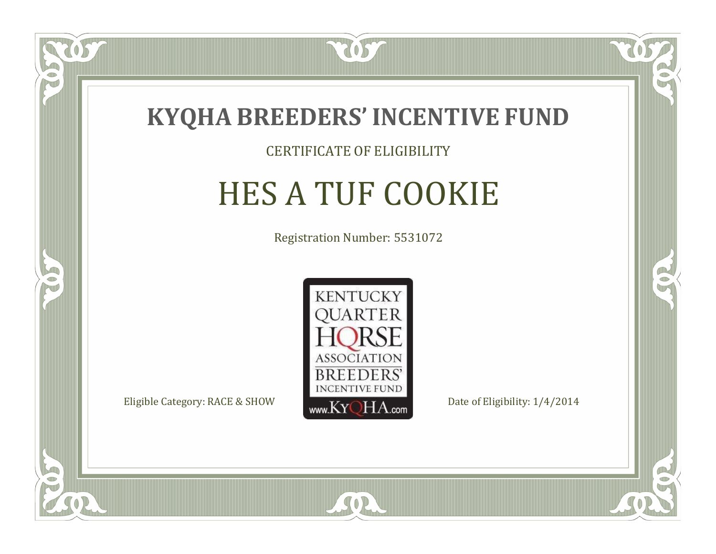

### CERTIFICATE OF ELIGIBILITY

# HES A TUF COOKIE

Registration Number: 5531072



SOR

CO.

B

US

 $\Box$ NU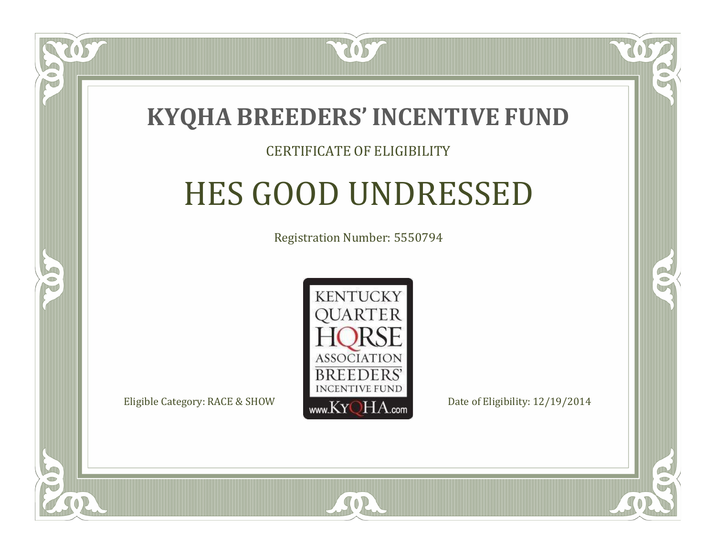

### CERTIFICATE OF ELIGIBILITY

## HES GOOD UNDRESSED

Registration Number: 5550794



RO

B

 $\Box$ N

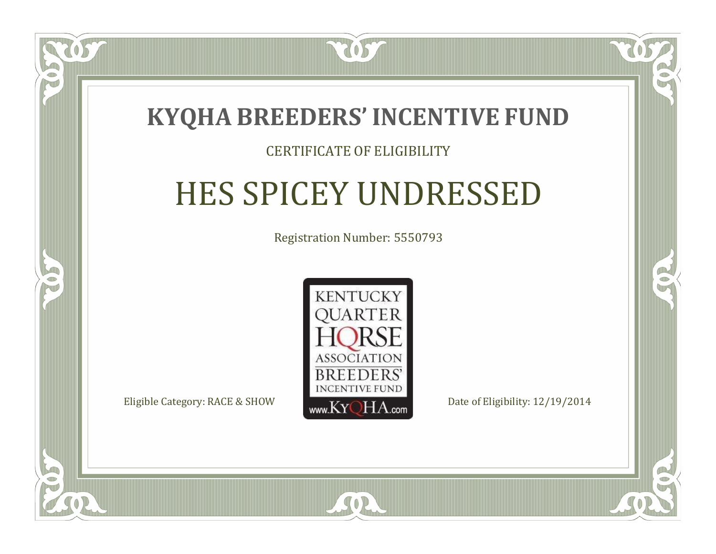

### CERTIFICATE OF ELIGIBILITY

## HES SPICEY UNDRESSED

Registration Number: 5550793



SOR

 $\Box$ N

S

RO

B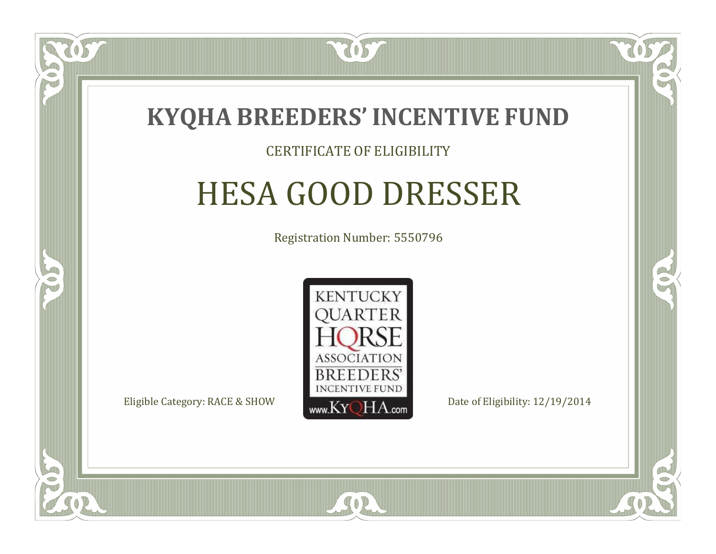

### CERTIFICATE OF ELIGIBILITY

## HESA GOOD DRESSER

Registration Number: 5550796



RO

CO.

 $\Box$ N

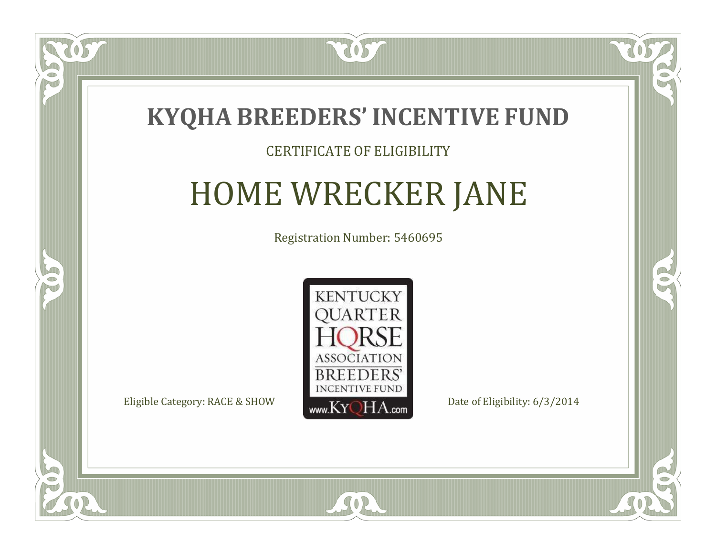

### CERTIFICATE OF ELIGIBILITY

# HOME WRECKER JANE

Registration Number: 5460695



 $SO<sub>2</sub>$ 

RO

P.

 $\Box$ N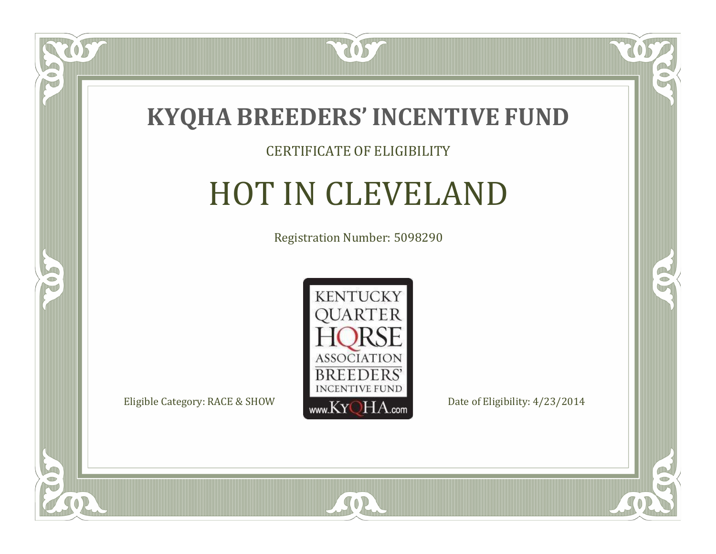

### CERTIFICATE OF ELIGIBILITY

## HOT IN CLEVELAND

Registration Number: 5098290



SOR

 $\mathbb{R}$ 

 $\rightarrow$ 

US

 $\bullet$ NU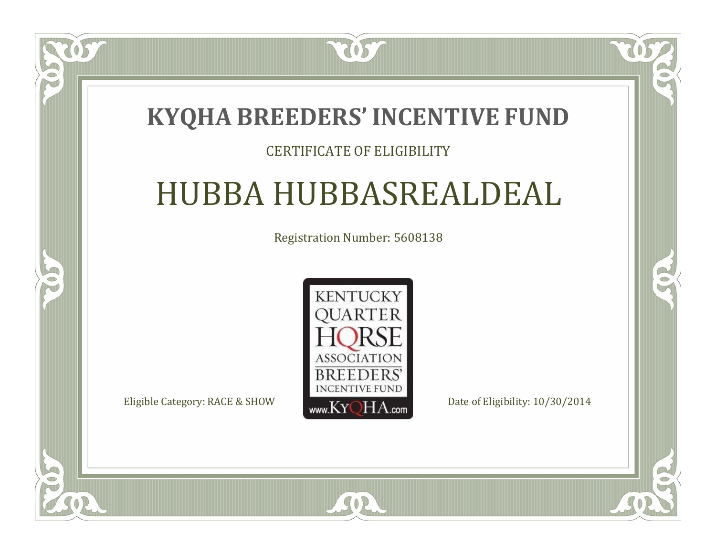### **KYQHA BREEDERS'INCENTIVE FUND**

2057

 $\blacksquare$ T

S

#### CERTIFICATE OF ELIGIBILITY

## HUBBA HUBBASREALDEAL

Registration Number: 5608138



SOR

 $\mathbb{R}^2$ 

 $\rightarrow$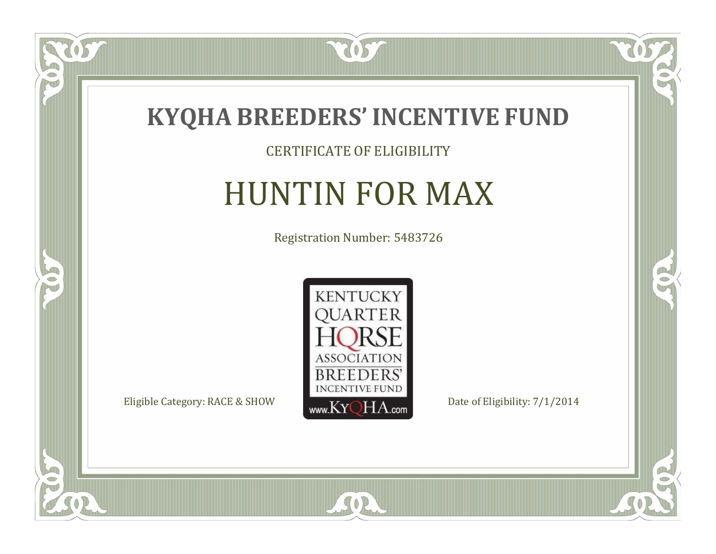

#### CERTIFICATE OF ELIGIBILITY

## HUNTIN FOR MAX

Registration Number: 5483726



SOR

 $\mathbb{R}$ 

 $\rightarrow$ 

 $\overline{OS}$ 

 $\bullet$ NU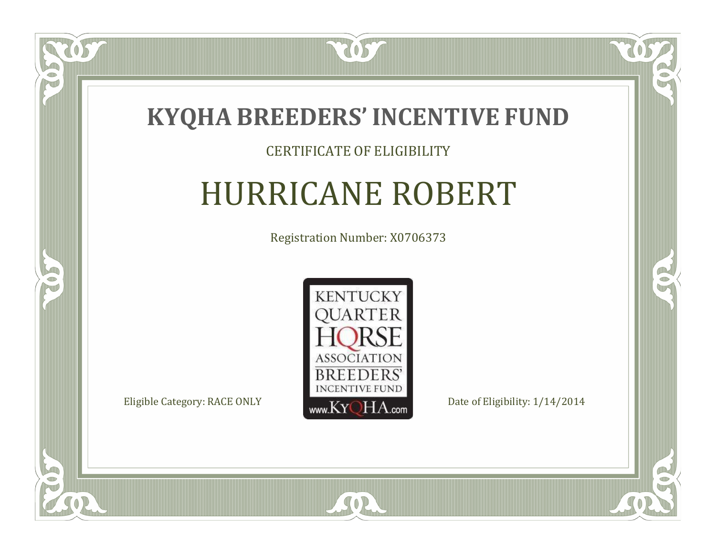

#### CERTIFICATE OF ELIGIBILITY

## HURRICANE ROBERT

Registration Number: X0706373



SOR

RO

B)

 $\Box$ N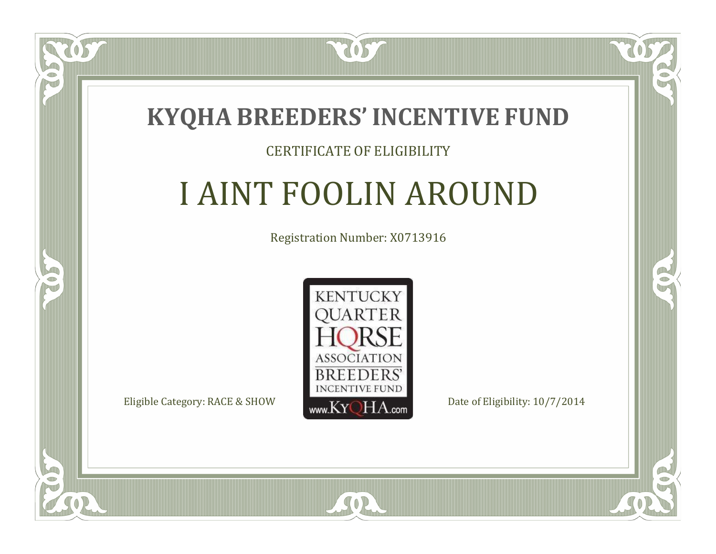

 $\blacksquare$ N

5

#### CERTIFICATE OF ELIGIBILITY

## I AINT FOOLIN AROUND

Registration Number: X0713916



SOR

CO.

CO.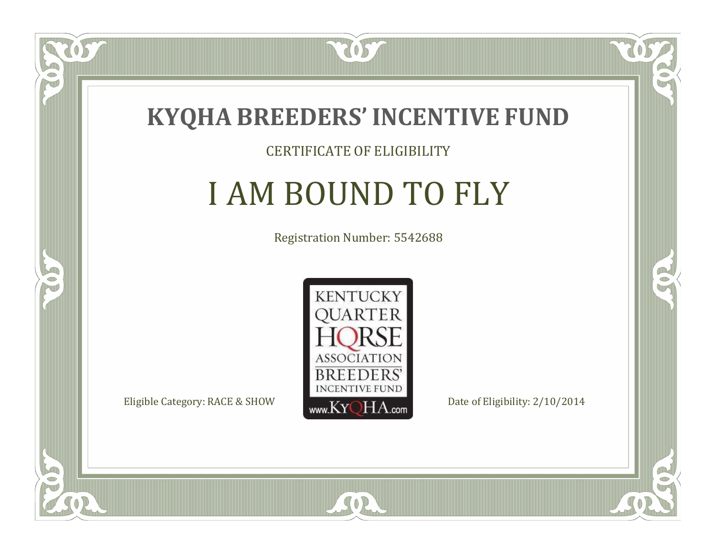

#### CERTIFICATE OF ELIGIBILITY

### I AM BOUND TO FLY

Registration Number: 5542688



SOR

CO.

 $\rightarrow$ 

US

 $\Box$ NU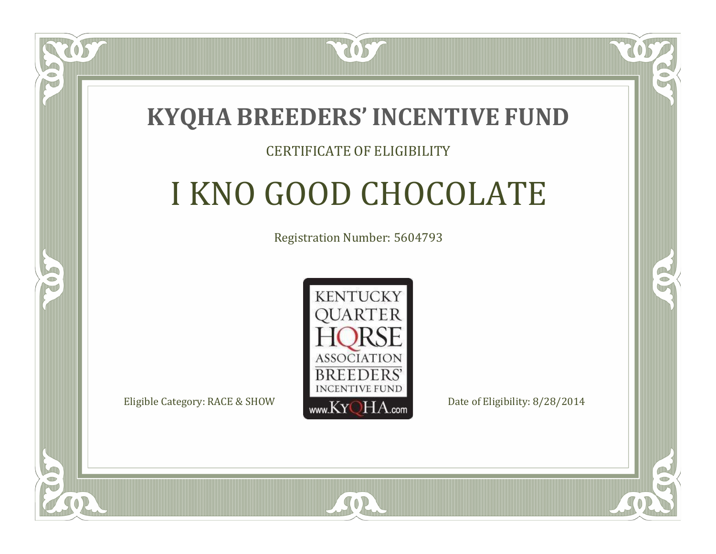### **KYQHA BREEDERS'INCENTIVE FUND**

7057

 $\Box$ T

S

#### CERTIFICATE OF ELIGIBILITY

# I KNO GOOD CHOCOLATE

Registration Number: 5604793



SOR

RO

P.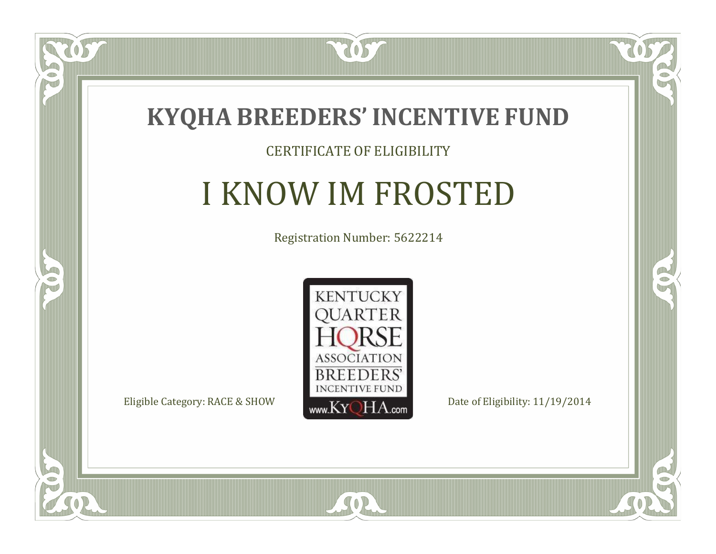

#### CERTIFICATE OF ELIGIBILITY

### I KNOW IM FROSTED

Registration Number: 5622214



SOR

CO.

 $\rightarrow$ 

 $\Box$ NU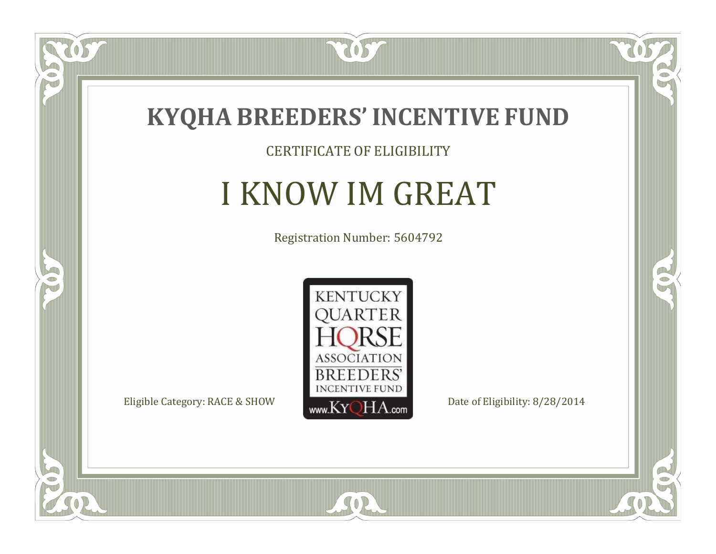

#### CERTIFICATE OF ELIGIBILITY

### I KNOW IM GREAT

Registration Number: 5604792



SOR

 $\mathbb{R}$ 

 $\rightarrow$ 

US

 $\bullet$ NU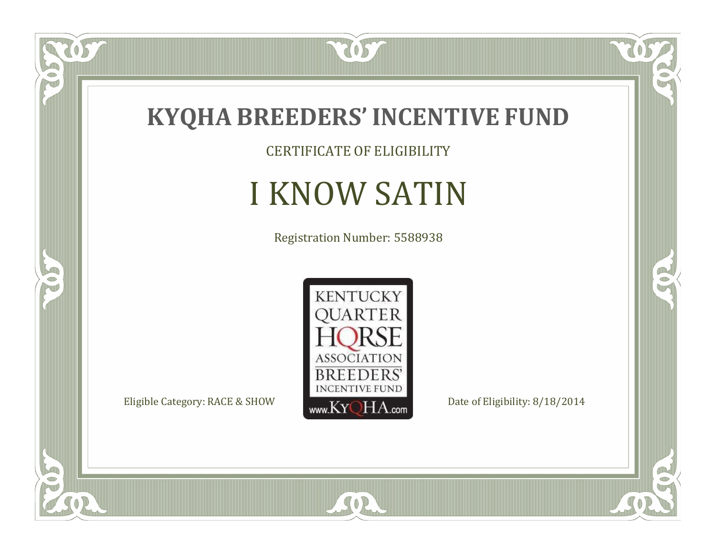

CERTIFICATE OF ELIGIBILITY

# I KNOW SATIN

Registration Number: 5588938



SOR

 $\mathbb{R}$ 

 $\mathbb{R}^2$ 

 $\overline{OS}$ 

 $\bullet$ N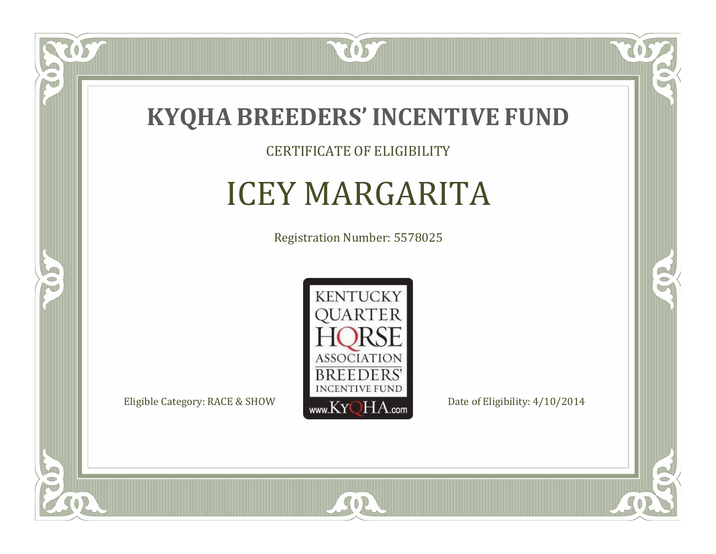

CERTIFICATE OF ELIGIBILITY

# ICEY MARGARITA

Registration Number: 5578025



 $SO2$ 

 $\delta S$ 

 $\Box$ NU

5

CO.

 $\rightarrow$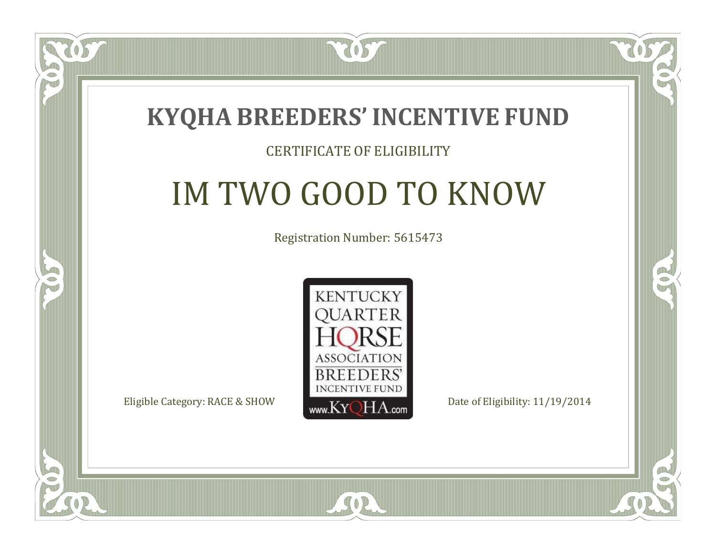

#### CERTIFICATE OF ELIGIBILITY

# IM TWO GOOD TO KNOW

Registration Number: 5615473



SOR

CO.

A.

 $\Box$ N

S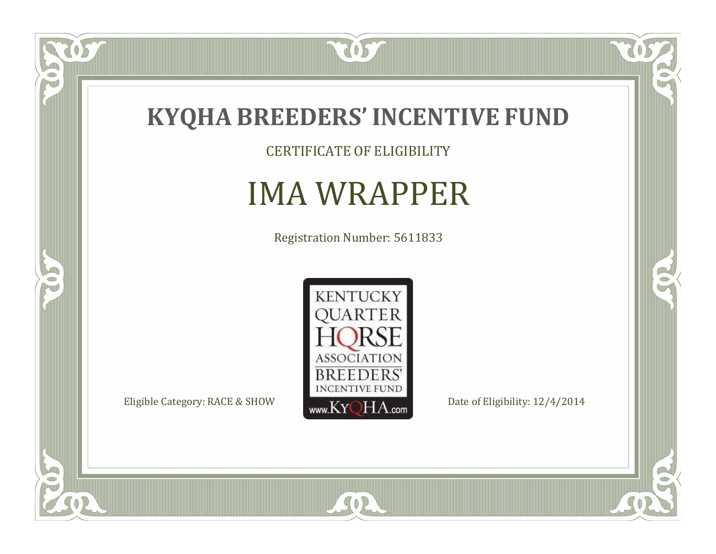

CERTIFICATE OF ELIGIBILITY

### IMA WRAPPER

Registration Number: 5611833



SOR

 $\mathbb{R}$ 

 $\mathbb{R}^2$ 

 $\overline{OS}$ 

 $\bullet$ N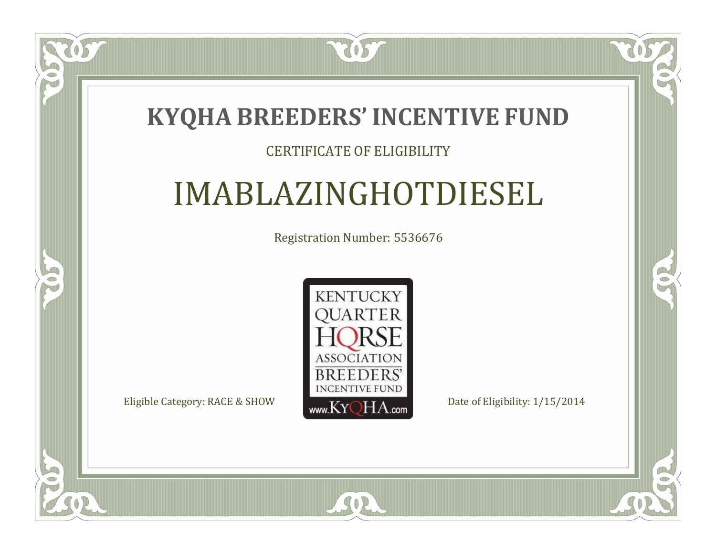

#### CERTIFICATE OF ELIGIBILITY

### IMABLAZINGHOTDIESEL

Registration Number: 5536676



 $SO2$ 

CO.

 $\rightarrow$ 

 $\blacksquare$ N

S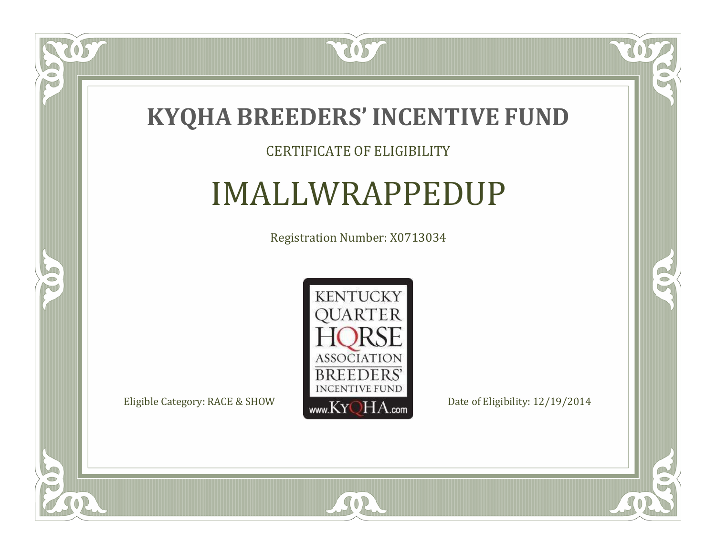

#### CERTIFICATE OF ELIGIBILITY

### IMALLWRAPPEDUP

Registration Number: X0713034



SOR

CO.

 $\rightarrow$ 

US

 $\Box$ NU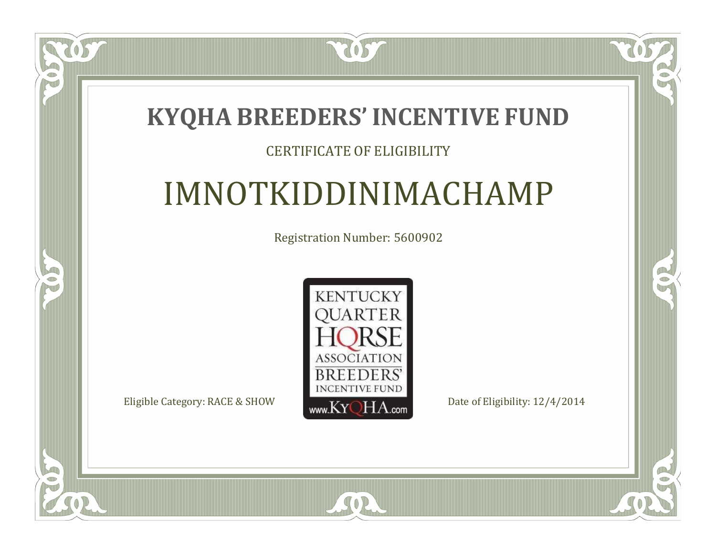### **KYQHA BREEDERS'INCENTIVE FUND**

2057

#### CERTIFICATE OF ELIGIBILITY

### IMNOTKIDDINIMACHAMP

Registration Number: 5600902



SOR

CO.

 $\rightarrow$ 

 $\blacksquare$ N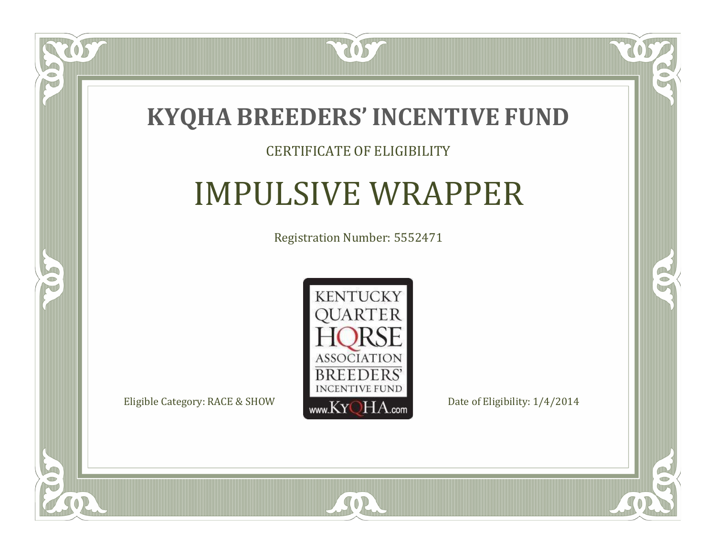

#### CERTIFICATE OF ELIGIBILITY

### IMPULSIVE WRAPPER

Registration Number: 5552471



SOR

 $\mathbb{R}$ 

 $\rightarrow$ 

 $\delta S$ 

 $\Box$ NU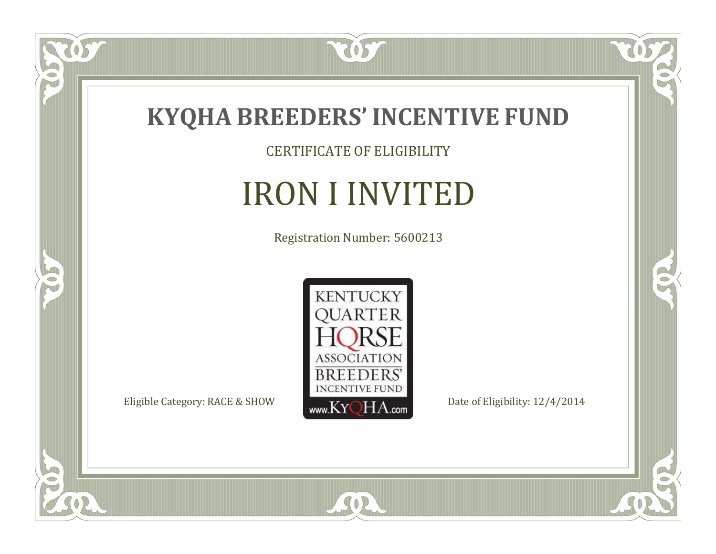

CERTIFICATE OF ELIGIBILITY

## IRON I INVITED

Registration Number: 5600213



SOR

 $\mathbb{R}$ 

 $\mathbb{R}^2$ 

 $\overline{OS}$ 

 $\bullet$ N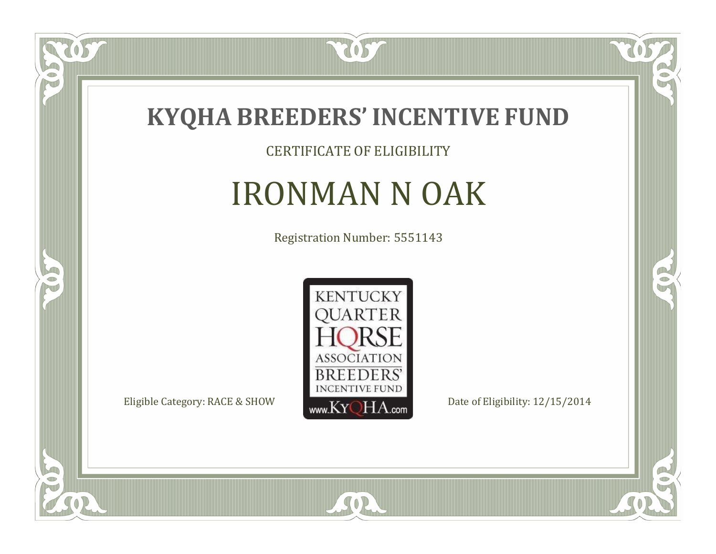

CERTIFICATE OF ELIGIBILITY

### IRONMAN N OAK

Registration Number: 5551143



SOR

CO.

 $\rightarrow$ 

057

 $\bullet$ NU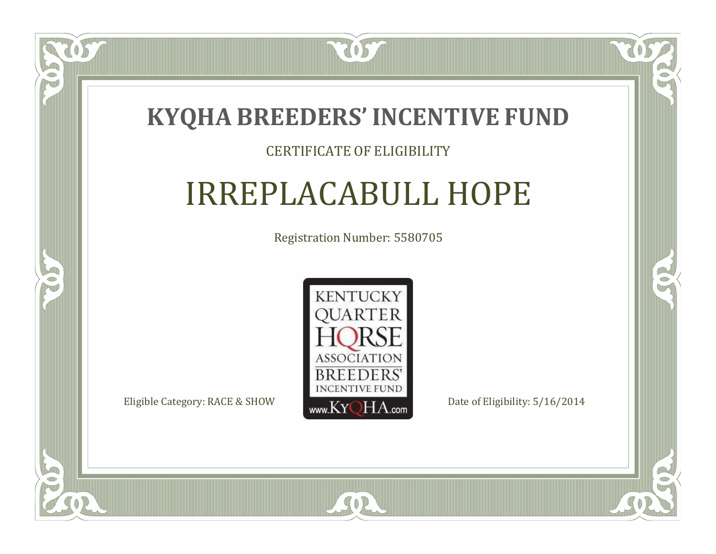

#### CERTIFICATE OF ELIGIBILITY

## IRREPLACABULL HOPE

Registration Number: 5580705



SOR

RO

 $\rightarrow$ 

 $\blacksquare$ N

S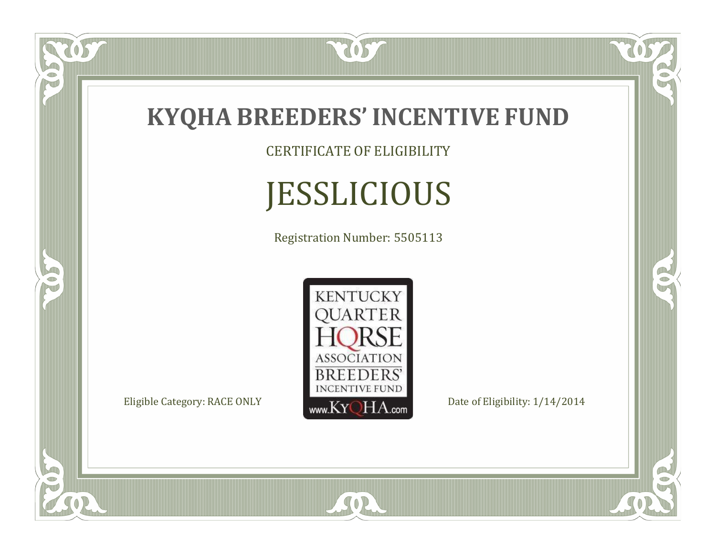

### **KYQHA BREEDERS'INCENTIVE FUND**

CERTIFICATE OF ELIGIBILITY

# JESSLICIOUS

Registration Number: 5505113



SOR

RO

 $\mathbb{R}^2$ 

 $\overline{OS}$ 

FO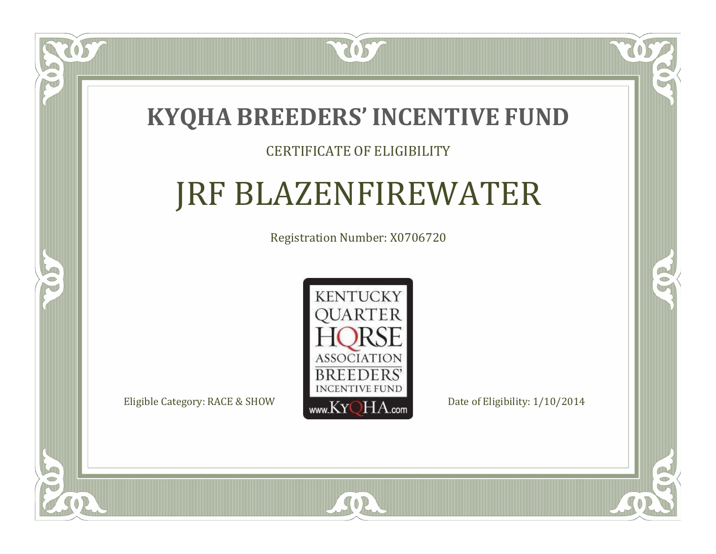### **KYQHA BREEDERS'INCENTIVE FUND**

2057

#### CERTIFICATE OF ELIGIBILITY

## JRF BLAZENFIREWATER

Registration Number: X0706720



SOR

 $\mathbb{R}^2$ 

CO.

 $\Box$ N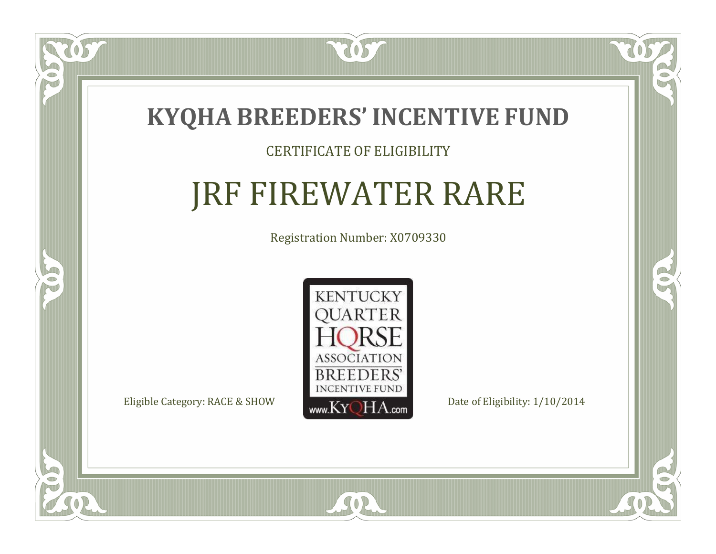

#### CERTIFICATE OF ELIGIBILITY

## JRF FIREWATER RARE

Registration Number: X0709330



 $SO2$ 

CO.

CO.

 $\Box$ N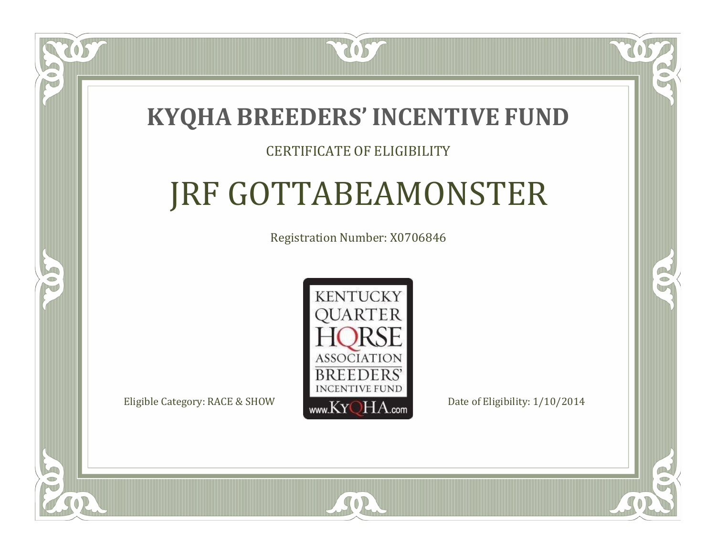### **KYQHA BREEDERS'INCENTIVE FUND**

2057

#### CERTIFICATE OF ELIGIBILITY

## JRF GOTTABEAMONSTER

Registration Number: X0706846



SOR

 $\mathbb{R}^2$ 

CO.



 $\Box$ N

S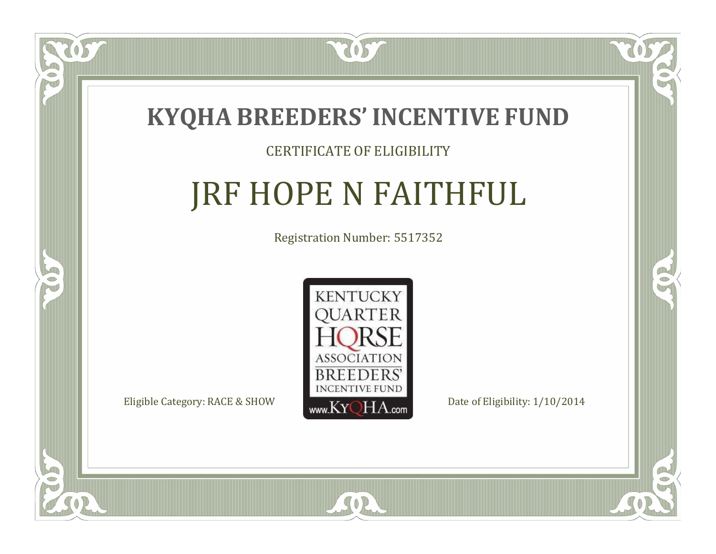

#### CERTIFICATE OF ELIGIBILITY

## JRF HOPE N FAITHFUL

Registration Number: 5517352



 $SO2$ 

 $\Box$ N

5

CO.

 $\mathcal{C}$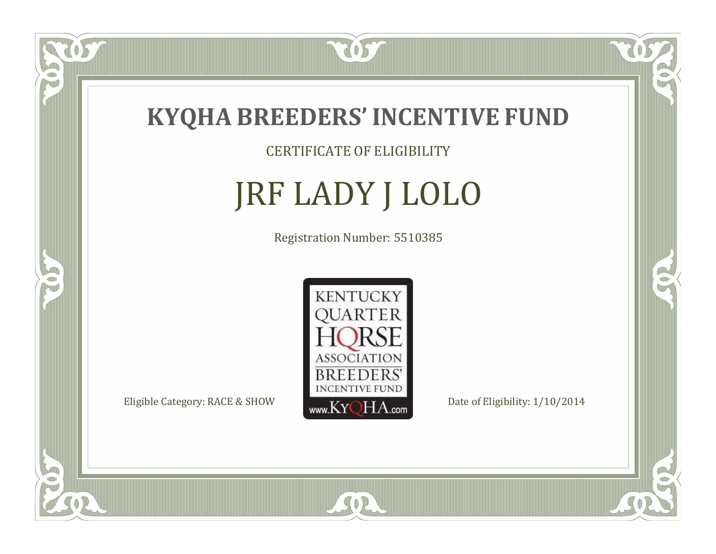

CERTIFICATE OF ELIGIBILITY

# JRF LADY J LOLO

Registration Number: 5510385



 $SO2$ 

CO.

 $\rightarrow$ 

 $\overline{OS}$ 

 $\Box$ N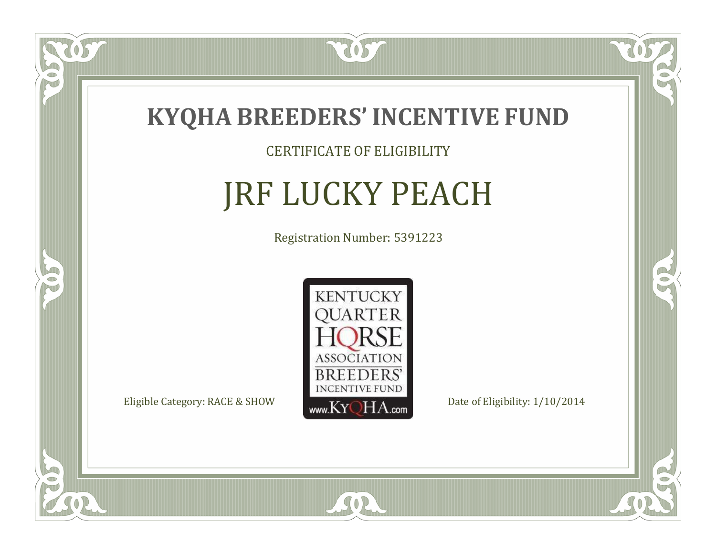

#### CERTIFICATE OF ELIGIBILITY

# JRF LUCKY PEACH

Registration Number: 5391223



SOR

CO.

 $\rightarrow$ 

 $\overline{OS}$ 

 $\Box$ NU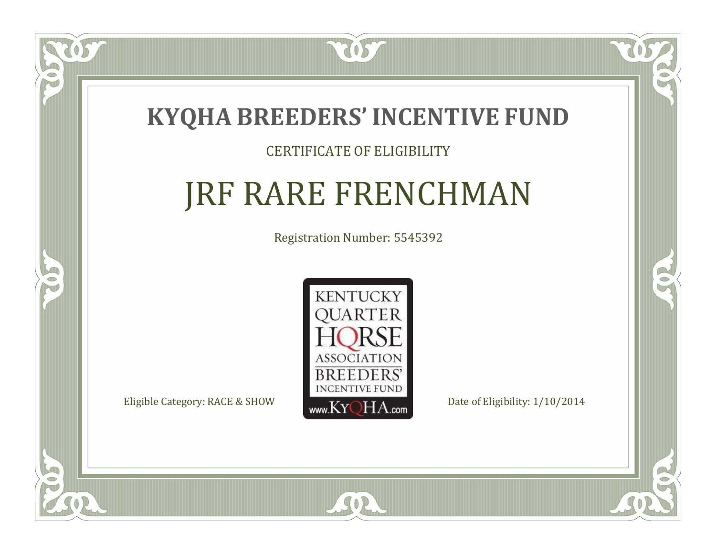

#### CERTIFICATE OF ELIGIBILITY

## JRF RARE FRENCHMAN

Registration Number: 5545392



SOR

CO.

 $\rightarrow$ 

 $\overline{OS}$ 

 $\Box$ T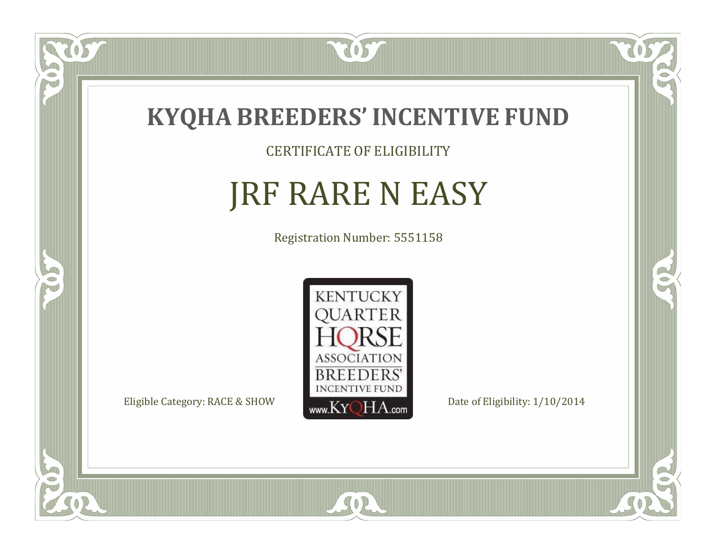

CERTIFICATE OF ELIGIBILITY

# JRF RARE N EASY

Registration Number: 5551158



SOR

CO.

B)

 $\overline{OS}$ 

 $\Box$ NU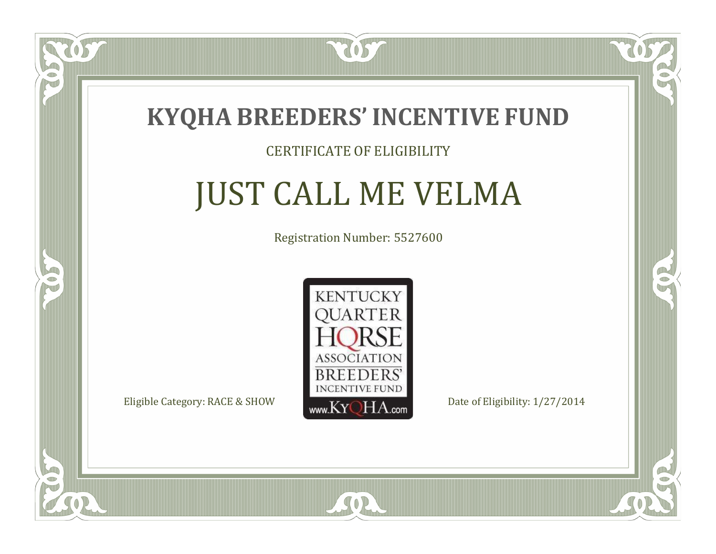

#### CERTIFICATE OF ELIGIBILITY

## JUST CALL ME VELMA

Registration Number: 5527600



SOR

CO.

CO.

 $\Box$ N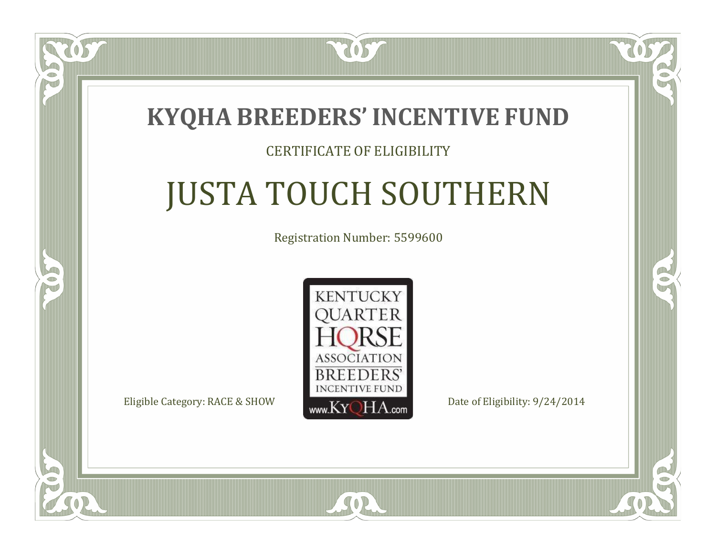### **KYQHA BREEDERS'INCENTIVE FUND**

2057

#### CERTIFICATE OF ELIGIBILITY

# JUSTA TOUCH SOUTHERN

Registration Number: 5599600



SOR

CO.

CO.

 $\Box$ N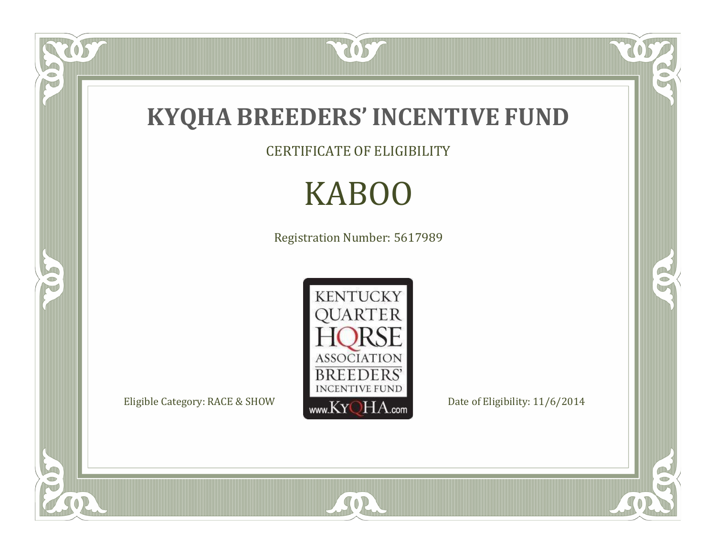

OST

FO

5

O

CERTIFICATE OF ELIGIBILITY

# KABOO

Registration Number: 5617989



SOR

 $\mathbb{R}$ 

 $\mathbb{R}^2$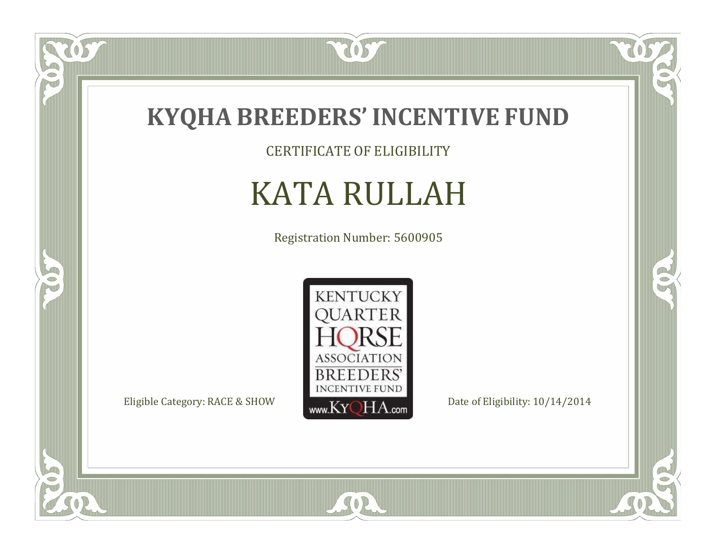

CERTIFICATE OF ELIGIBILITY

# KATA RULLAH

Registration Number: 5600905



SOR

 $\mathbb{R}$ 

 $\mathbb{R}^2$ 

 $\overline{OS}$ 

 $\bullet$ NU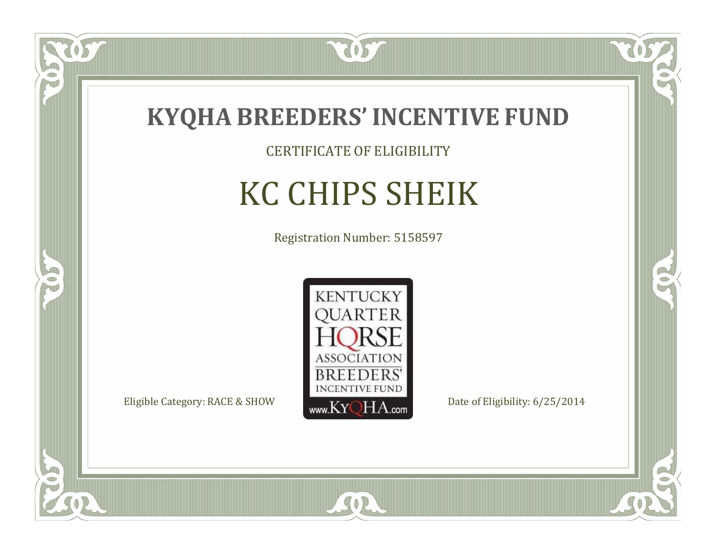

CERTIFICATE OF ELIGIBILITY

# KC CHIPS SHEIK

Registration Number: 5158597



SOR

CO.

 $\rightarrow$ 

 $\delta S$ 

 $\bullet$ NU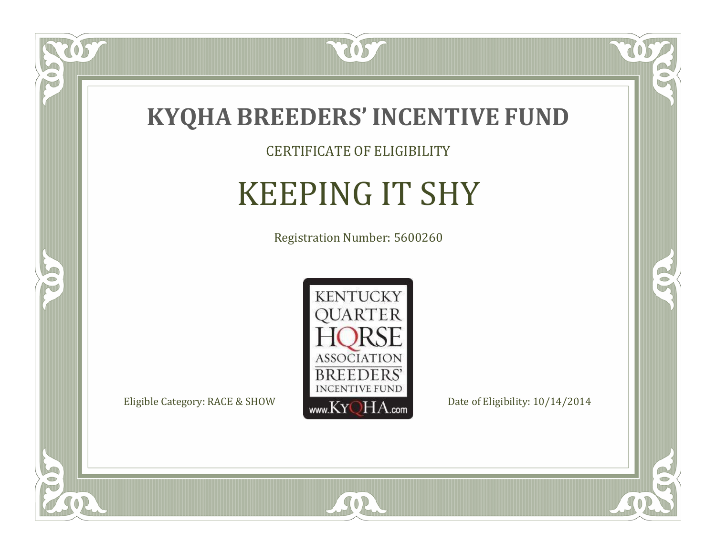

CERTIFICATE OF ELIGIBILITY

# KEEPING IT SHY

Registration Number: 5600260



 $SO2$ 

CO.

 $\rightarrow$ 

 $\overline{OS}$ 

 $\bullet$ NU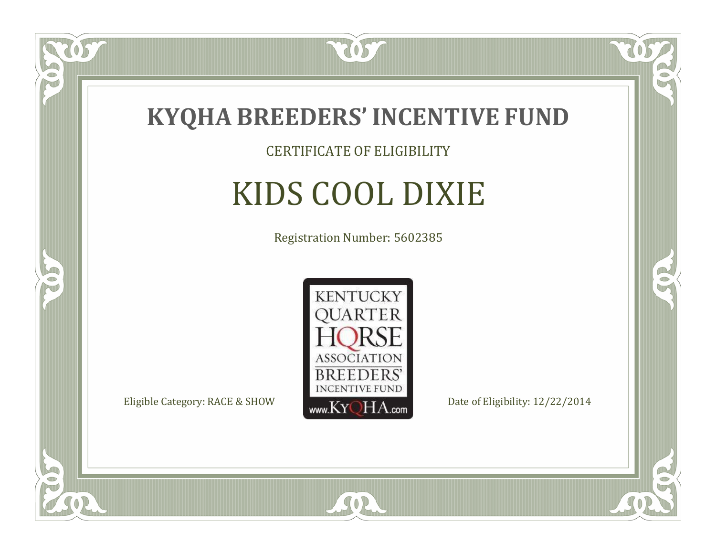

CERTIFICATE OF ELIGIBILITY

# KIDS COOL DIXIE

Registration Number: 5602385



SOR

CO.

B)

OS

 $\Box$ NU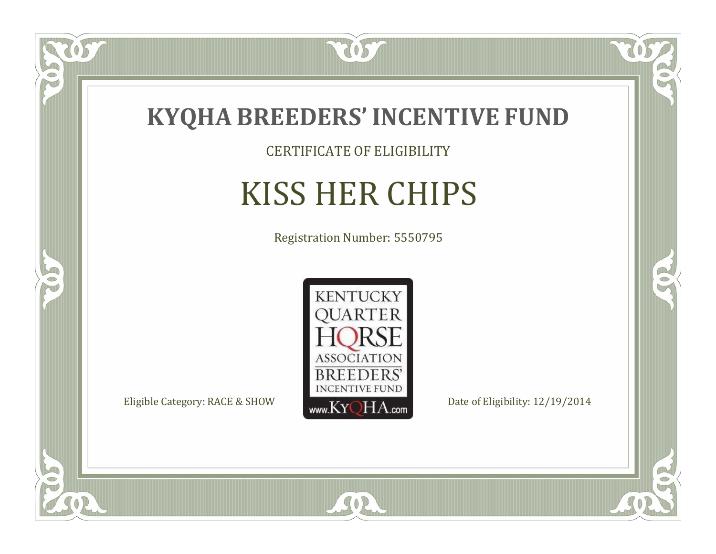

CERTIFICATE OF ELIGIBILITY

# KISS HER CHIPS

Registration Number: 5550795



SOR

US

 $\bullet$ NU

5

CO.

 $\rightarrow$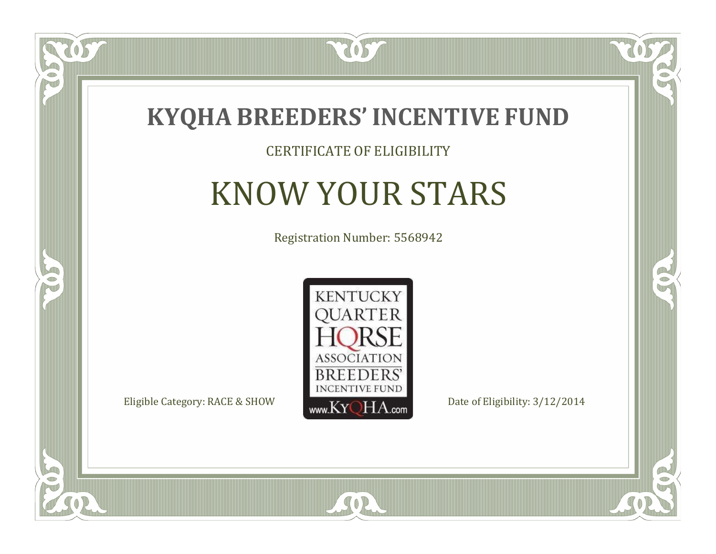

#### CERTIFICATE OF ELIGIBILITY

# KNOW YOUR STARS

Registration Number: 5568942



SOR

CO.

 $\rightarrow$ 

057

 $\Box$ NU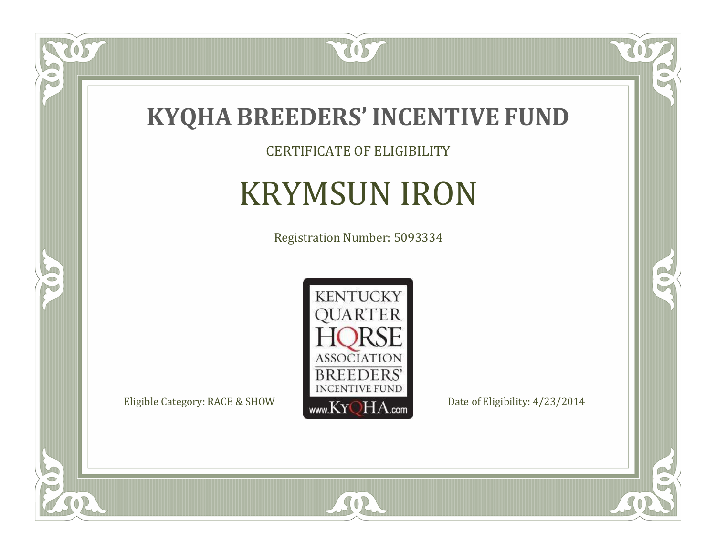

 $\overline{OS}$ 

 $\bullet$ NU

5

CERTIFICATE OF ELIGIBILITY

# KRYMSUN IRON

Registration Number: 5093334



SOR

 $\mathbb{R}$ 

 $\rightarrow$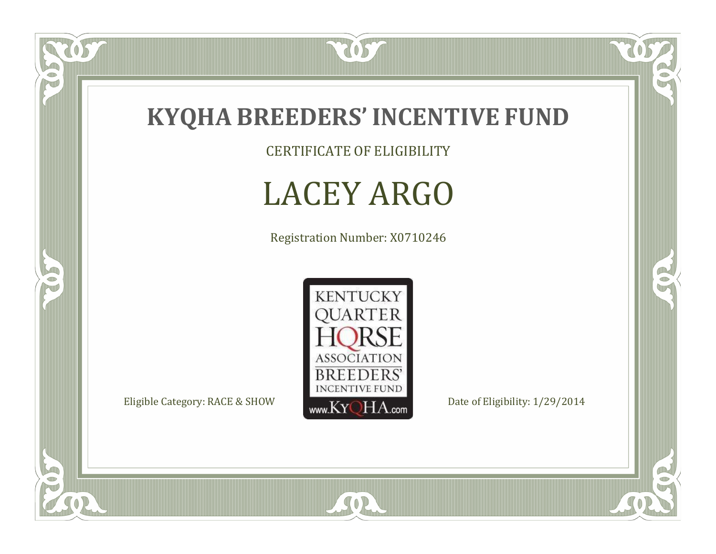

CERTIFICATE OF ELIGIBILITY

### LACEY ARGO

Registration Number: X0710246



SOR

CO.

 $\rightarrow$ 

057

 $\bullet$ N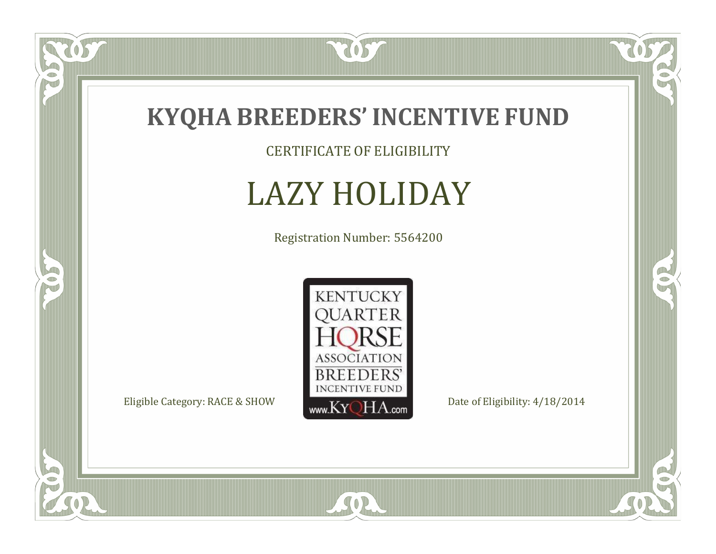

CERTIFICATE OF ELIGIBILITY

# LAZY HOLIDAY

Registration Number: 5564200



SOR

 $\mathbb{R}$ 

 $\mathbb{R}^2$ 

US

 $\bullet$ N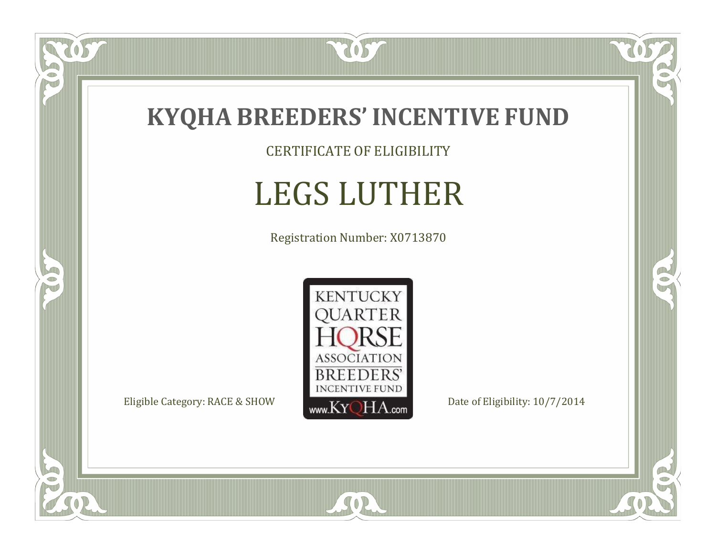

CERTIFICATE OF ELIGIBILITY

# LEGS LUTHER

Registration Number: X0713870



SOR

CO.

 $\rightarrow$ 

057

 $\bullet$ NU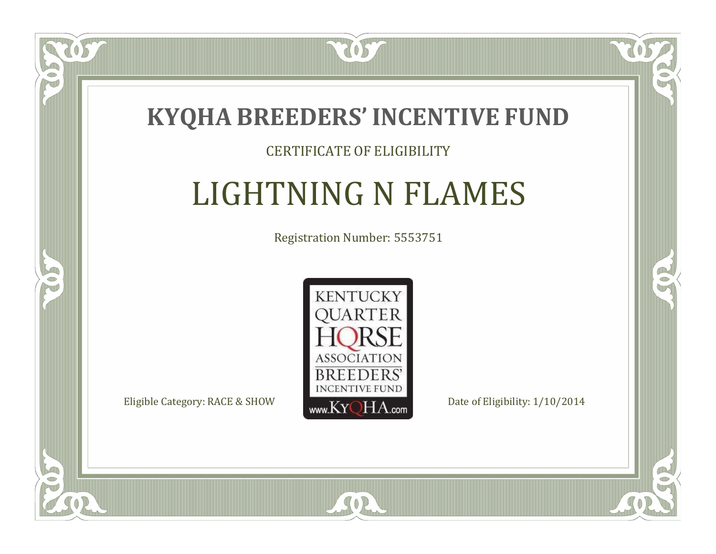

#### CERTIFICATE OF ELIGIBILITY

## LIGHTNING N FLAMES

Registration Number: 5553751



CO.

 $\rightarrow$ 

 $\Box$ N

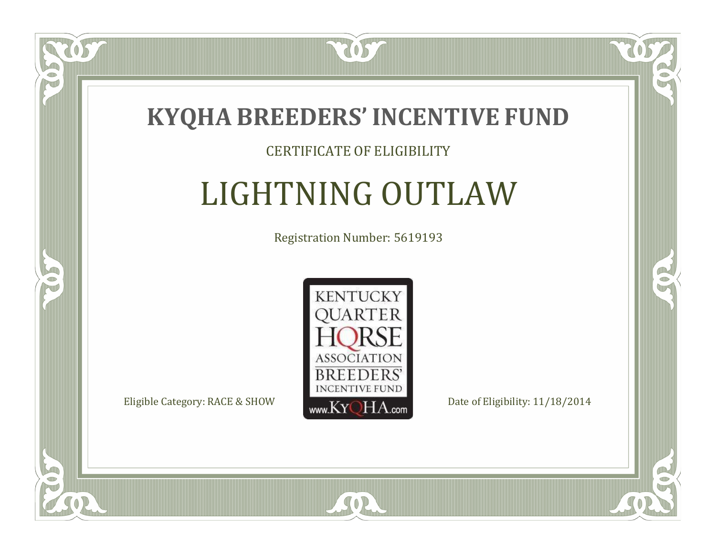

#### CERTIFICATE OF ELIGIBILITY

# LIGHTNING OUTLAW

Registration Number: 5619193



SOR

CO.

 $\rightarrow$ 

US

 $\Box$ NU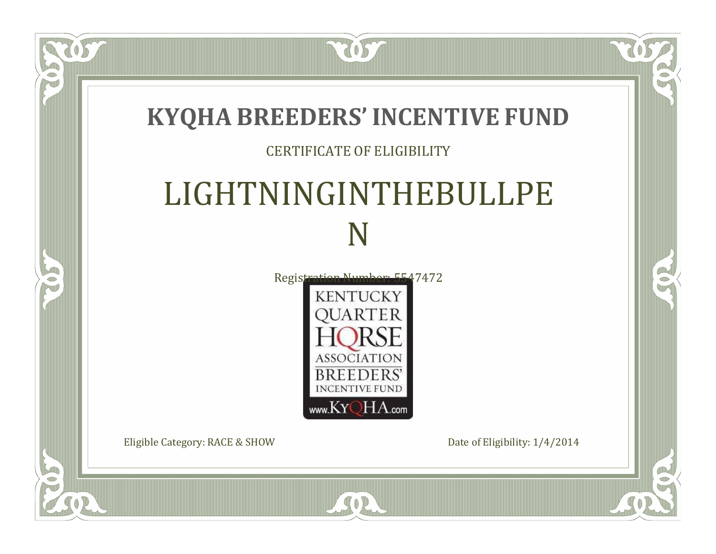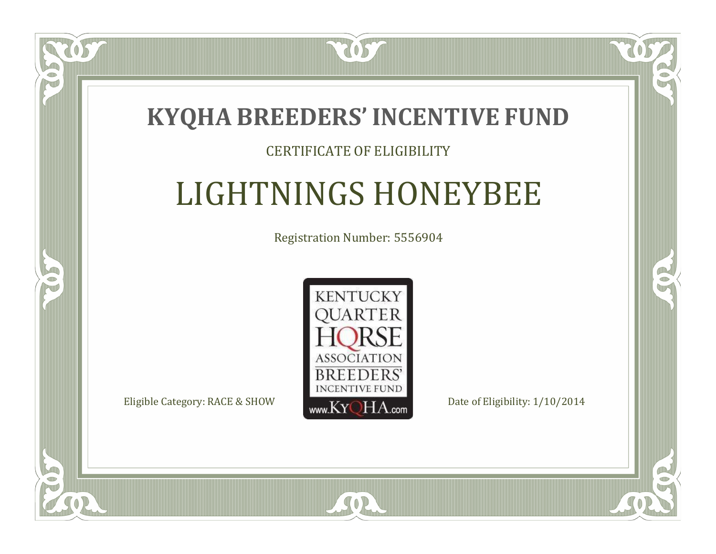

#### CERTIFICATE OF ELIGIBILITY

## LIGHTNINGS HONEYBEE

Registration Number: 5556904



SOR

CO.

 $\rightarrow$ 

 $\Box$ N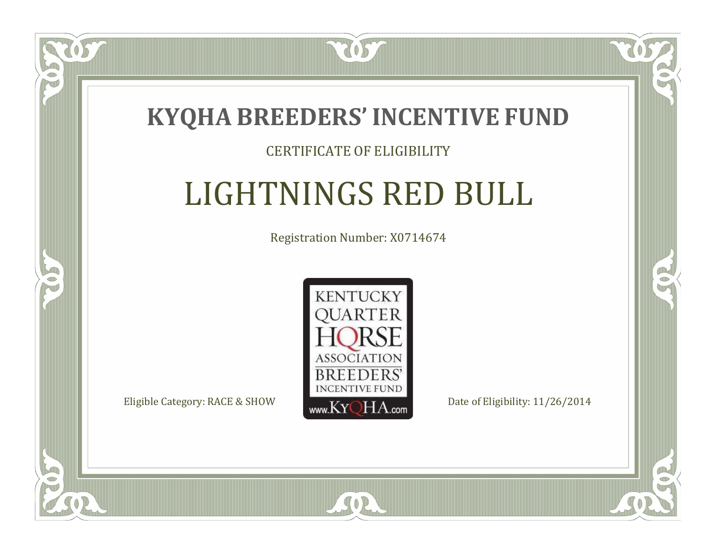

 $\blacksquare$ N

S

#### CERTIFICATE OF ELIGIBILITY

# LIGHTNINGS RED BULL

Registration Number: X0714674



SOR

RO

CO.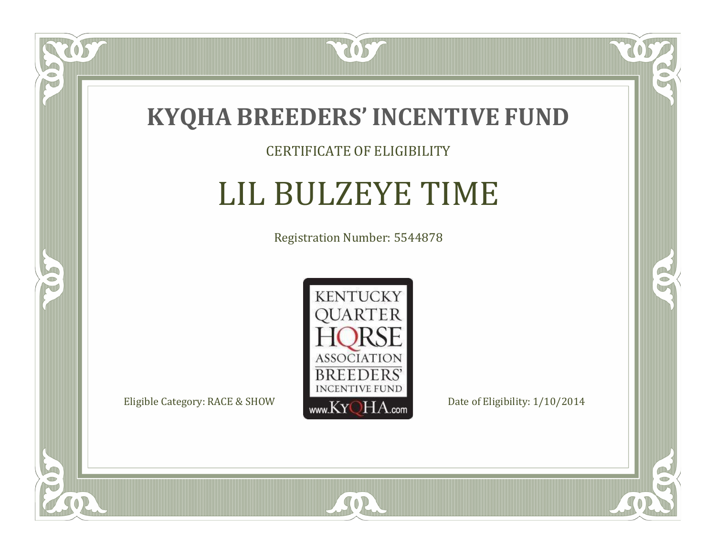

#### CERTIFICATE OF ELIGIBILITY

# LIL BULZEYE TIME

Registration Number: 5544878



US

 $\bullet$ NU

5

CO.

 $\rightarrow$ 

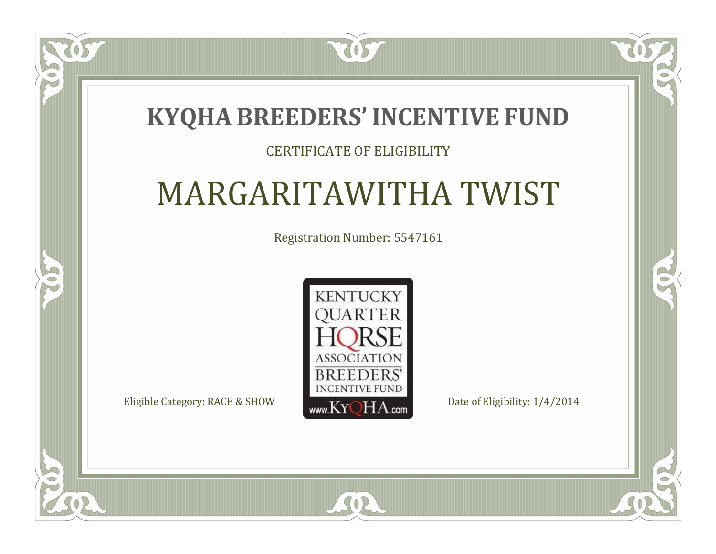### **KYQHA BREEDERS'INCENTIVE FUND**

7057

#### CERTIFICATE OF ELIGIBILITY

# MARGARITAWITHA TWIST

Registration Number: 5547161



SOR

 $\mathbb{R}$ 

 $\rightarrow$ 

 $\blacksquare$ N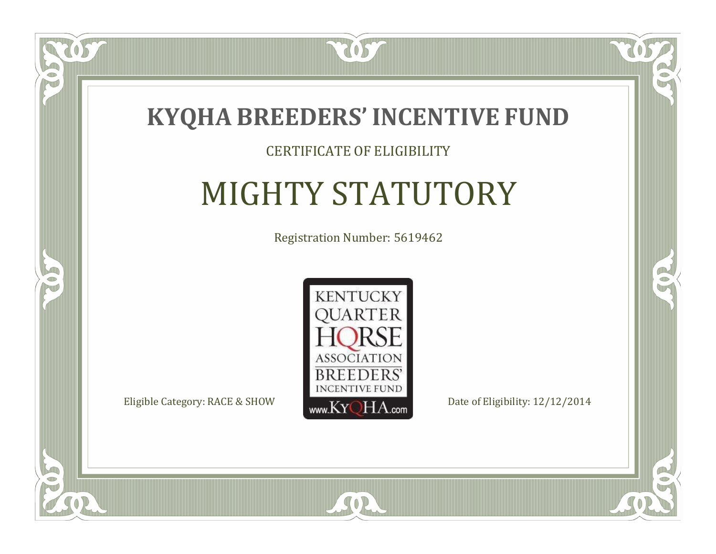

#### CERTIFICATE OF ELIGIBILITY

# MIGHTY STATUTORY

Registration Number: 5619462



CO.

 $\rightarrow$ 

 $\Box$ N

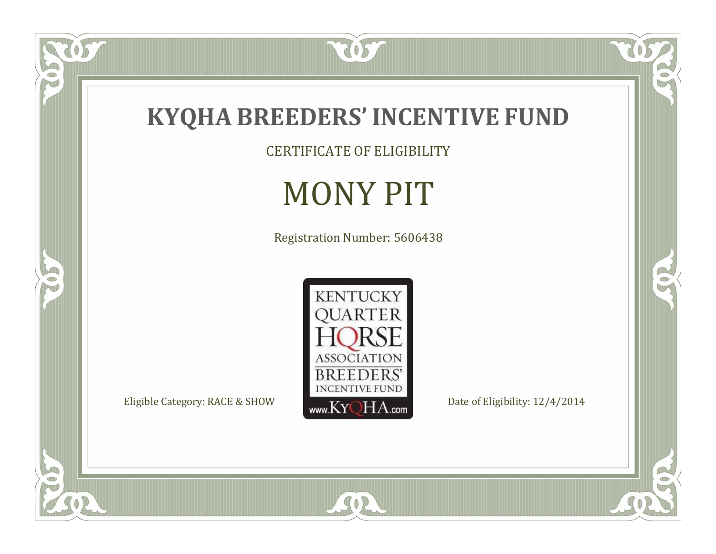

CERTIFICATE OF ELIGIBILITY

# MONY PIT

Registration Number: 5606438



SOR

UL

P

5

O

 $\mathbb{R}$ 

 $\mathbb{R}^2$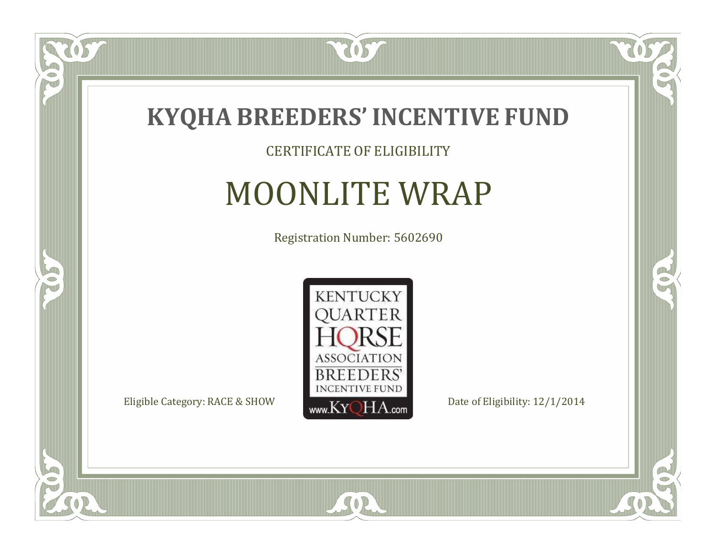

CERTIFICATE OF ELIGIBILITY

## MOONLITE WRAP

Registration Number: 5602690



SOR

 $\mathbb{R}$ 

 $\rightarrow$ 

US

 $\bullet$ NU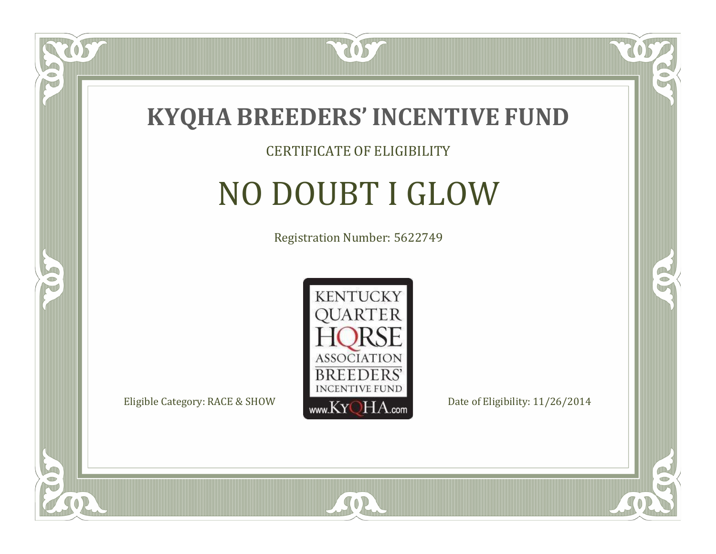

 $\delta S$ 

 $\Box$ NU

5

#### CERTIFICATE OF ELIGIBILITY

# NO DOUBT I GLOW

Registration Number: 5622749



SOR

CO.

 $\rightarrow$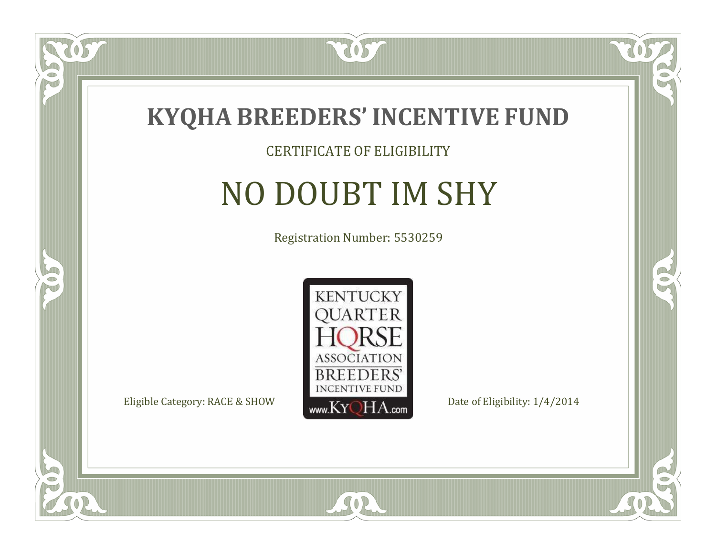

#### CERTIFICATE OF ELIGIBILITY

# NO DOUBT IM SHY

Registration Number: 5530259



CO.

 $\rightarrow$ 

057

 $\Box$ NU

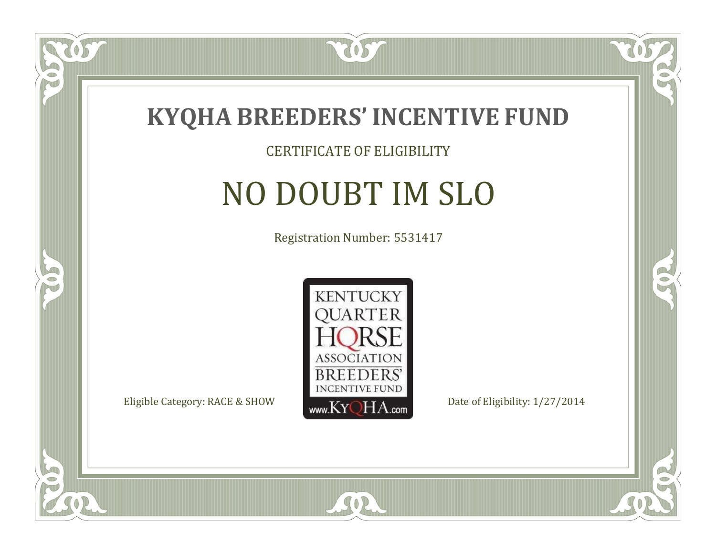

#### CERTIFICATE OF ELIGIBILITY

# NO DOUBT IM SLO

Registration Number: 5531417



SOR

CO.

 $\rightarrow$ 

US

 $\Box$ NU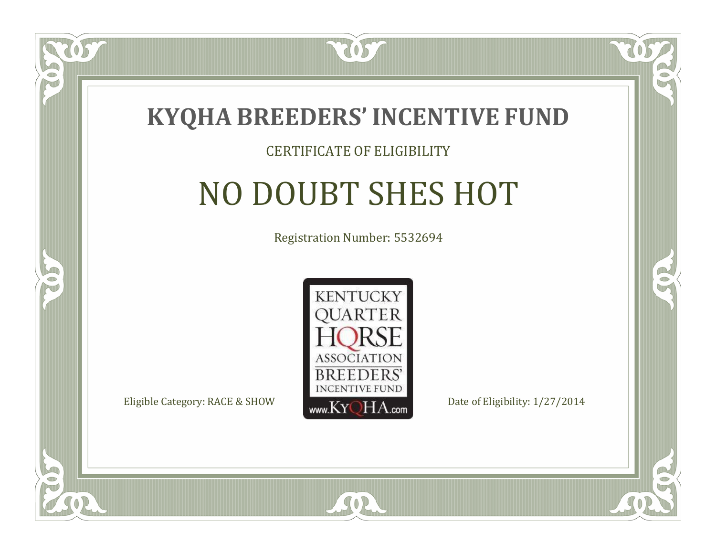

#### CERTIFICATE OF ELIGIBILITY

# NO DOUBT SHES HOT

Registration Number: 5532694



SOR

 $\Box$ N

5

CO.

B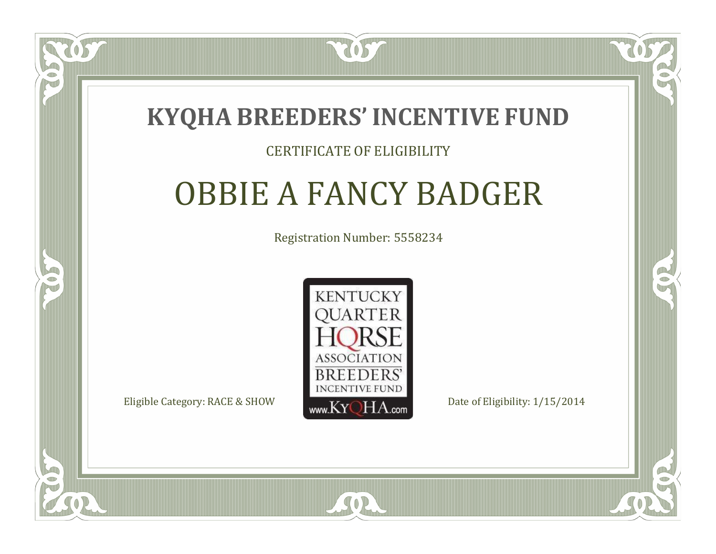

#### CERTIFICATE OF ELIGIBILITY

### OBBIE A FANCY BADGER

Registration Number: 5558234



SOR

RO

P.

 $\Box$ N

S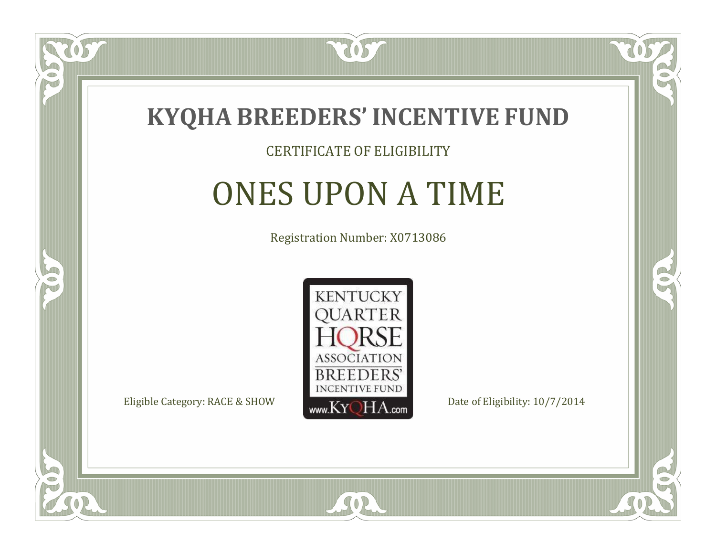

#### CERTIFICATE OF ELIGIBILITY

## ONES UPON A TIME

Registration Number: X0713086



SOR

CO.

B



 $\Box$ NU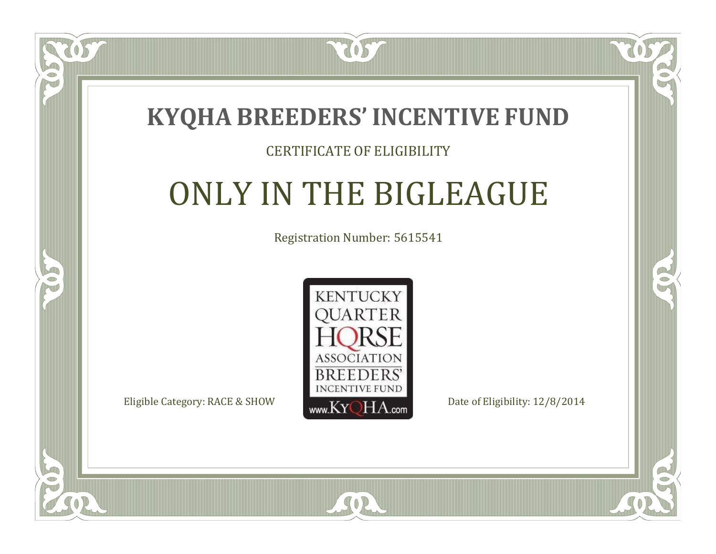

#### CERTIFICATE OF ELIGIBILITY

# ONLY IN THE BIGLEAGUE

Registration Number: 5615541



SOR

CO.

B

 $\blacksquare$ N

S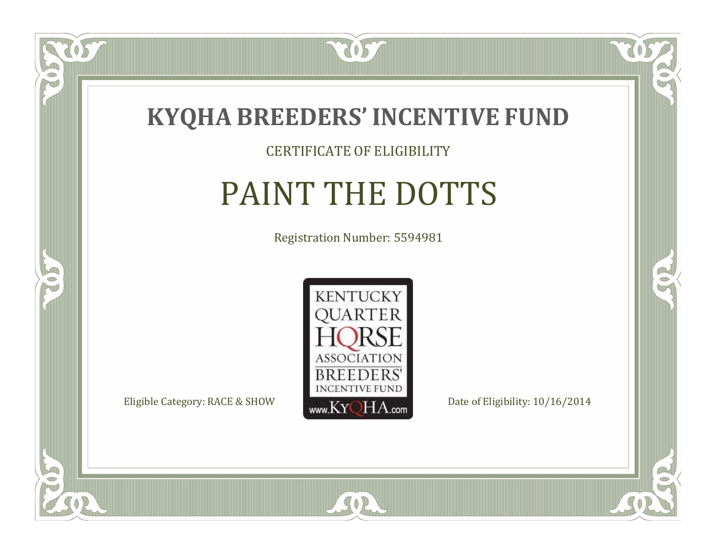

#### CERTIFICATE OF ELIGIBILITY

## PAINT THE DOTTS

Registration Number: 5594981



SOR

CO.

 $\rightarrow$ 

US

 $\bullet$ NU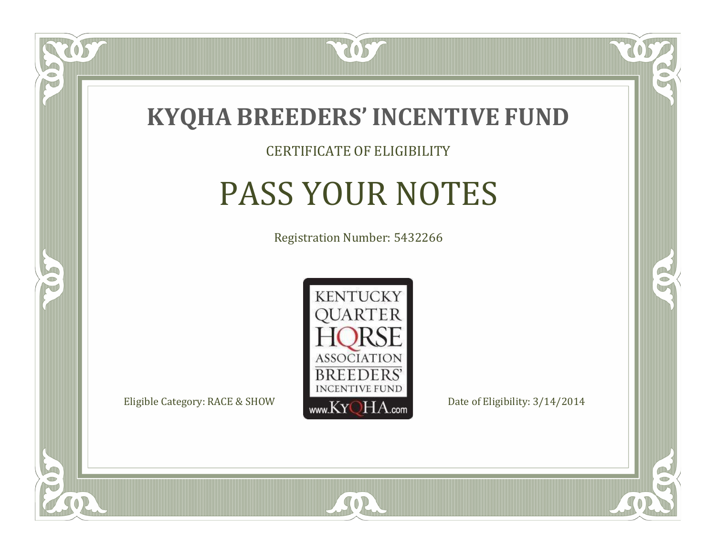

#### CERTIFICATE OF ELIGIBILITY

## PASS YOUR NOTES

Registration Number: 5432266



SOR

CO.

OR.

 $\Box$ NU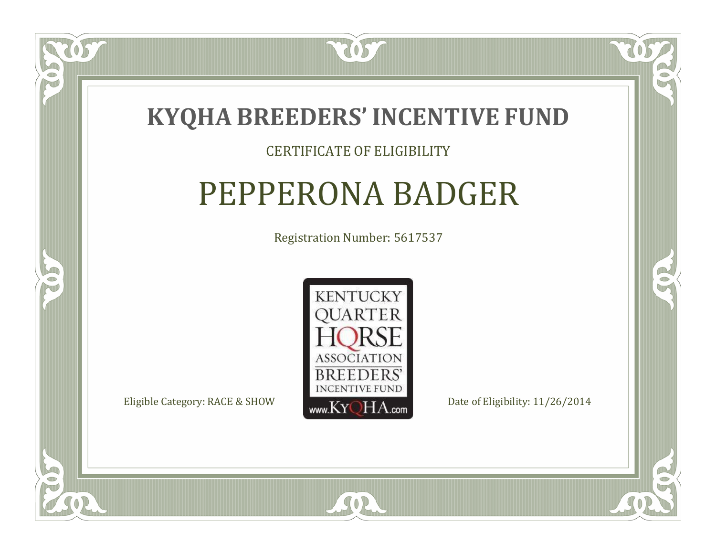

#### CERTIFICATE OF ELIGIBILITY

### PEPPERONA BADGER

Registration Number: 5617537



SOR

 $\Box$ N

5

RO

B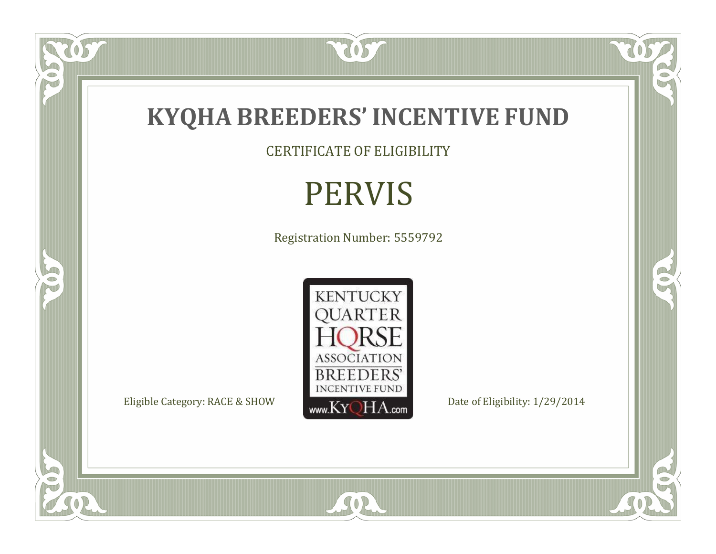

CERTIFICATE OF ELIGIBILITY

# PERVIS

Registration Number: 5559792



SOR

RO

 $\mathbb{R}^2$ 

 $\check{OS}$ 

FO

5

O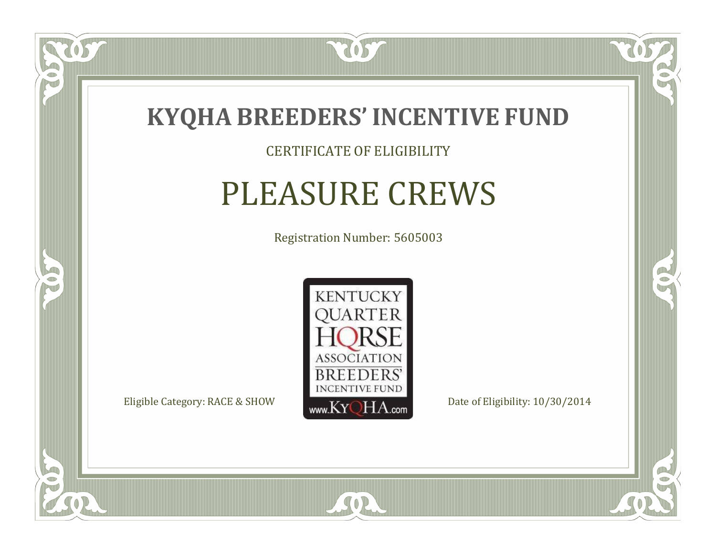

#### CERTIFICATE OF ELIGIBILITY

### PLEASURE CREWS

Registration Number: 5605003



SOR

RO

 $\rightarrow$ 

US

 $\Box$ NU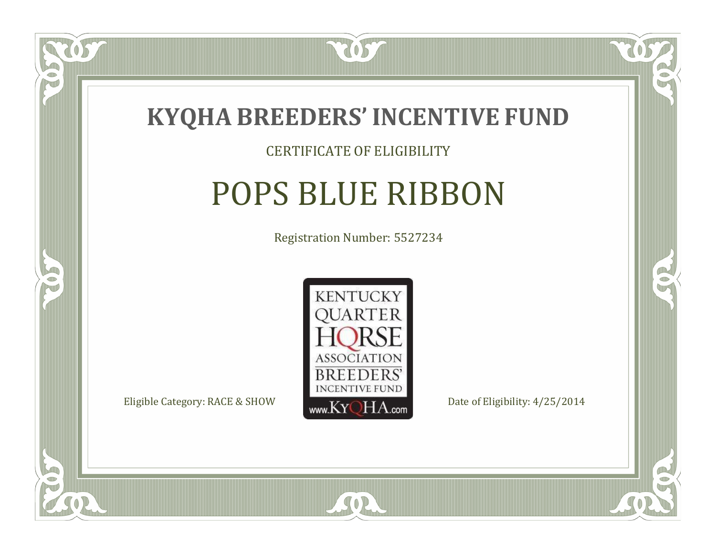

#### CERTIFICATE OF ELIGIBILITY

### POPS BLUE RIBBON

Registration Number: 5527234



SOR

CO.

OR.

OS

 $\Box$ NU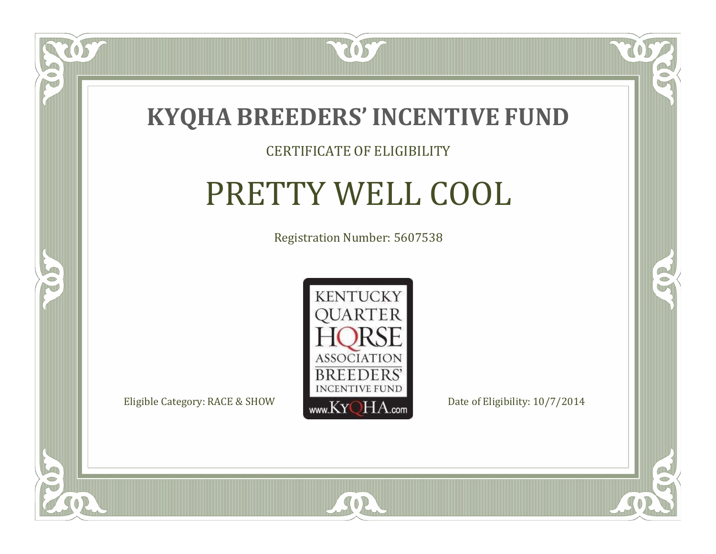

#### CERTIFICATE OF ELIGIBILITY

# PRETTY WELL COOL

Registration Number: 5607538



 $SO2$ 

CO.

B

 $\Box$ N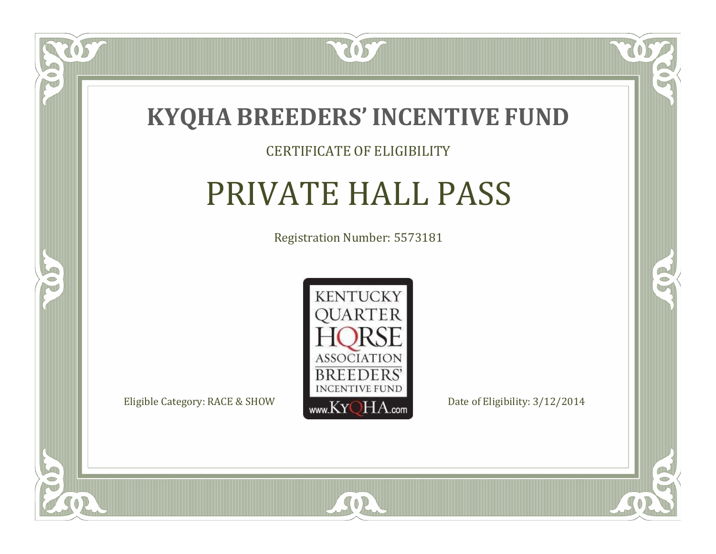

#### CERTIFICATE OF ELIGIBILITY

### PRIVATE HALL PASS

Registration Number: 5573181



SOR

CO.

 $\rightarrow$ 

OS

 $\Box$ NU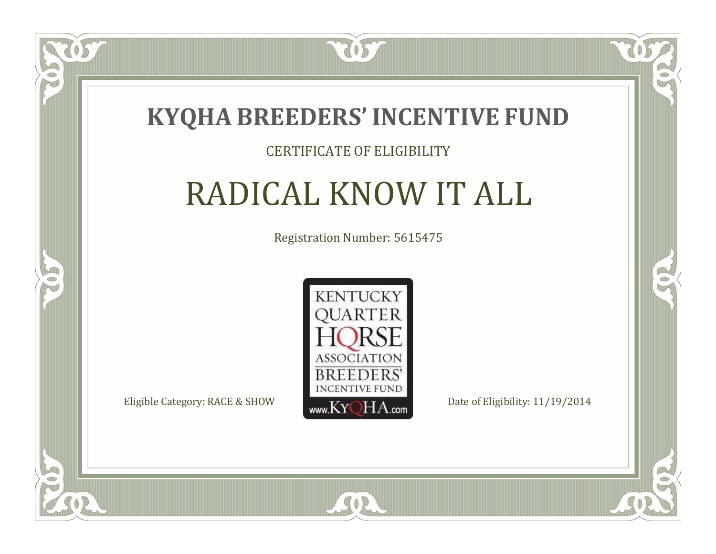

#### CERTIFICATE OF ELIGIBILITY

# RADICAL KNOW IT ALL

Registration Number: 5615475



 $SO2$ 

CO.

B

 $\blacksquare$ N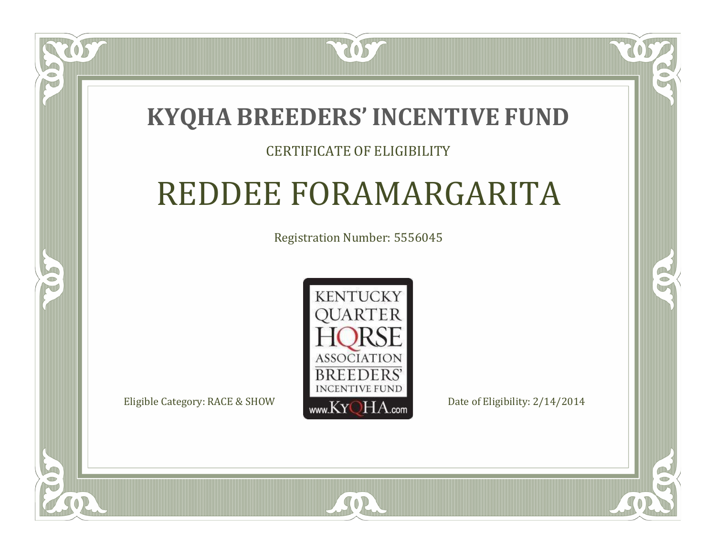### **KYQHA BREEDERS'INCENTIVE FUND**

7057

#### CERTIFICATE OF ELIGIBILITY

### REDDEE FORAMARGARITA

Registration Number: 5556045



SOR

RO

B

 $\Box$ T

S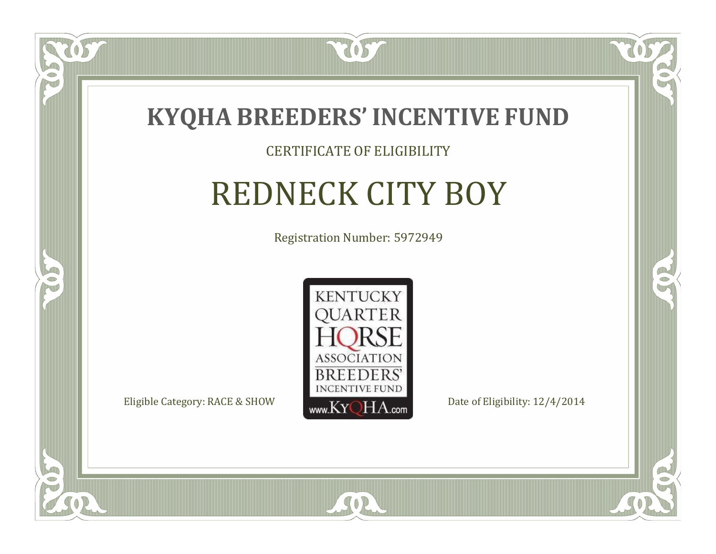

#### CERTIFICATE OF ELIGIBILITY

# REDNECK CITY BOY

Registration Number: 5972949



SOR

CO.

 $\rightarrow$ 

OS

 $\Box$ NU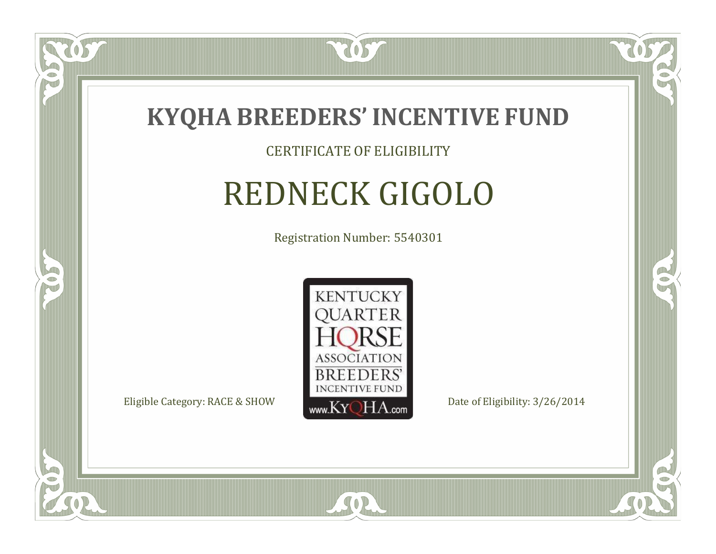

#### CERTIFICATE OF ELIGIBILITY

# REDNECK GIGOLO

Registration Number: 5540301



SOR

RO

B

US.

 $\Box$ NU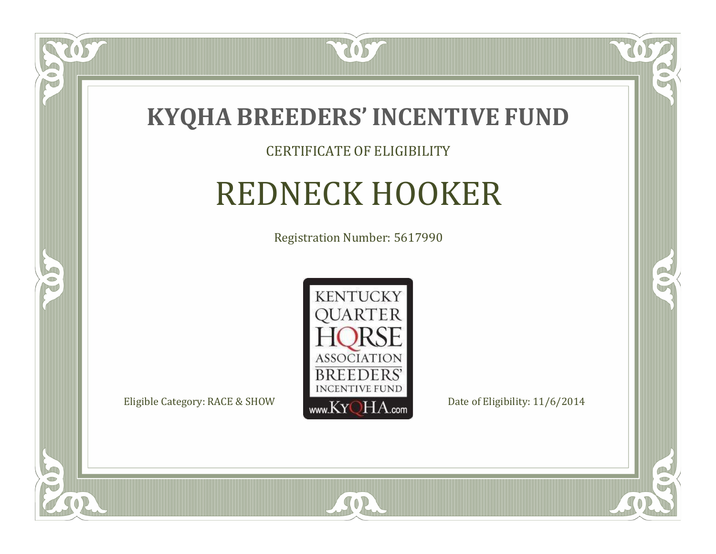

#### CERTIFICATE OF ELIGIBILITY

### REDNECK HOOKER

Registration Number: 5617990



SOR

CO.

B

US.

 $\Box$ NU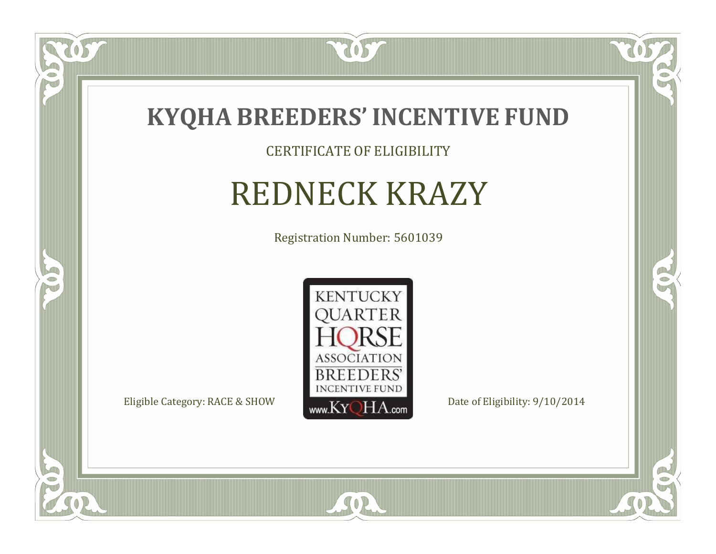

US

 $\bullet$ NU

5

#### CERTIFICATE OF ELIGIBILITY

# REDNECK KRAZY

Registration Number: 5601039



SOR

 $\mathbb{R}$ 

 $\rightarrow$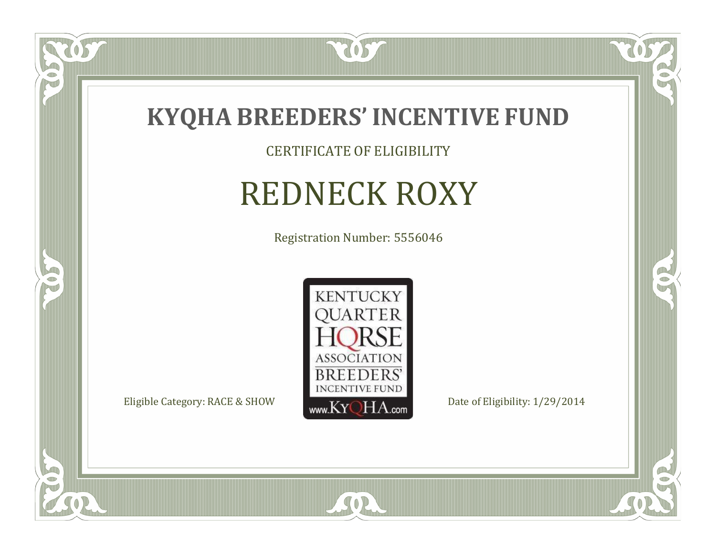

CERTIFICATE OF ELIGIBILITY

## REDNECK ROXY

Registration Number: 5556046



SOR

CO.

 $\rightarrow$ 

057

 $\bullet$ NU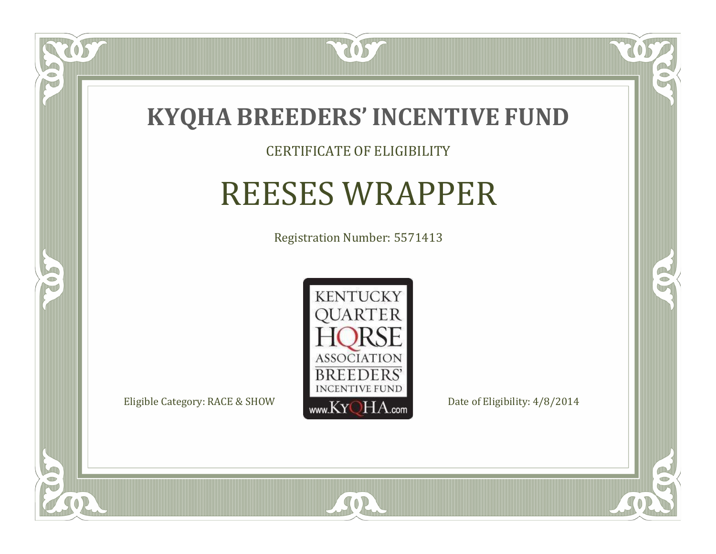

### CERTIFICATE OF ELIGIBILITY

## REESES WRAPPER

Registration Number: 5571413



SOR

CO.

 $\rightarrow$ 

US

 $\Box$ NU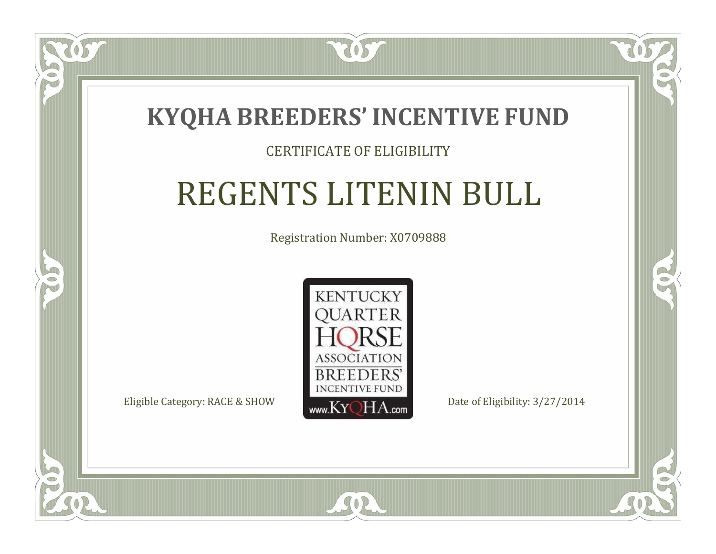

 $\blacksquare$ N

5

### CERTIFICATE OF ELIGIBILITY

## REGENTS LITENIN BULL

Registration Number: X0709888



SOR

CO.

 $\rightarrow$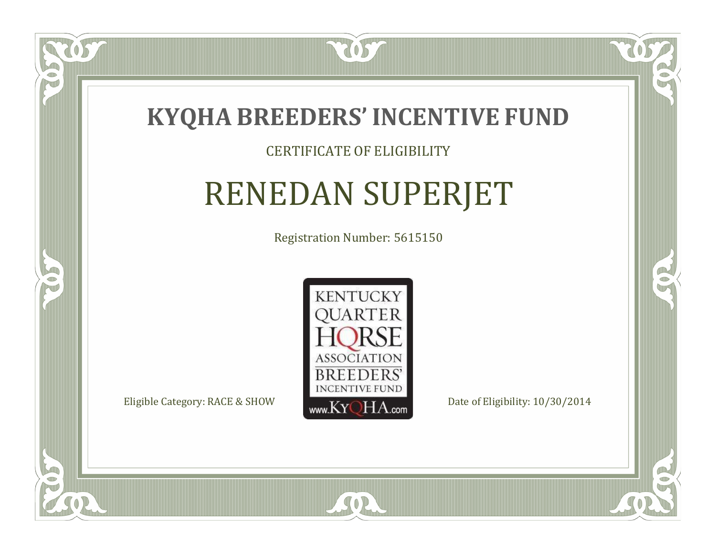

### CERTIFICATE OF ELIGIBILITY

## RENEDAN SUPERJET

Registration Number: 5615150



 $SO<sub>2</sub>$ 

RO

CO.

 $\Box$ N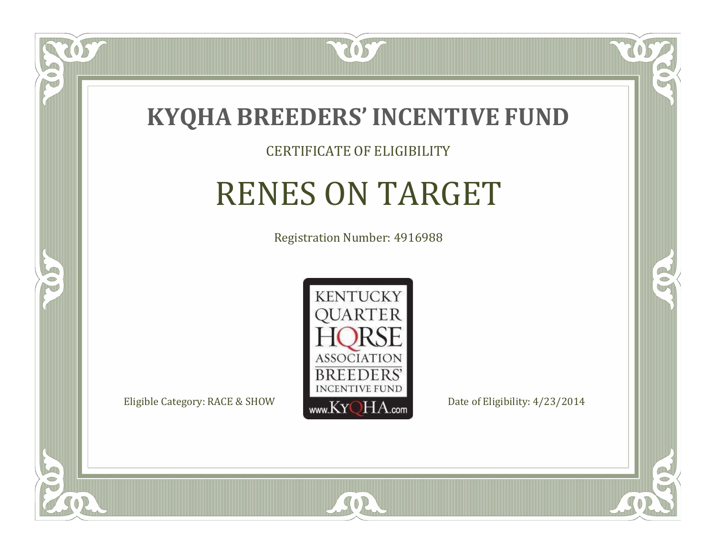

### CERTIFICATE OF ELIGIBILITY

## RENES ON TARGET

Registration Number: 4916988



SOR

 $\Box$ NU

5

CO.

 $\rightarrow$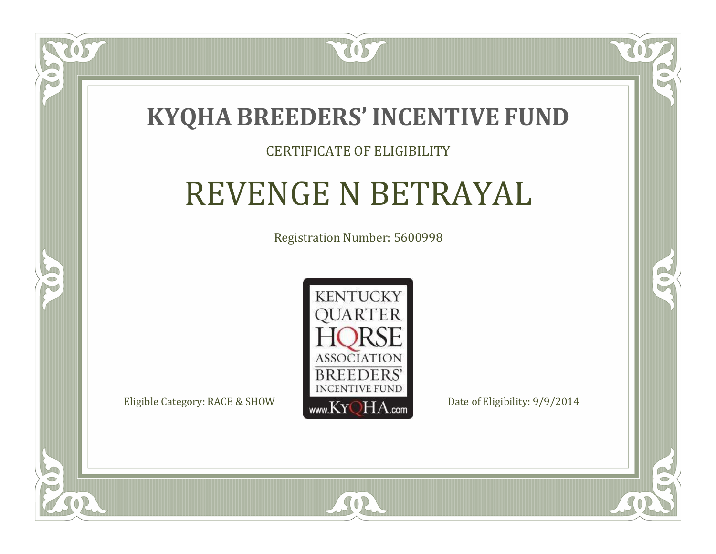

### CERTIFICATE OF ELIGIBILITY

## REVENGE N BETRAYAL

Registration Number: 5600998



 $SO2$ 

CO.

 $\rightarrow$ 

 $\Box$ N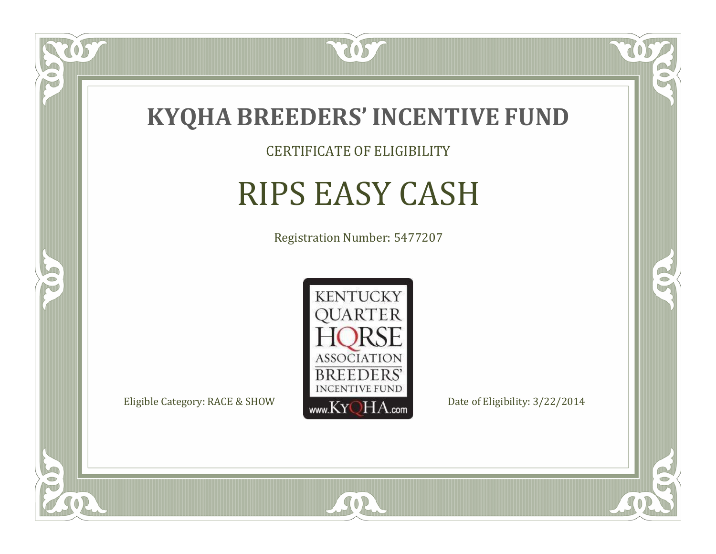

CERTIFICATE OF ELIGIBILITY

## RIPS EASY CASH

Registration Number: 5477207



SOR

CO.

 $\rightarrow$ 

US

 $\bullet$ NU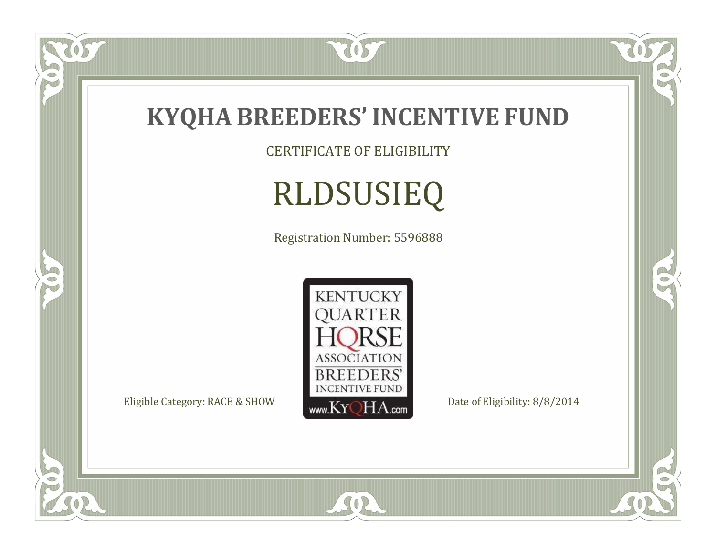

CERTIFICATE OF ELIGIBILITY

# RLDSUSIEQ

Registration Number: 5596888



SOR

 $\mathbb{R}$ 

CO.

US.

 $\bullet$ N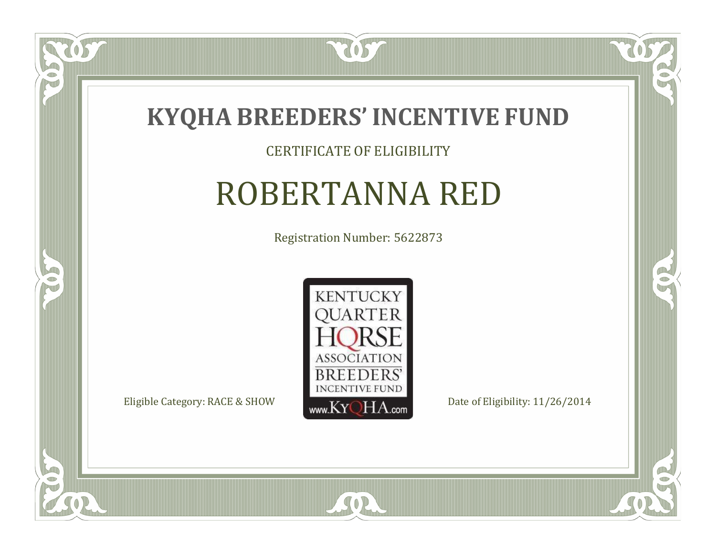

### CERTIFICATE OF ELIGIBILITY

## ROBERTANNA RED

Registration Number: 5622873



SOR

CO.

 $\rightarrow$ 

057

 $\Box$ NU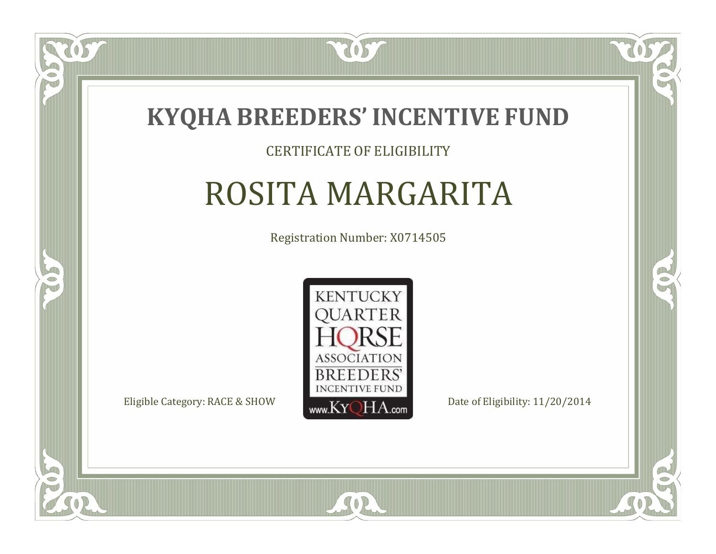

### CERTIFICATE OF ELIGIBILITY

## ROSITA MARGARITA

Registration Number: X0714505



SOR

RO

B

 $\Box$ N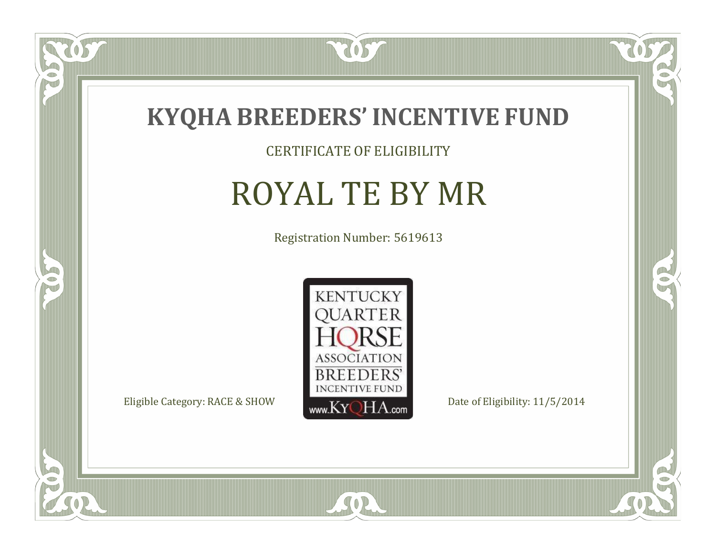

### CERTIFICATE OF ELIGIBILITY

## ROYAL TE BY MR

Registration Number: 5619613



SOR

CO.

 $\rightarrow$ 

057

 $\bullet$ NU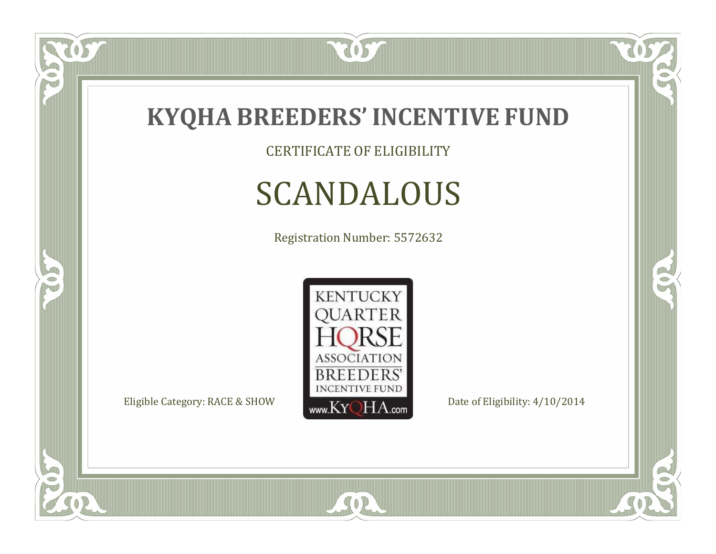

CERTIFICATE OF ELIGIBILITY

## SCANDALOUS

Registration Number: 5572632



SOR

 $\mathbb{R}$ 

CO.

057

 $\bullet$ N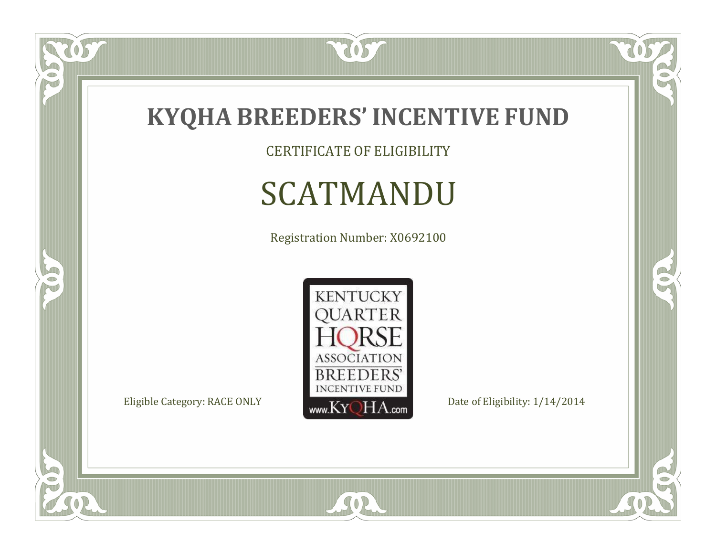

 $\overline{OS}$ 

 $\bullet$ N

5

CERTIFICATE OF ELIGIBILITY

## SCATMANDU

Registration Number: X0692100

**KENTUCKY** 



SOR

 $\mathbb{R}$ 

 $\mathbb{R}^2$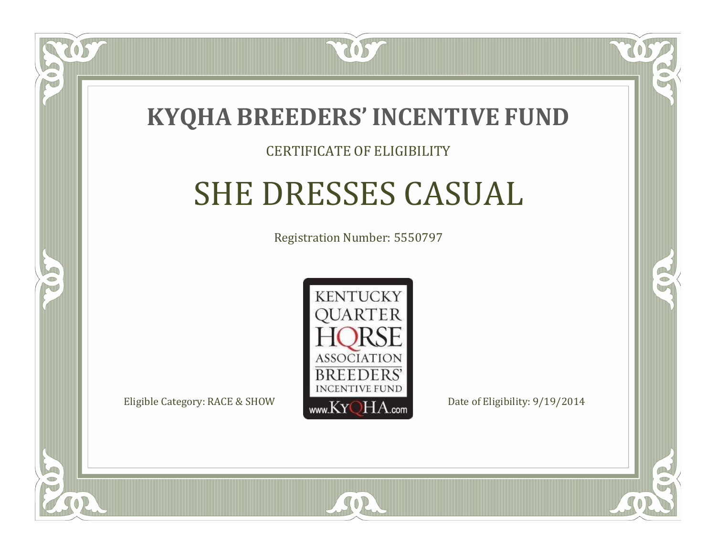

### CERTIFICATE OF ELIGIBILITY

## SHE DRESSES CASUAL

Registration Number: 5550797



SOR

RO

B

 $\Box$ N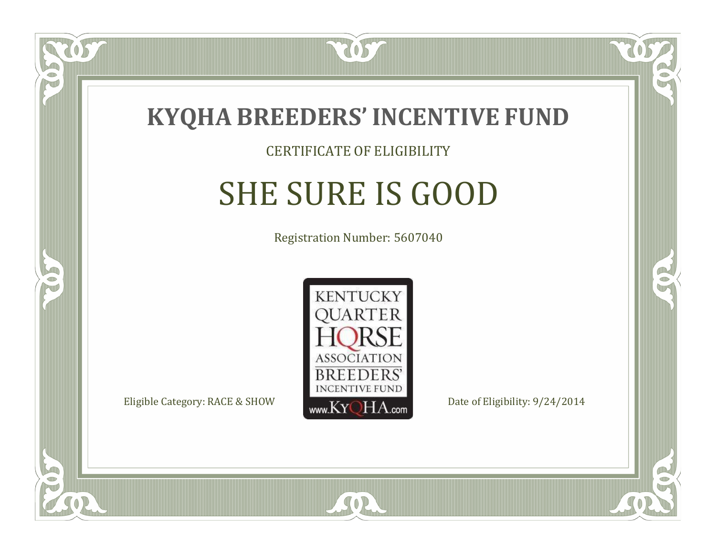

 $\Box$ N

5

### CERTIFICATE OF ELIGIBILITY

## SHE SURE IS GOOD

Registration Number: 5607040



SOR

RO

B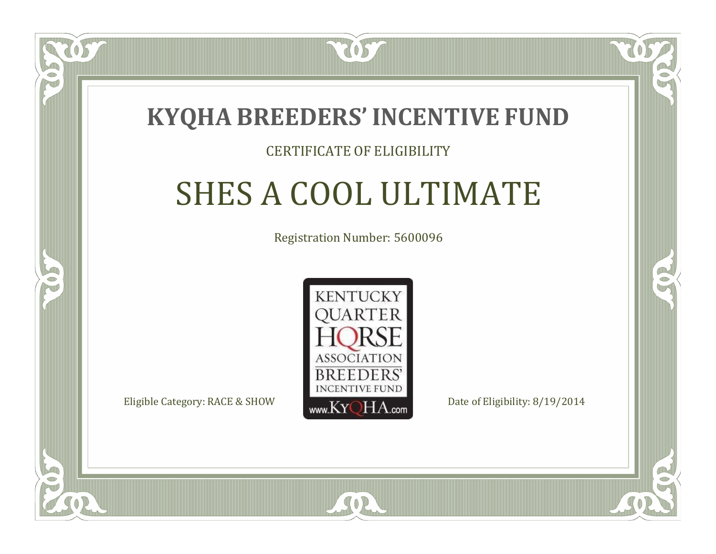

### CERTIFICATE OF ELIGIBILITY

## SHES A COOL ULTIMATE

Registration Number: 5600096



SOR

RO

P.

 $\Box$ N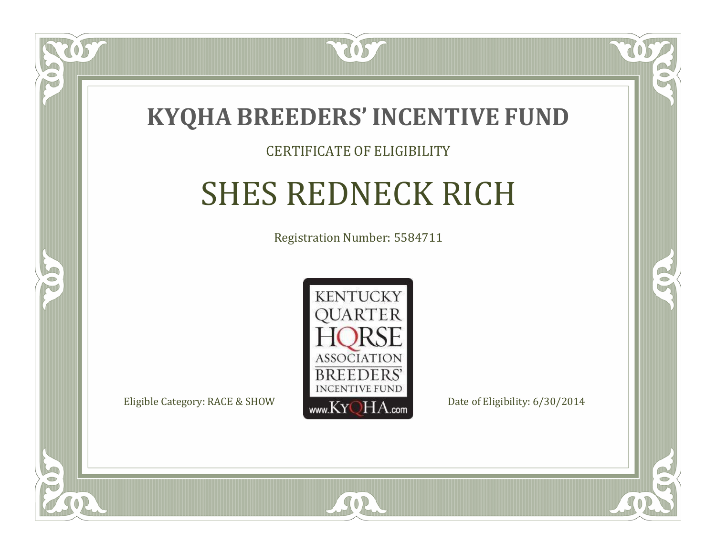

### CERTIFICATE OF ELIGIBILITY

## SHES REDNECK RICH

Registration Number: 5584711



SOR

RO

B

 $\Box$ N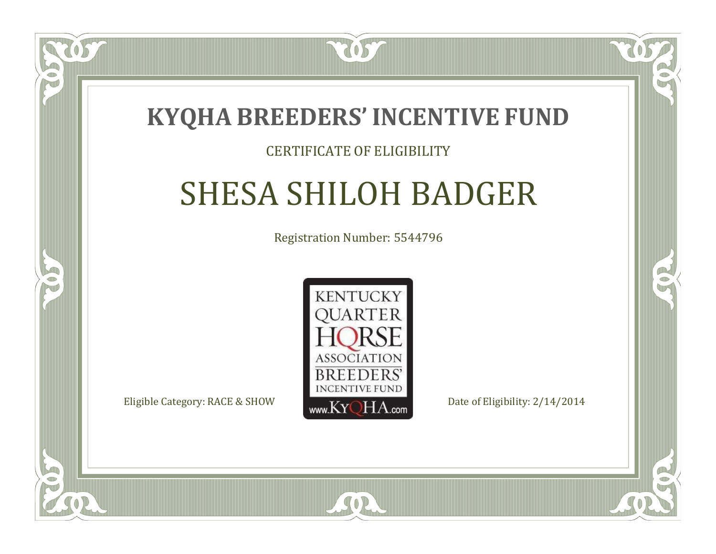

### CERTIFICATE OF ELIGIBILITY

## SHESA SHILOH BADGER

Registration Number: 5544796



SOR

RO

B

 $\Box$ N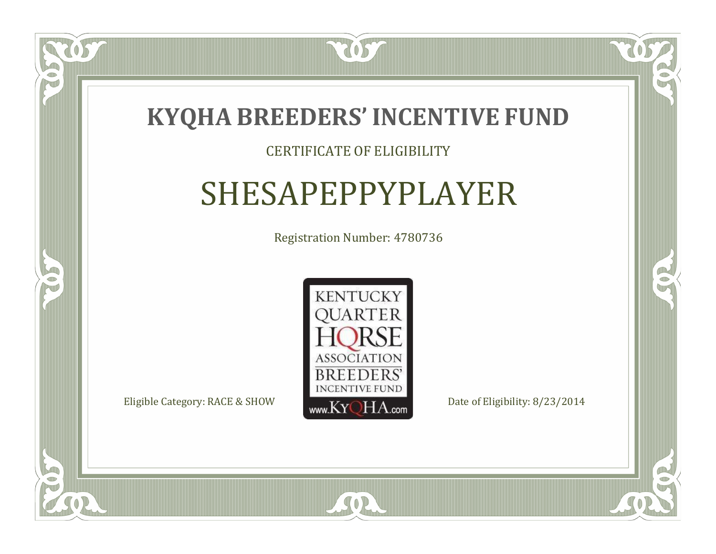

### CERTIFICATE OF ELIGIBILITY

## SHESAPEPPYPLAYER

Registration Number: 4780736



SOR

RO

B

 $\blacksquare$ N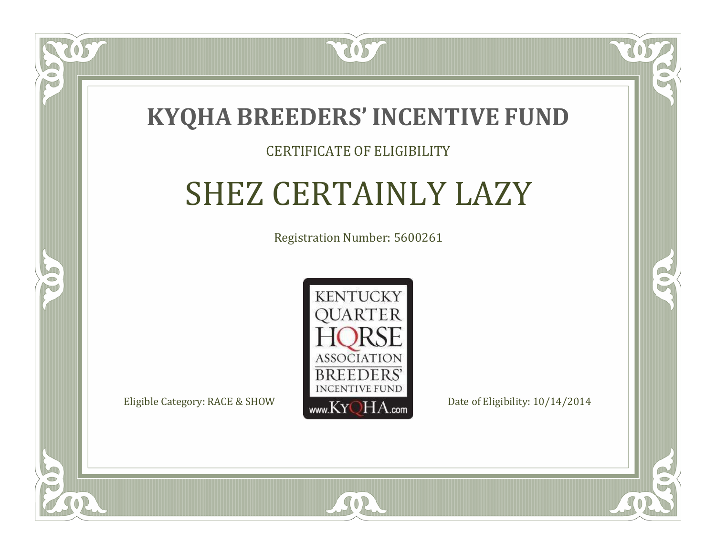

 $\blacksquare$ N

S

### CERTIFICATE OF ELIGIBILITY

## SHEZ CERTAINLY LAZY

Registration Number: 5600261



 $SO2$ 

RO

 $\rightarrow$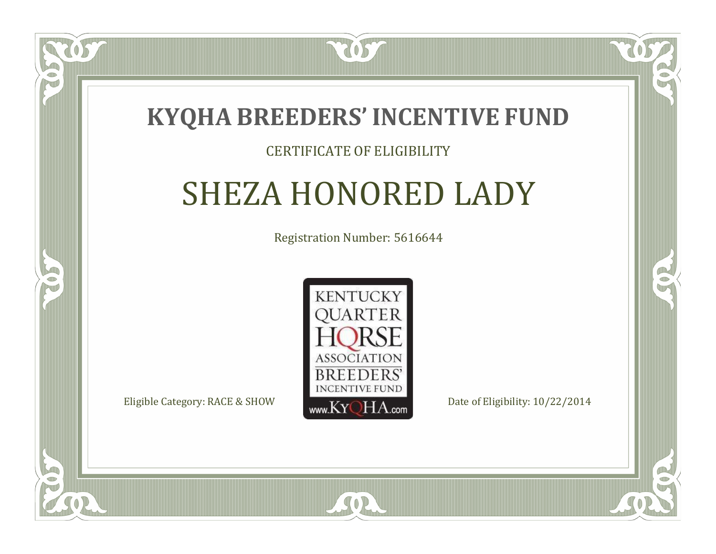

### CERTIFICATE OF ELIGIBILITY

## SHEZA HONORED LADY

Registration Number: 5616644



 $SO2$ 

RO

P.

 $\Box$ T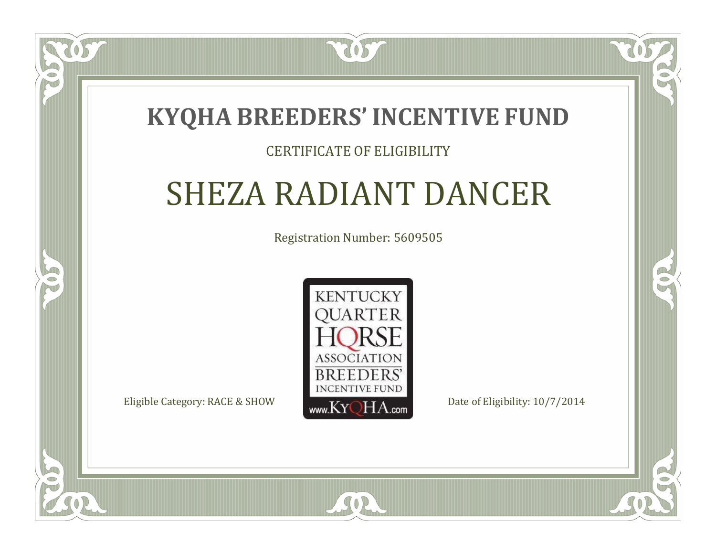### **KYQHA BREEDERS'INCENTIVE FUND**

7057

### CERTIFICATE OF ELIGIBILITY

## SHEZA RADIANT DANCER

Registration Number: 5609505



SOR

RO

 $\rightarrow$ 

 $\Box$ T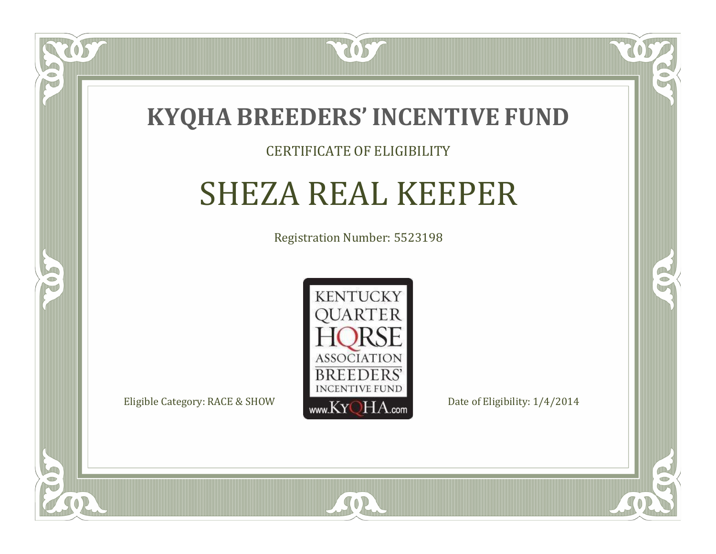

### CERTIFICATE OF ELIGIBILITY

## SHEZA REAL KEEPER

Registration Number: 5523198



 $SO2$ 

CO.

B

 $\Box$ N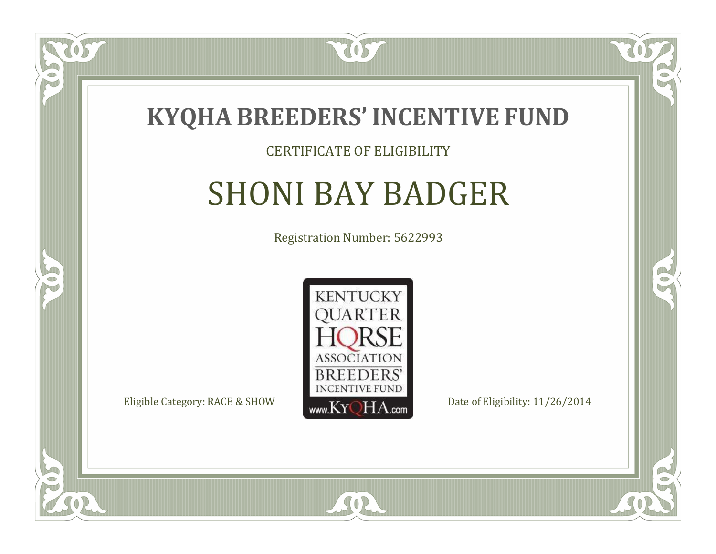

### CERTIFICATE OF ELIGIBILITY

## SHONI BAY BADGER

Registration Number: 5622993



SOR

CO.

 $\rightarrow$ 

 $\Box$ N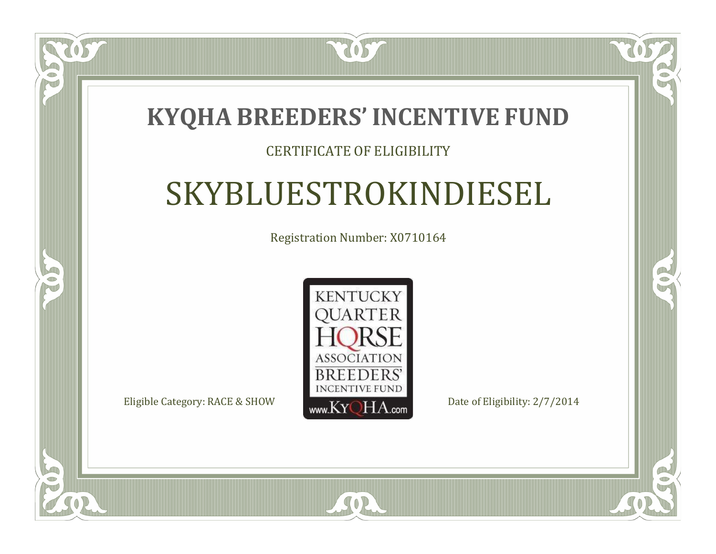### **KYQHA BREEDERS'INCENTIVE FUND**

7057

 $\Box$ T

S

### CERTIFICATE OF ELIGIBILITY

## SKYBLUESTROKINDIESEL

Registration Number: X0710164



SOR

RO

B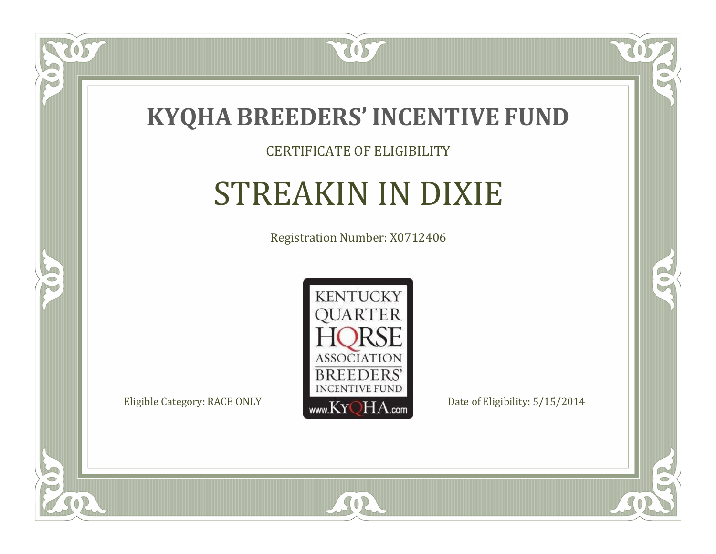

### CERTIFICATE OF ELIGIBILITY

## STREAKIN IN DIXIE

Registration Number: X0712406



SOR

CO.

 $\rightarrow$ 

 $\delta S$ 

 $\bullet$ NU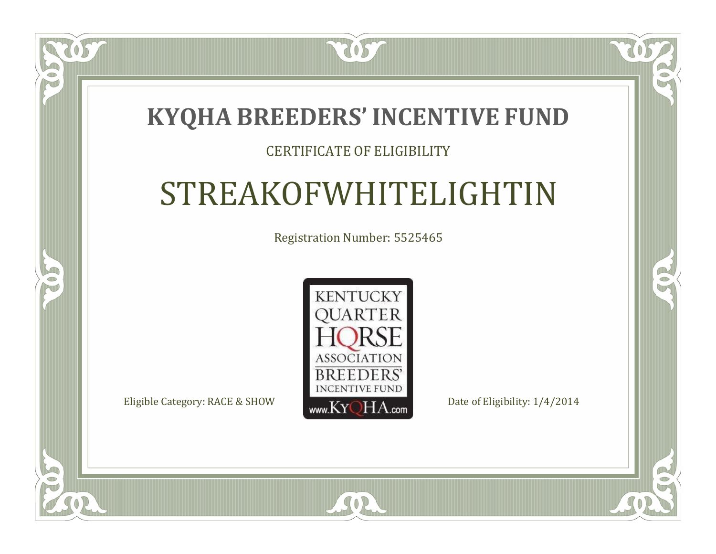### **KYQHA BREEDERS'INCENTIVE FUND**

7057

### CERTIFICATE OF ELIGIBILITY

## STREAKOFWHITELIGHTIN

Registration Number: 5525465



 $SO2$ 

CO.

 $\rightarrow$ 

 $\blacksquare$ N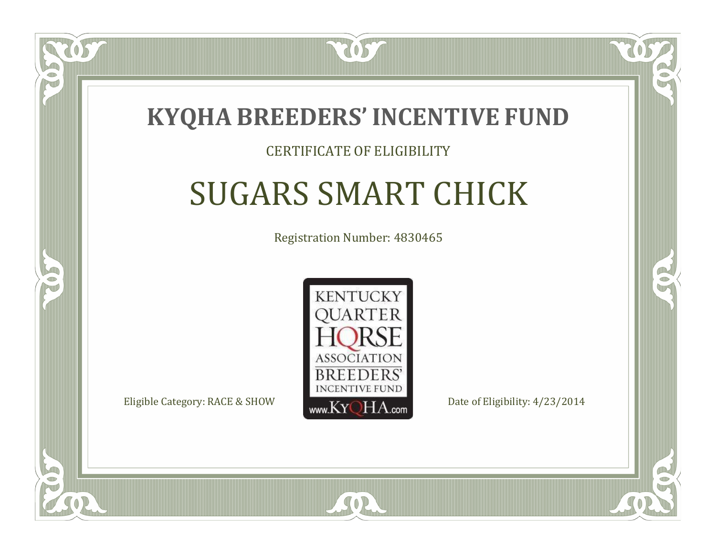

### CERTIFICATE OF ELIGIBILITY

## SUGARS SMART CHICK

Registration Number: 4830465



 $SO<sub>2</sub>$ 

RO

P.

 $\Box$ N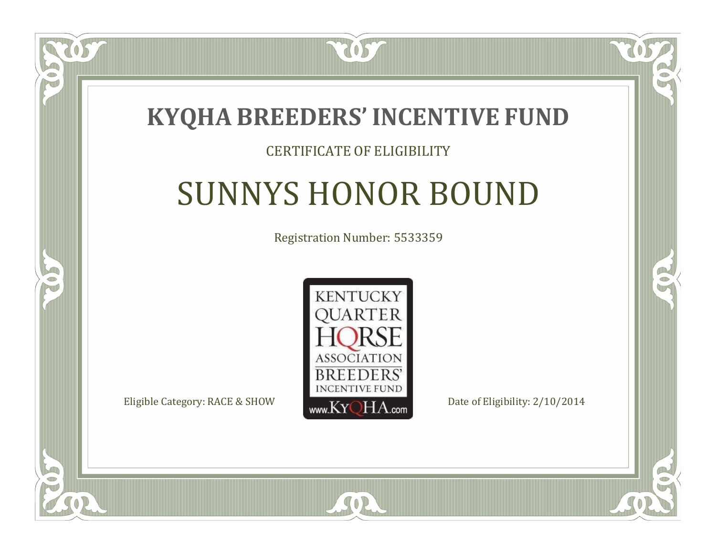

### CERTIFICATE OF ELIGIBILITY

## SUNNYS HONOR BOUND

Registration Number: 5533359



SOR

CO.

B

 $\Box$ N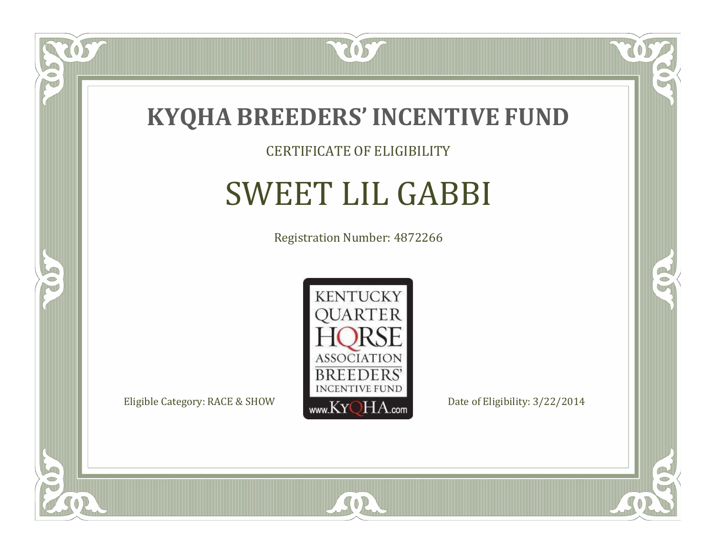

### CERTIFICATE OF ELIGIBILITY

## SWEET LIL GABBI

Registration Number: 4872266



SOR

US

 $\Box$ NU

5

CO.

 $\rightarrow$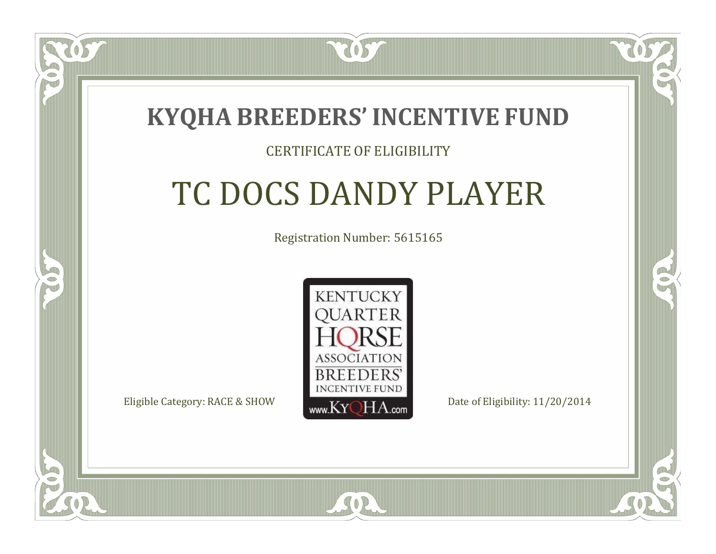

### CERTIFICATE OF ELIGIBILITY

## TC DOCS DANDY PLAYER

Registration Number: 5615165



SOR

RO

P.

 $\Box$ N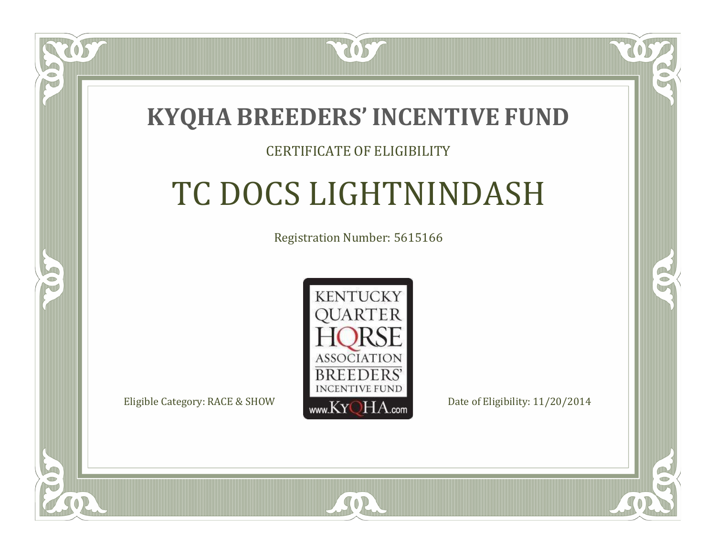

### CERTIFICATE OF ELIGIBILITY

## TC DOCS LIGHTNINDASH

Registration Number: 5615166



SOR

RO

CO.

 $\Box$ N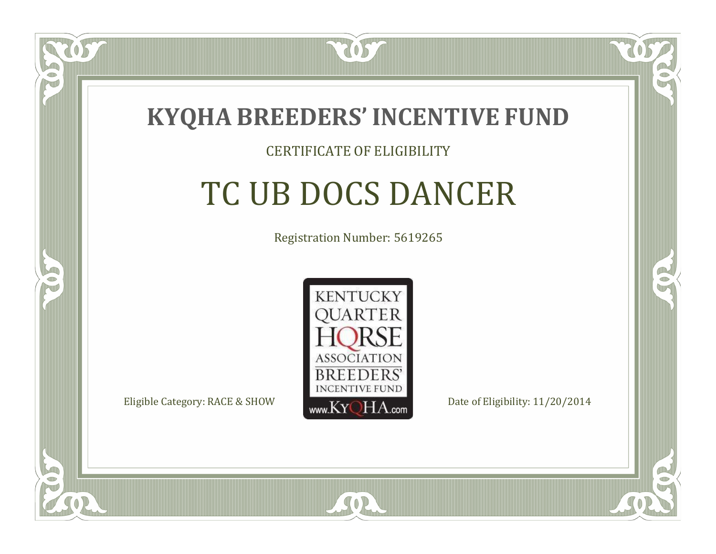

### CERTIFICATE OF ELIGIBILITY

## TC UB DOCS DANCER

Registration Number: 5619265



 $SO<sub>2</sub>$ 

RO

P.

 $\Box$ N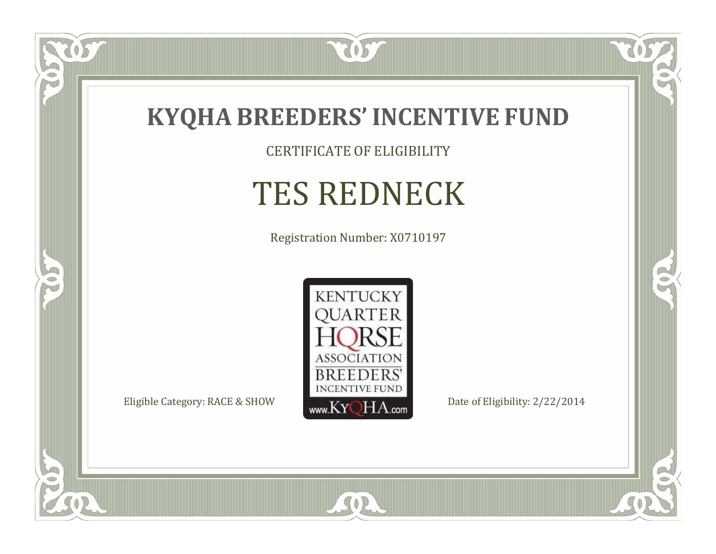

CERTIFICATE OF ELIGIBILITY

## TES REDNECK

Registration Number: X0710197



SOR

 $\mathbb{R}$ 

CO.

057

 $\bullet$ N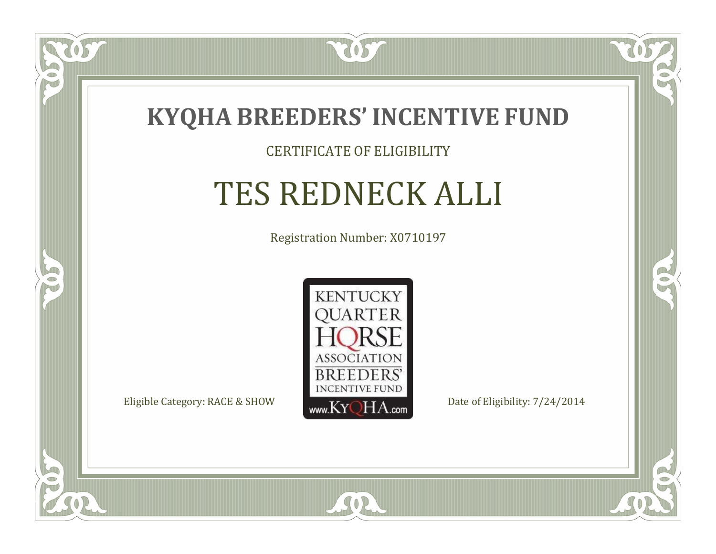

### CERTIFICATE OF ELIGIBILITY

## TES REDNECK ALLI

Registration Number: X0710197



SOR

CO.

 $\rightarrow$ 

 $\Box$ N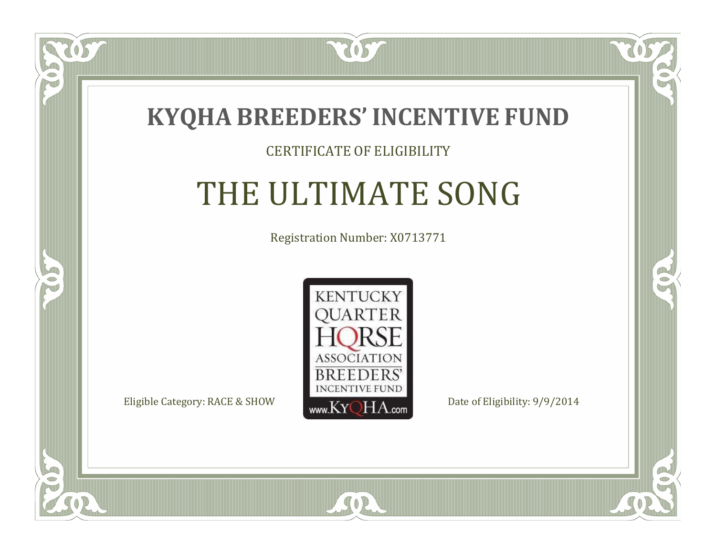

### CERTIFICATE OF ELIGIBILITY

## THE ULTIMATE SONG

Registration Number: X0713771



 $SO<sub>2</sub>$ 

RO

B

 $\Box$ N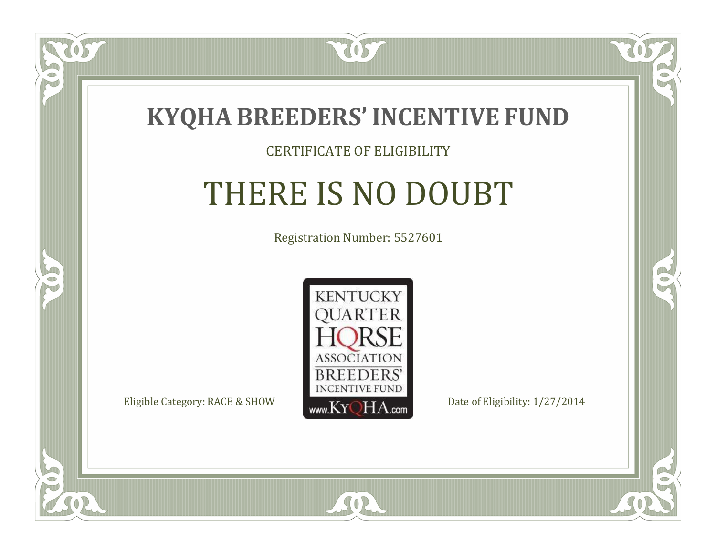

#### CERTIFICATE OF ELIGIBILITY

# THERE IS NO DOUBT

Registration Number: 5527601



SOR

RO

B

 $\Box$ N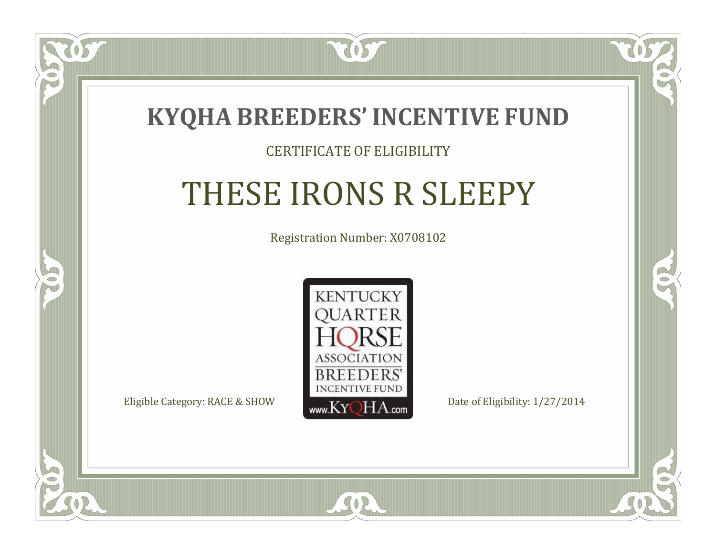

#### CERTIFICATE OF ELIGIBILITY

# THESE IRONS R SLEEPY

Registration Number: X0708102



 $SO<sub>2</sub>$ 

RO

CO.

 $\Box$ N

S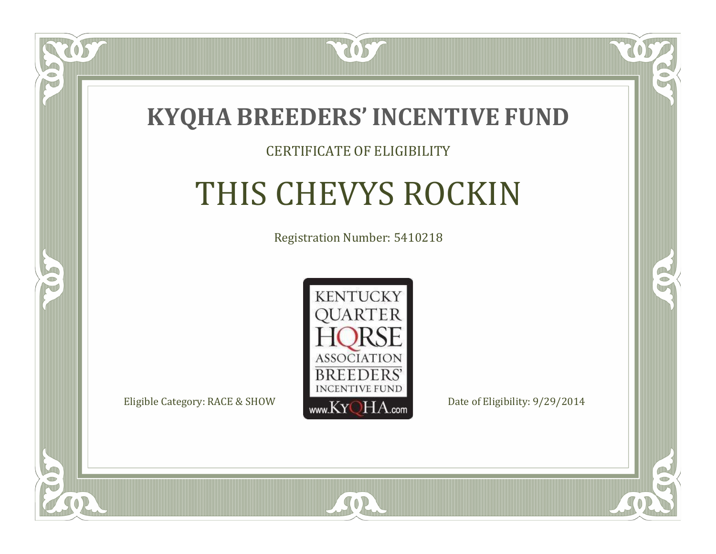

#### CERTIFICATE OF ELIGIBILITY

# THIS CHEVYS ROCKIN

Registration Number: 5410218



 $SO2$ 

CO.

 $\rightarrow$ 

 $\Box$ N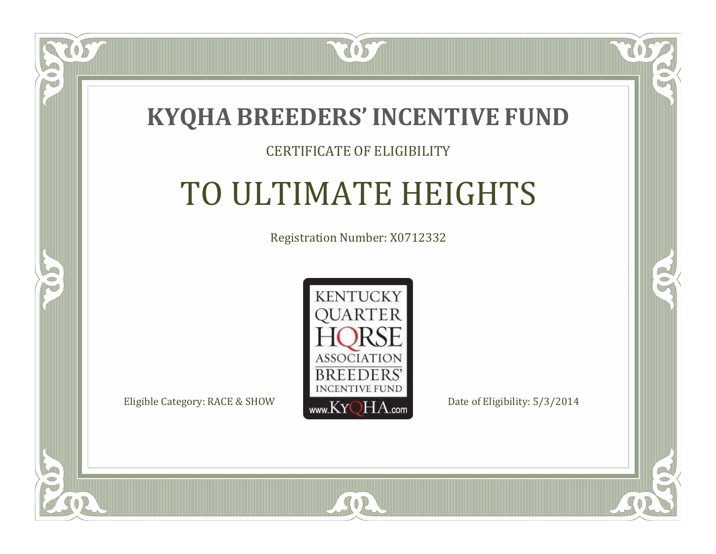

#### CERTIFICATE OF ELIGIBILITY

## TO ULTIMATE HEIGHTS

Registration Number: X0712332



SOR

 $\mathbb{R}$ 

 $\rightarrow$ 

 $\blacksquare$ N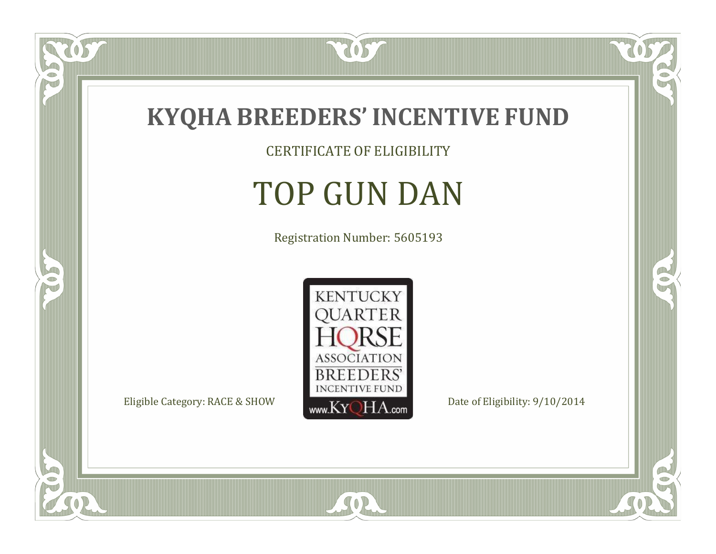

CERTIFICATE OF ELIGIBILITY

# TOP GUN DAN

Registration Number: 5605193



SOR

 $\mathbb{R}$ 

CO.

tos

 $\bullet$ N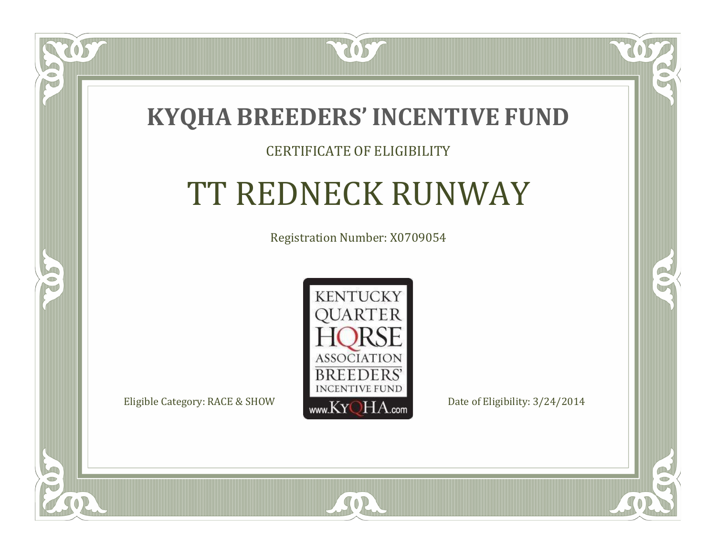

OS

 $\Box$ NU

5

### CERTIFICATE OF ELIGIBILITY

# TT REDNECK RUNWAY

Registration Number: X0709054



SOR

CO.

 $\rightarrow$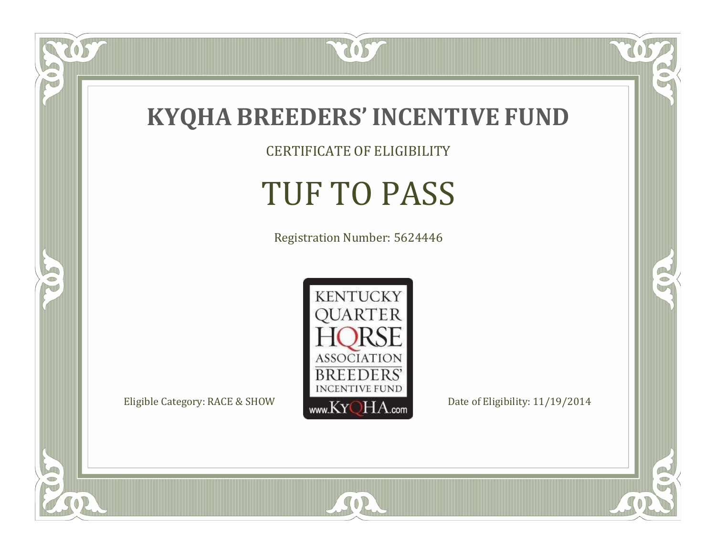

### **KYQHA BREEDERS'INCENTIVE FUND**

CERTIFICATE OF ELIGIBILITY

# TUF TO PASS

Registration Number: 5624446



SOR

tos

 $\bullet$ N

5

 $\mathbb{R}$ 

 $\mathbb{R}^2$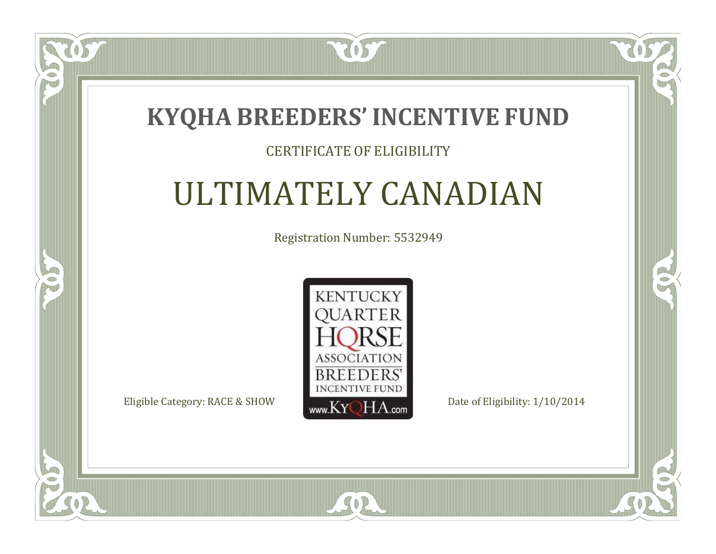

### CERTIFICATE OF ELIGIBILITY

### ULTIMATELY CANADIAN

Registration Number: 5532949



SOR

ÒS

 $\Box$ NU

5

 $\mathbb{R}$ 

R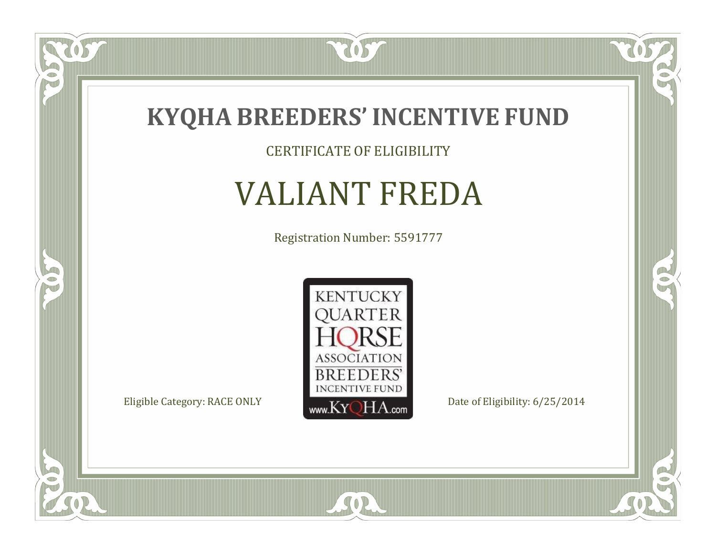

CERTIFICATE OF ELIGIBILITY

# VALIANT FREDA

Registration Number: 5591777



SOR

 $\mathbb{R}$ 

 $\mathbb{R}^2$ 

OS.

 $\bullet$ N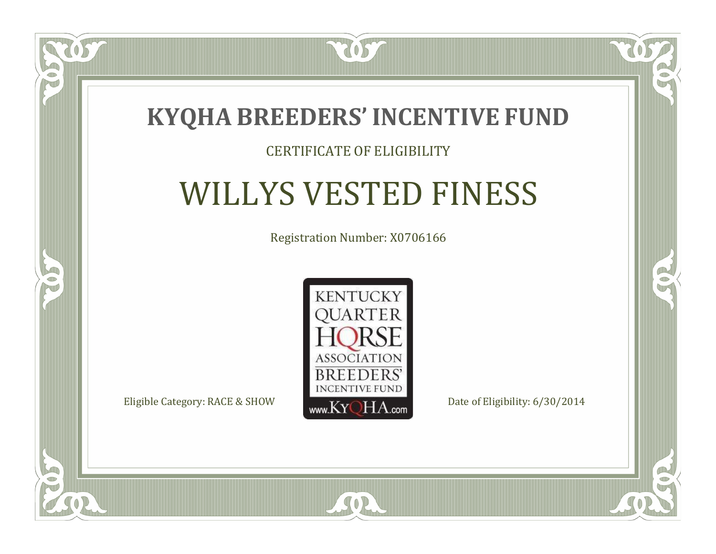

### CERTIFICATE OF ELIGIBILITY

# WILLYS VESTED FINESS

Registration Number: X0706166



SOR

CO.

 $\rightarrow$ 

 $\blacksquare$ N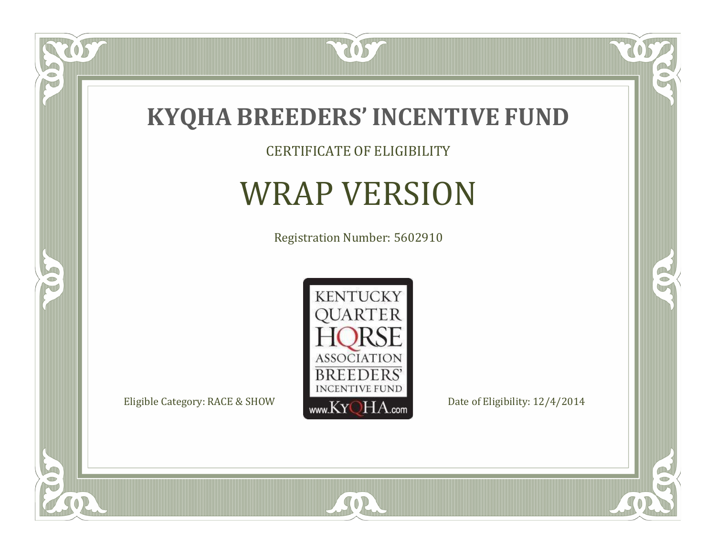

CERTIFICATE OF ELIGIBILITY

### WRAP VERSION

Registration Number: 5602910



SOR

 $\mathbb{R}$ 

 $\mathbb{R}^2$ 

 $\overline{OS}$ 

 $\bullet$ N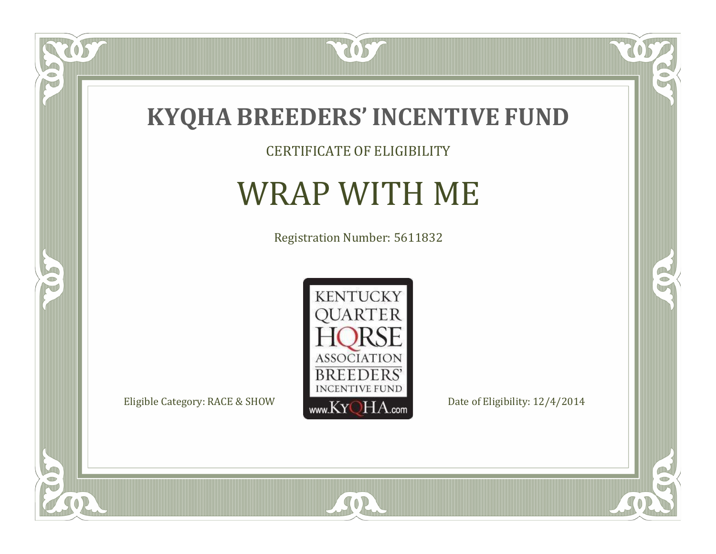

CERTIFICATE OF ELIGIBILITY

### WRAP WITH ME

Registration Number: 5611832



 $\mathbb{R}$ 

 $\mathbb{R}^2$ 

OS

 $\bullet$ N

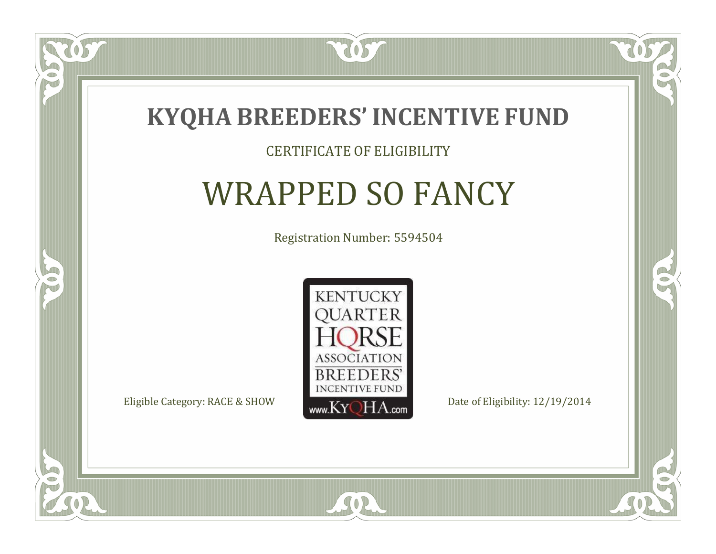

#### CERTIFICATE OF ELIGIBILITY

### WRAPPED SO FANCY

Registration Number: 5594504



SOR

CO.

B

 $\Box$ N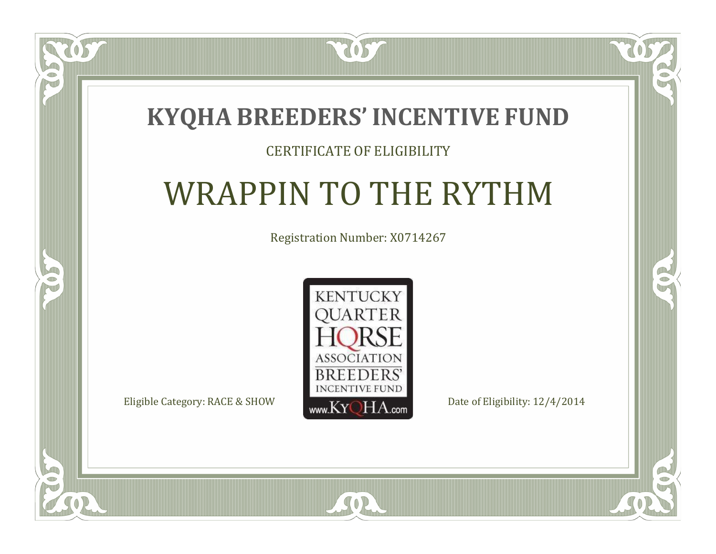### **KYQHA BREEDERS'INCENTIVE FUND**

7057

### CERTIFICATE OF ELIGIBILITY

# WRAPPIN TO THE RYTHM

Registration Number: X0714267



SOR

 $\mathbb{R}$ 

 $\rightarrow$ 

 $\blacksquare$ N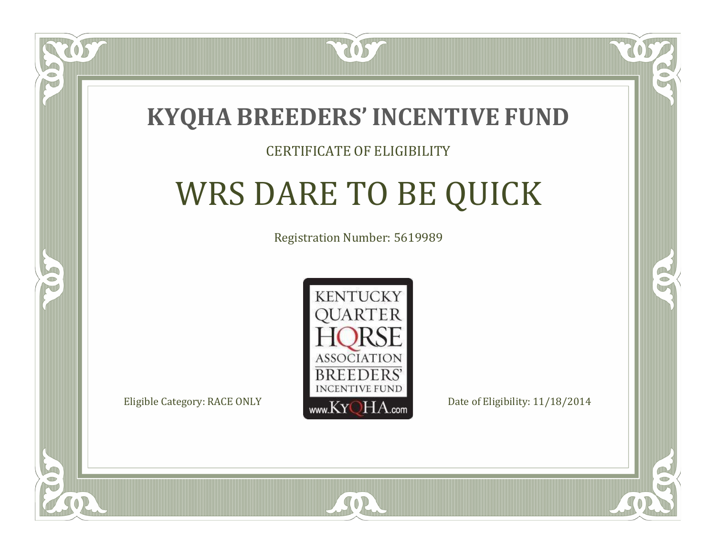

#### CERTIFICATE OF ELIGIBILITY

# WRS DARE TO BE QUICK

Registration Number: 5619989



SOR

RO

B.

 $\Box$ N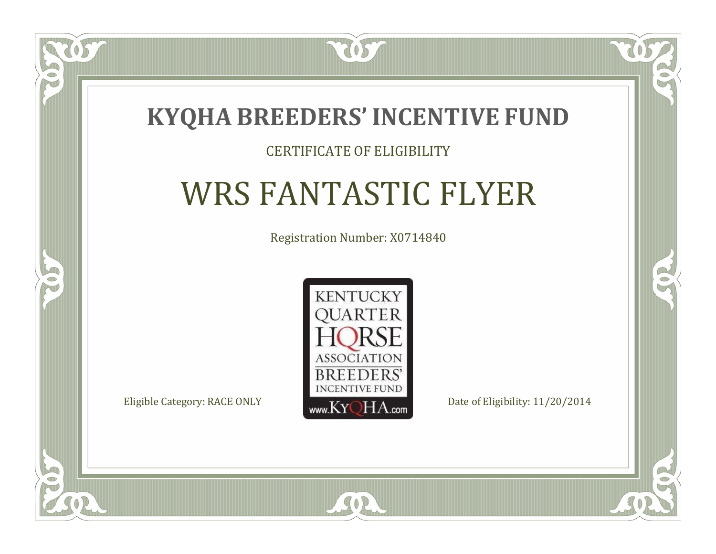

#### CERTIFICATE OF ELIGIBILITY

# WRS FANTASTIC FLYER

Registration Number: X0714840



SOR

CO.

 $\rightarrow$ 

 $\Box$ N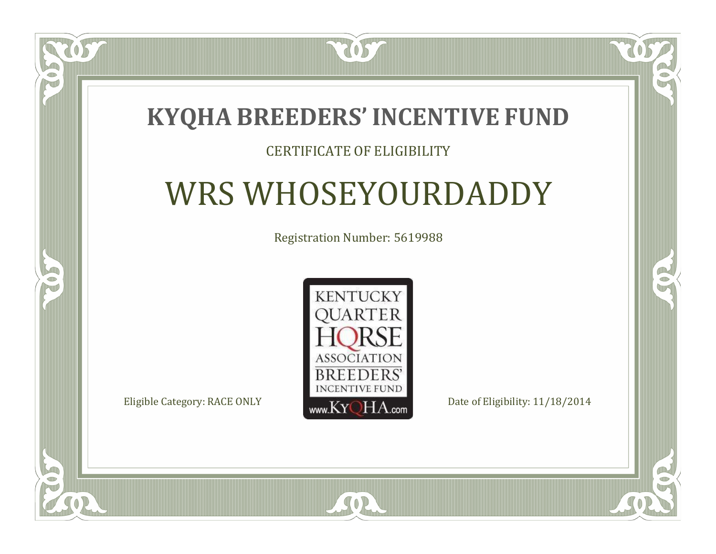### **KYQHA BREEDERS'INCENTIVE FUND**

7057

### CERTIFICATE OF ELIGIBILITY

# WRS WHOSEYOURDADDY

Registration Number: 5619988



SOR

 $\mathbb{R}$ 

 $\rightarrow$ 

 $\blacksquare$ N